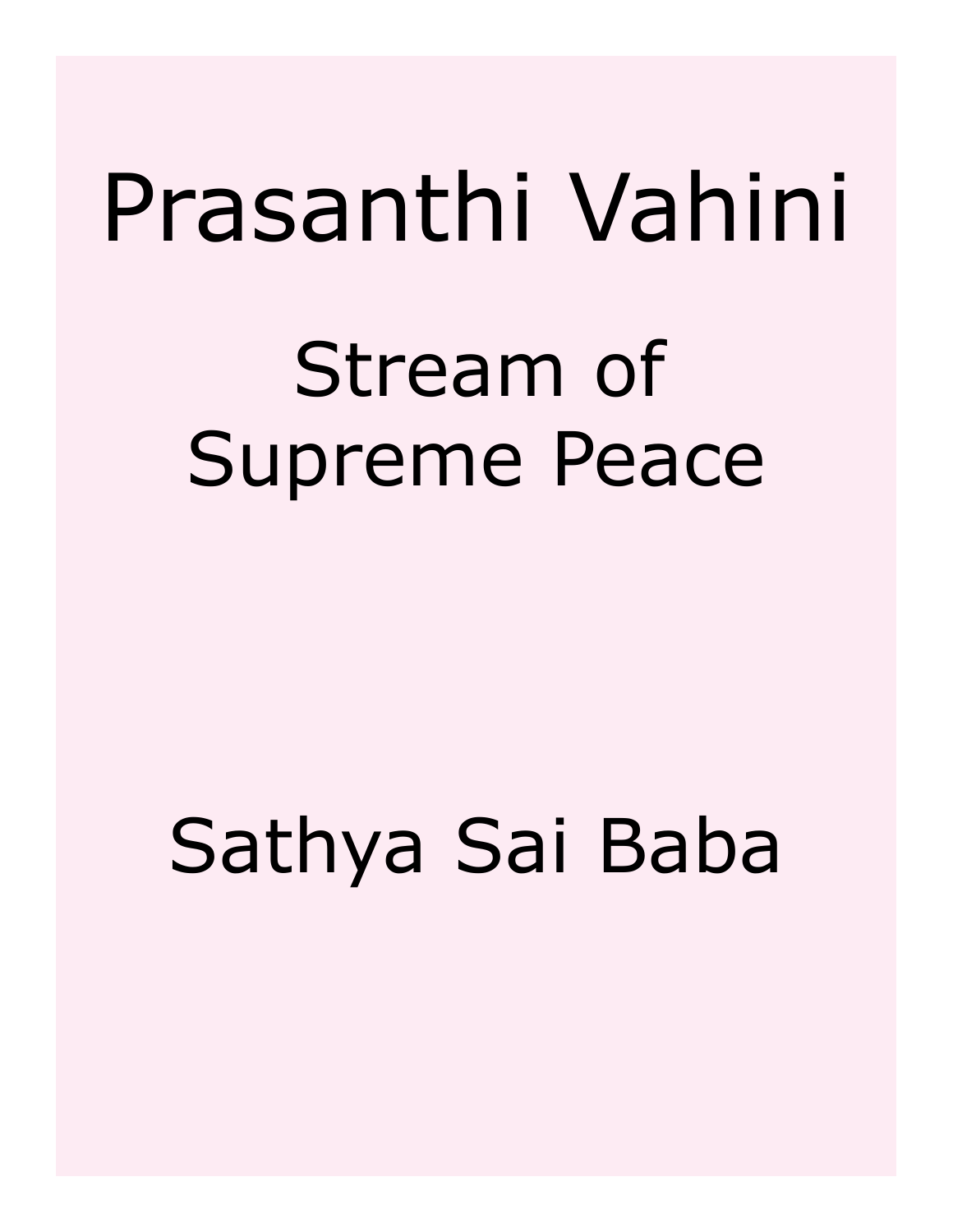# Prasanthi Vahini

# Stream of Supreme Peace

# Sathya Sai Baba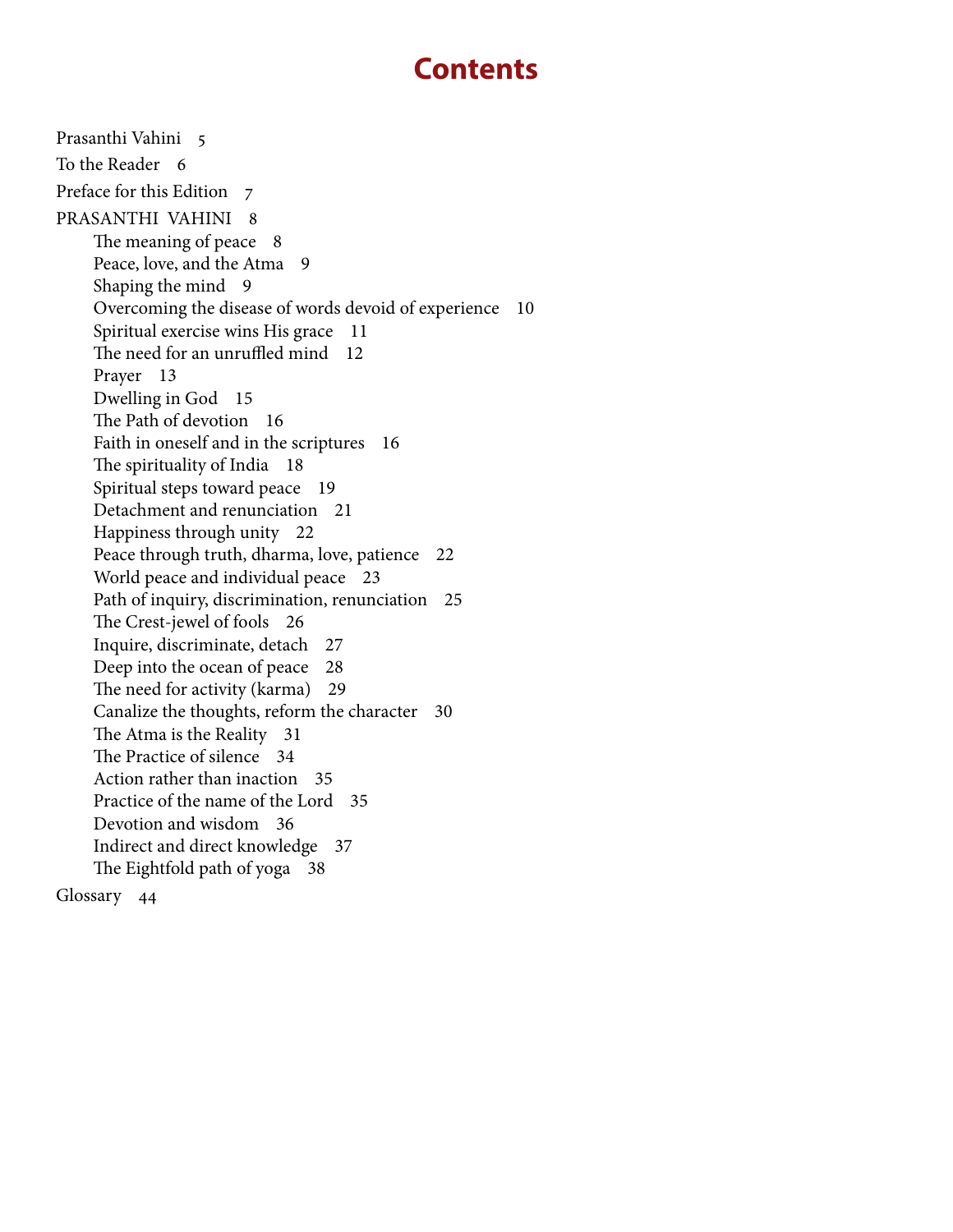# **Contents**

[Prasanthi Vahini 5](#page-4-0) [To the Reader 6](#page-5-0) [Preface for this Edition 7](#page-6-0) [PRASANTHI VAHINI 8](#page-7-0) [The meaning of peace 8](#page-7-0) [Peace, love, and the Atma 9](#page-8-0) [Shaping the mind 9](#page-8-0) [Overcoming the disease of words devoid of experience 10](#page-9-0) [Spiritual exercise wins His grace 11](#page-10-0) [The need for an unruffled mind 12](#page-11-0) [Prayer 13](#page-12-0) [Dwelling in God 15](#page-14-0) [The Path of devotion 16](#page-15-0) [Faith in oneself and in the scriptures 16](#page-15-0) [The spirituality of India 18](#page-17-0) [Spiritual steps toward peace 19](#page-18-0) [Detachment and renunciation 21](#page-20-0) [Happiness through unity 22](#page-21-0) [Peace through truth, dharma, love, patience 22](#page-21-0) [World peace and individual peace 23](#page-22-0) [Path of inquiry, discrimination, renunciation 25](#page-24-0) [The Crest-jewel of fools 26](#page-25-0) [Inquire, discriminate, detach 27](#page-26-0) [Deep into the ocean of peace 28](#page-27-0) [The need for activity \(karma\) 29](#page-28-0) [Canalize the thoughts, reform the character 30](#page-29-0) [The Atma is the Reality 31](#page-30-0) [The Practice of silence 34](#page-33-0) [Action rather than inaction 35](#page-34-0) [Practice of the name of the Lord 35](#page-34-0) [Devotion and wisdom 36](#page-35-0) [Indirect and direct knowledge 37](#page-36-0) [The Eightfold path of yoga 38](#page-37-0) [Glossary 44](#page-43-0)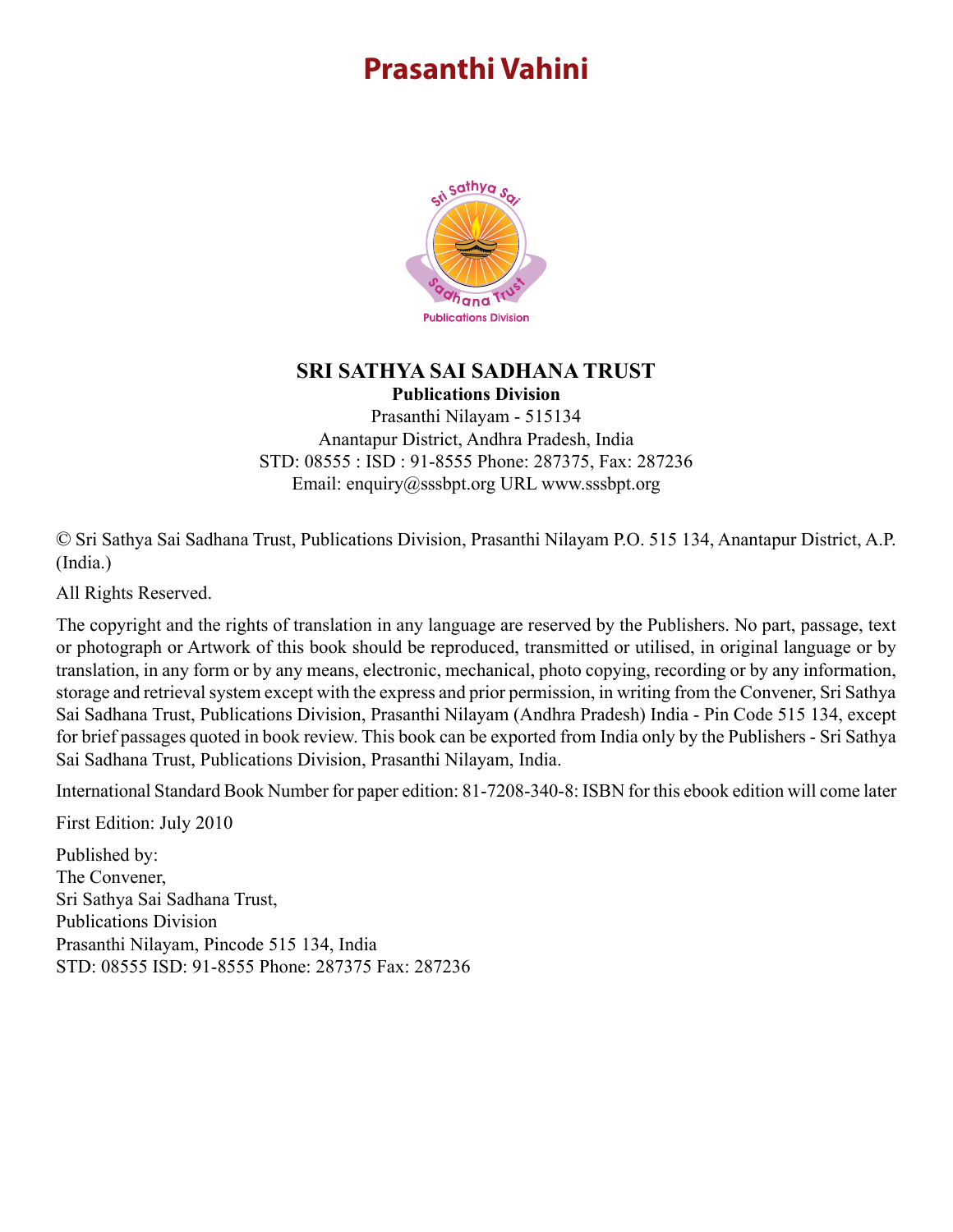# <span id="page-4-0"></span>**Prasanthi Vahini**



## **SRI SATHYA SAI SADHANA TRUST Publications Division**

Prasanthi Nilayam - 515134 Anantapur District, Andhra Pradesh, India STD: 08555 : ISD : 91-8555 Phone: 287375, Fax: 287236 Email: enquiry@sssbpt.org URL www.sssbpt.org

© Sri Sathya Sai Sadhana Trust, Publications Division, Prasanthi Nilayam P.O. 515 134, Anantapur District, A.P. (India.)

All Rights Reserved.

The copyright and the rights of translation in any language are reserved by the Publishers. No part, passage, text or photograph or Artwork of this book should be reproduced, transmitted or utilised, in original language or by translation, in any form or by any means, electronic, mechanical, photo copying, recording or by any information, storage and retrieval system except with the express and prior permission, in writing from the Convener, Sri Sathya Sai Sadhana Trust, Publications Division, Prasanthi Nilayam (Andhra Pradesh) India - Pin Code 515 134, except for brief passages quoted in book review. This book can be exported from India only by the Publishers - Sri Sathya Sai Sadhana Trust, Publications Division, Prasanthi Nilayam, India.

International Standard Book Number for paper edition: 81-7208-340-8: ISBN for this ebook edition will come later

First Edition: July 2010

Published by: The Convener, Sri Sathya Sai Sadhana Trust, Publications Division Prasanthi Nilayam, Pincode 515 134, India STD: 08555 ISD: 91-8555 Phone: 287375 Fax: 287236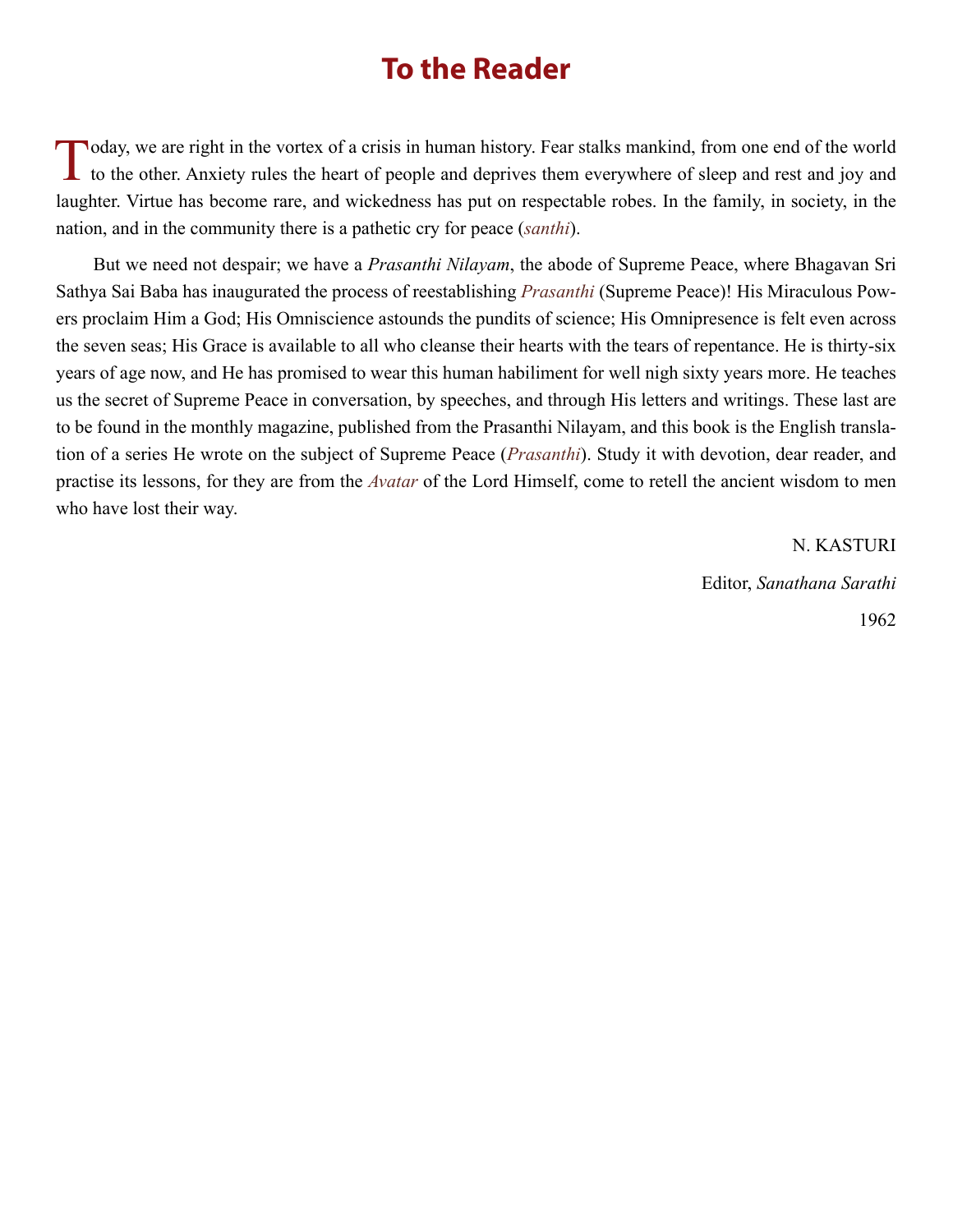## **To the Reader**

<span id="page-5-0"></span>Today, we are right in the vortex of a crisis in human history. Fear stalks mankind, from one end of the world<br>to the other. Anxiety rules the heart of people and deprives them everywhere of sleep and rest and joy and laughter. Virtue has become rare, and wickedness has put on respectable robes. In the family, in society, in the nation, and in the community there is a pathetic cry for peace (*santhi*).

But we need not despair; we have a *Prasanthi Nilayam*, the abode of Supreme Peace, where Bhagavan Sri Sathya Sai Baba has inaugurated the process of reestablishing *[Prasanthi](#page-48-0)* (Supreme Peace)! His Miraculous Powers proclaim Him a God; His Omniscience astounds the pundits of science; His Omnipresence is felt even across the seven seas; His Grace is available to all who cleanse their hearts with the tears of repentance. He is thirty-six years of age now, and He has promised to wear this human habiliment for well nigh sixty years more. He teaches us the secret of Supreme Peace in conversation, by speeches, and through His letters and writings. These last are to be found in the monthly magazine, published from the Prasanthi Nilayam, and this book is the English translation of a series He wrote on the subject of Supreme Peace (*[Prasanthi](#page-48-0)*). Study it with devotion, dear reader, and practise its lessons, for they are from the *[Avatar](#page-44-0)* of the Lord Himself, come to retell the ancient wisdom to men who have lost their way.

> N. KASTURI Editor, *Sanathana Sarathi* 1962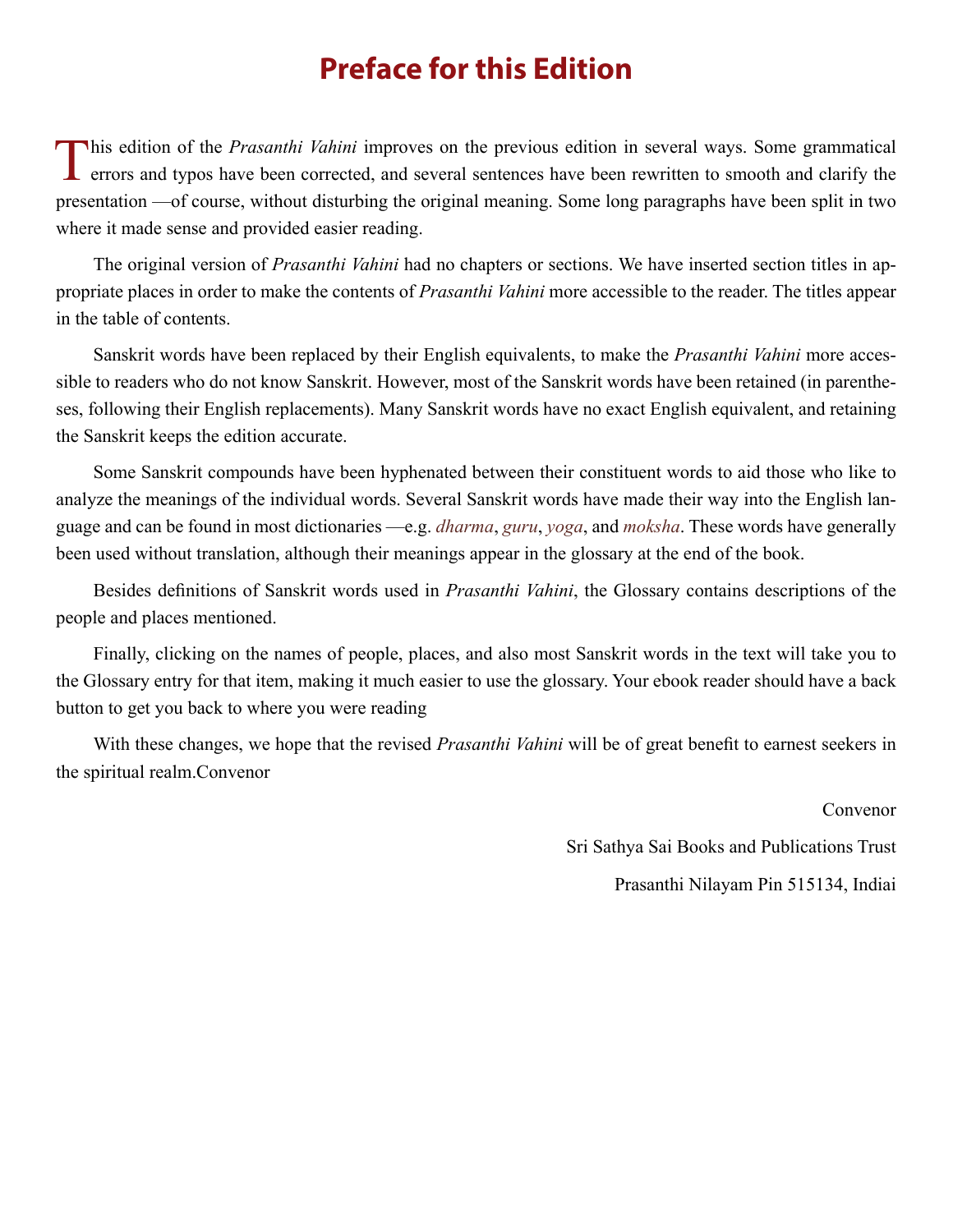# **Preface for this Edition**

<span id="page-6-0"></span>This edition of the *Prasanthi Vahini* improves on the previous edition in several ways. Some grammatical errors and typos have been corrected, and several sentences have been rewritten to smooth and clarify the presentation —of course, without disturbing the original meaning. Some long paragraphs have been split in two where it made sense and provided easier reading.

The original version of *Prasanthi Vahini* had no chapters or sections. We have inserted section titles in appropriate places in order to make the contents of *Prasanthi Vahini* more accessible to the reader. The titles appear in the table of contents.

Sanskrit words have been replaced by their English equivalents, to make the *Prasanthi Vahini* more accessible to readers who do not know Sanskrit. However, most of the Sanskrit words have been retained (in parentheses, following their English replacements). Many Sanskrit words have no exact English equivalent, and retaining the Sanskrit keeps the edition accurate.

Some Sanskrit compounds have been hyphenated between their constituent words to aid those who like to analyze the meanings of the individual words. Several Sanskrit words have made their way into the English language and can be found in most dictionaries —e.g. *[dharma](#page-45-0)*, *[guru](#page-45-1)*, *yoga*, and *[moksha](#page-47-0)*. These words have generally been used without translation, although their meanings appear in the glossary at the end of the book.

Besides definitions of Sanskrit words used in *Prasanthi Vahini*, the Glossary contains descriptions of the people and places mentioned.

Finally, clicking on the names of people, places, and also most Sanskrit words in the text will take you to the Glossary entry for that item, making it much easier to use the glossary. Your ebook reader should have a back button to get you back to where you were reading

With these changes, we hope that the revised *Prasanthi Vahini* will be of great benefit to earnest seekers in the spiritual realm.Convenor

Convenor

Sri Sathya Sai Books and Publications Trust

Prasanthi Nilayam Pin 515134, Indiai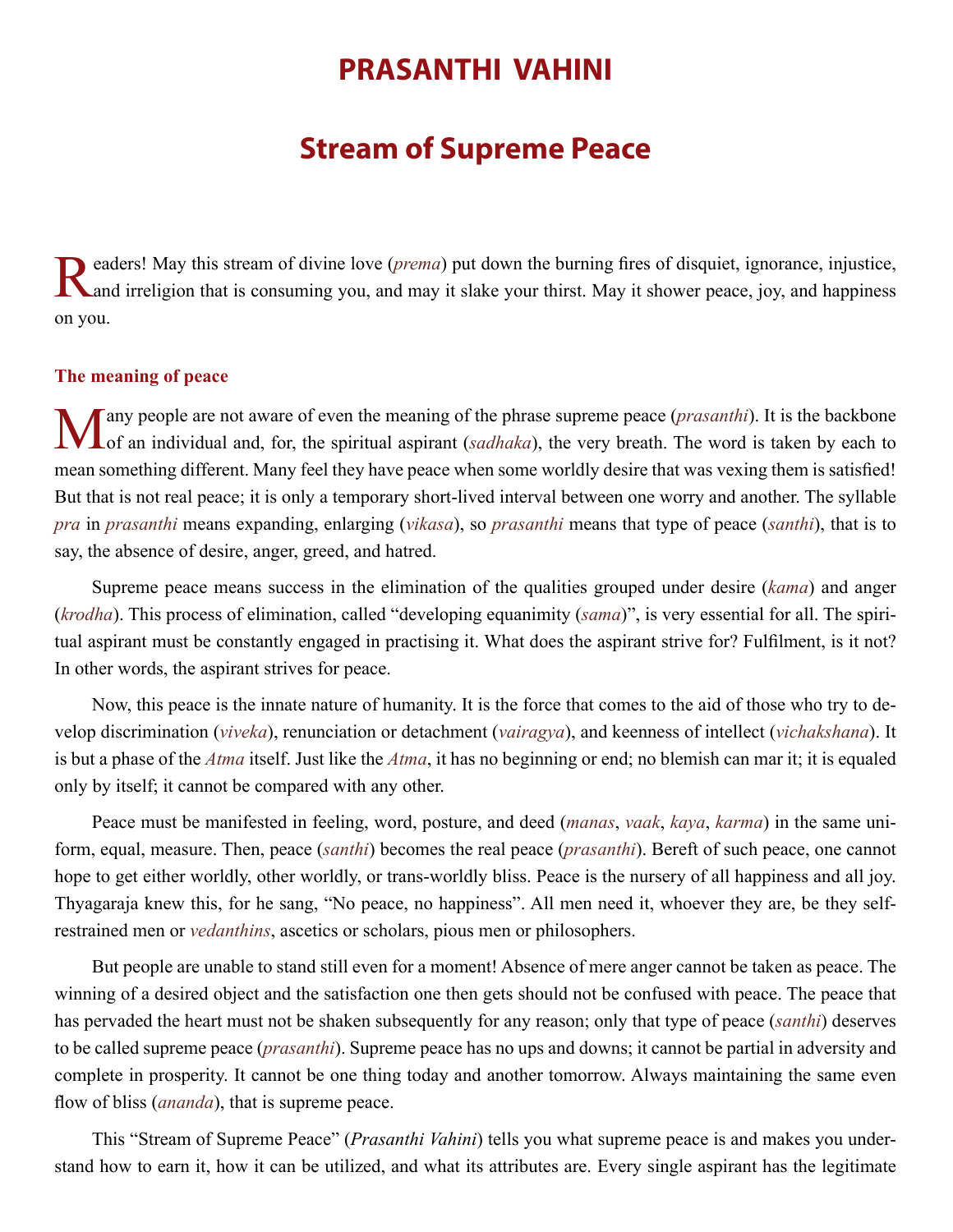## **PRASANTHI VAHINI**

## **Stream of Supreme Peace**

<span id="page-7-0"></span>Readers! May this stream of divine love ([prema](#page-48-1)) put down the burning fires of disquiet, ignorance, injustice,<br>Rand irreligion that is consuming you, and may it slake your thirst. May it shower peace, joy, and happiness on you.

## **The meaning of peace**

Many people are not aware of even the meaning of the phrase supreme peace (*[prasanthi](#page-48-0)*). It is the backbone of an individual and, for, the spiritual aspirant (*sadhaka*), the very breath. The word is taken by each to mean something different. Many feel they have peace when some worldly desire that was vexing them is satisfied! But that is not real peace; it is only a temporary short-lived interval between one worry and another. The syllable *pra* in *[prasanthi](#page-48-0)* means expanding, enlarging (*vikasa*), so *[prasanthi](#page-48-0)* means that type of peace (*santhi*), that is to say, the absence of desire, anger, greed, and hatred.

Supreme peace means success in the elimination of the qualities grouped under desire (*[kama](#page-46-0)*) and anger (*[krodha](#page-46-1)*). This process of elimination, called "developing equanimity (*[sama](#page-49-1)*)", is very essential for all. The spiritual aspirant must be constantly engaged in practising it. What does the aspirant strive for? Fulfilment, is it not? In other words, the aspirant strives for peace.

Now, this peace is the innate nature of humanity. It is the force that comes to the aid of those who try to develop discrimination (*viveka*), renunciation or detachment (*vairagya*), and keenness of intellect (*vichakshana*). It is but a phase of the *[Atma](#page-44-1)* itself. Just like the *[Atma](#page-44-1)*, it has no beginning or end; no blemish can mar it; it is equaled only by itself; it cannot be compared with any other.

Peace must be manifested in feeling, word, posture, and deed (*[manas](#page-47-1)*, *vaak*, *[kaya](#page-46-2)*, *[karma](#page-46-3)*) in the same uniform, equal, measure. Then, peace (*santhi*) becomes the real peace (*[prasanthi](#page-48-0)*). Bereft of such peace, one cannot hope to get either worldly, other worldly, or trans-worldly bliss. Peace is the nursery of all happiness and all joy. [Thyagaraja](#page-51-0) knew this, for he sang, "No peace, no happiness". All men need it, whoever they are, be they selfrestrained men or *vedanthins*, ascetics or scholars, pious men or philosophers.

But people are unable to stand still even for a moment! Absence of mere anger cannot be taken as peace. The winning of a desired object and the satisfaction one then gets should not be confused with peace. The peace that has pervaded the heart must not be shaken subsequently for any reason; only that type of peace (*santhi*) deserves to be called supreme peace (*[prasanthi](#page-48-0)*). Supreme peace has no ups and downs; it cannot be partial in adversity and complete in prosperity. It cannot be one thing today and another tomorrow. Always maintaining the same even flow of bliss *([ananda](#page-43-1))*, that is supreme peace.

This "Stream of Supreme Peace" (*Prasanthi Vahini*) tells you what supreme peace is and makes you understand how to earn it, how it can be utilized, and what its attributes are. Every single aspirant has the legitimate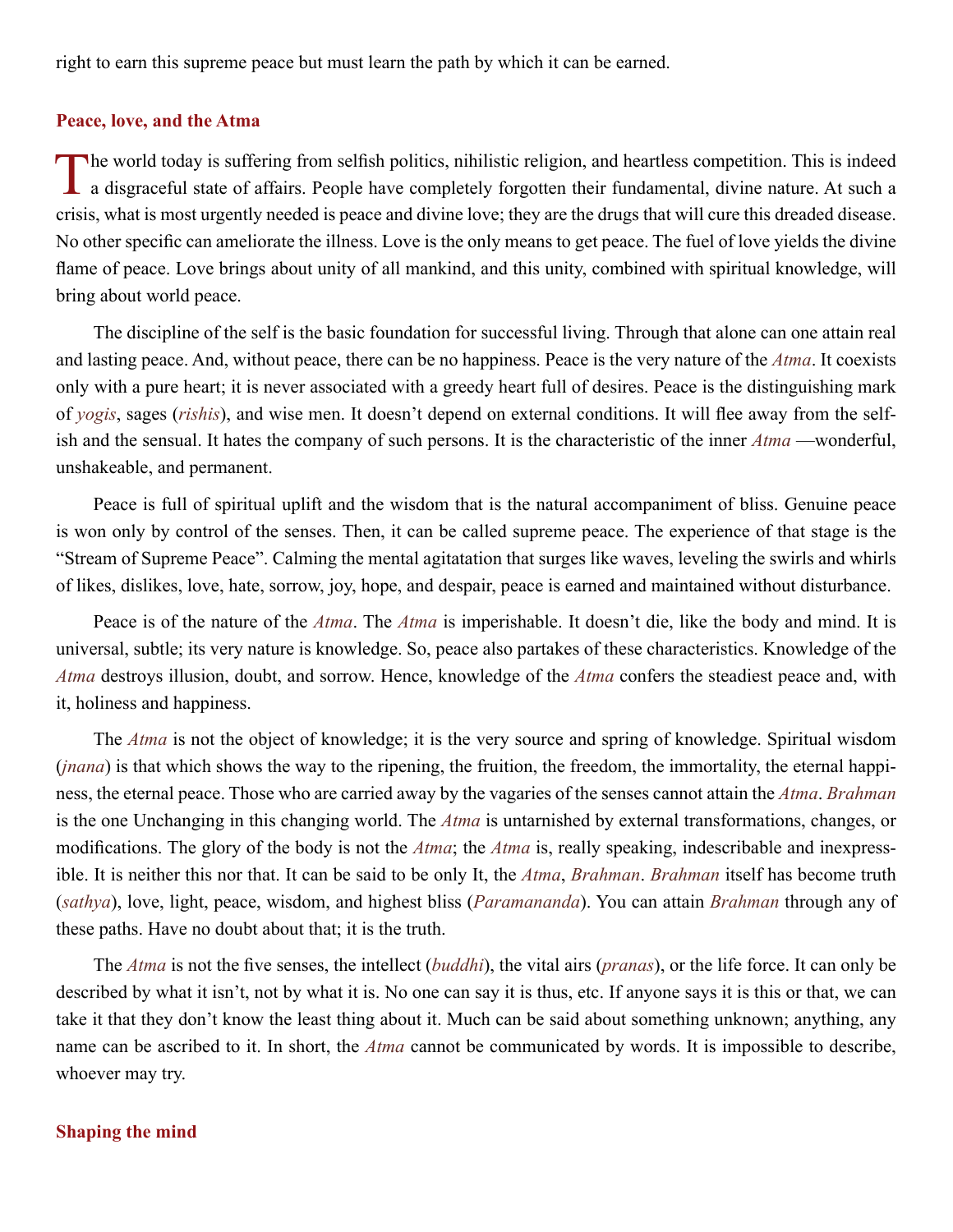<span id="page-8-0"></span>right to earn this supreme peace but must learn the path by which it can be earned.

## **Peace, love, and the Atma**

The world today is suffering from selfish politics, nihilistic religion, and heartless competition. This is indeed a disgraceful state of affairs. People have completely forgotten their fundamental, divine nature. At such crisis, what is most urgently needed is peace and divine love; they are the drugs that will cure this dreaded disease. No other specific can ameliorate the illness. Love is the only means to get peace. The fuel of love yields the divine flame of peace. Love brings about unity of all mankind, and this unity, combined with spiritual knowledge, will bring about world peace.

The discipline of the self is the basic foundation for successful living. Through that alone can one attain real and lasting peace. And, without peace, there can be no happiness. Peace is the very nature of the *[Atma](#page-44-1)*. It coexists only with a pure heart; it is never associated with a greedy heart full of desires. Peace is the distinguishing mark of *yogis*, sages (*[rishis](#page-49-2)*), and wise men. It doesn't depend on external conditions. It will flee away from the selfish and the sensual. It hates the company of such persons. It is the characteristic of the inner *[Atma](#page-44-1)* —wonderful, unshakeable, and permanent.

Peace is full of spiritual uplift and the wisdom that is the natural accompaniment of bliss. Genuine peace is won only by control of the senses. Then, it can be called supreme peace. The experience of that stage is the "Stream of Supreme Peace". Calming the mental agitatation that surges like waves, leveling the swirls and whirls of likes, dislikes, love, hate, sorrow, joy, hope, and despair, peace is earned and maintained without disturbance.

Peace is of the nature of the *[Atma](#page-44-1)*. The *[Atma](#page-44-1)* is imperishable. It doesn't die, like the body and mind. It is universal, subtle; its very nature is knowledge. So, peace also partakes of these characteristics. Knowledge of the *[Atma](#page-44-1)* destroys illusion, doubt, and sorrow. Hence, knowledge of the *[Atma](#page-44-1)* confers the steadiest peace and, with it, holiness and happiness.

The *[Atma](#page-44-1)* is not the object of knowledge; it is the very source and spring of knowledge. Spiritual wisdom (*[jnana](#page-46-4)*) is that which shows the way to the ripening, the fruition, the freedom, the immortality, the eternal happiness, the eternal peace. Those who are carried away by the vagaries of the senses cannot attain the *[Atma](#page-44-1)*. *[Brahman](#page-44-2)* is the one Unchanging in this changing world. The *[Atma](#page-44-1)* is untarnished by external transformations, changes, or modifications. The glory of the body is not the *[Atma](#page-44-1)*; the *[Atma](#page-44-1)* is, really speaking, indescribable and inexpressible. It is neither this nor that. It can be said to be only It, the *[Atma](#page-44-1)*, *[Brahman](#page-44-2)*. *[Brahman](#page-44-2)* itself has become truth (*sathya*), love, light, peace, wisdom, and highest bliss (*[Paramananda](#page-48-2)*). You can attain *[Brahman](#page-44-2)* through any of these paths. Have no doubt about that; it is the truth.

The *[Atma](#page-44-1)* is not the five senses, the intellect (*[buddhi](#page-45-2)*), the vital airs (*[pranas](#page-48-3)*), or the life force. It can only be described by what it isn't, not by what it is. No one can say it is thus, etc. If anyone says it is this or that, we can take it that they don't know the least thing about it. Much can be said about something unknown; anything, any name can be ascribed to it. In short, the *[Atma](#page-44-1)* cannot be communicated by words. It is impossible to describe, whoever may try.

## **Shaping the mind**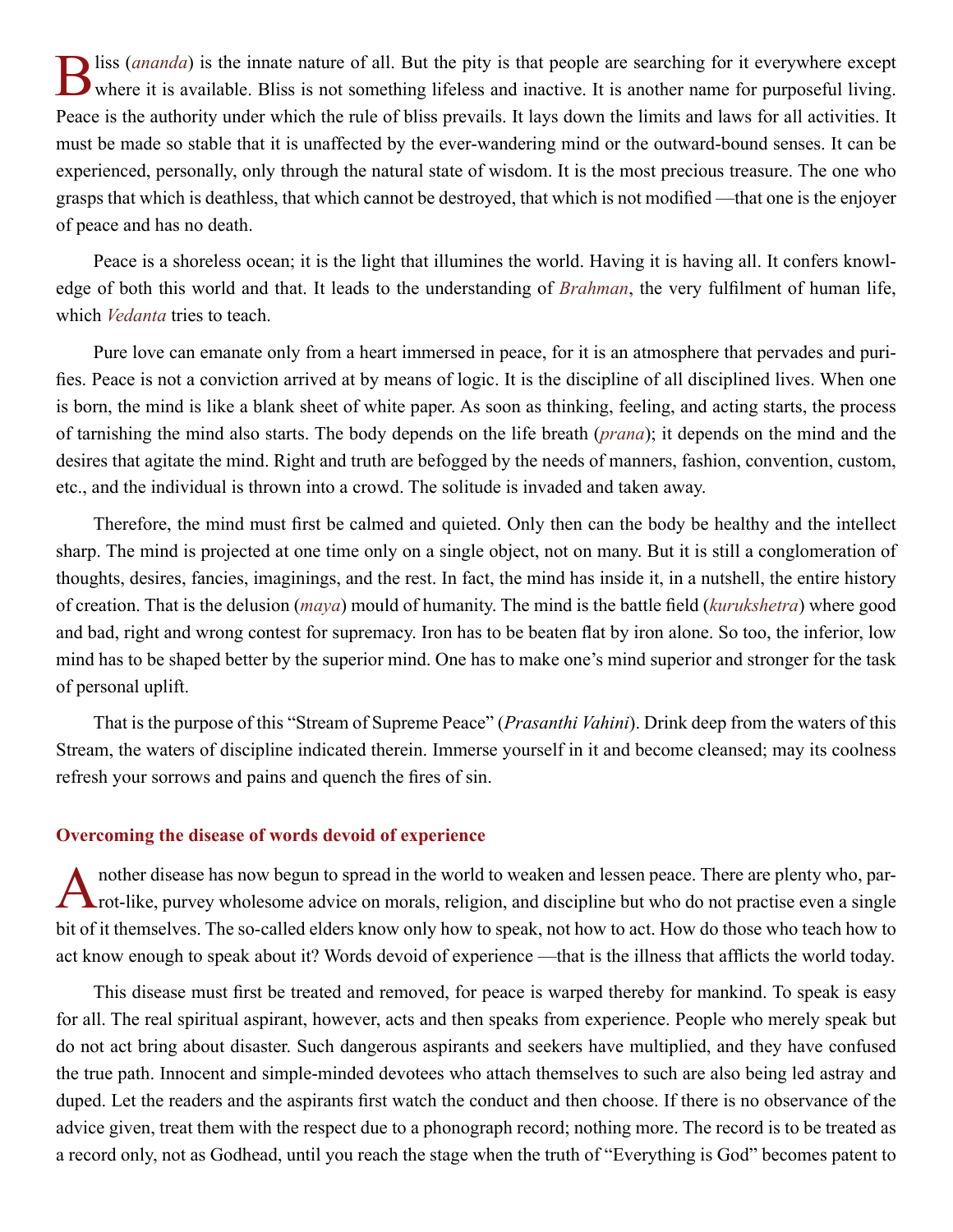<span id="page-9-0"></span>B liss ([ananda](#page-43-1)) is the innate nature of all. But the pity is that people are searching for it everywhere except<br>where it is available. Bliss is not something lifeless and inactive. It is another name for purposeful living. Peace is the authority under which the rule of bliss prevails. It lays down the limits and laws for all activities. It must be made so stable that it is unaffected by the ever-wandering mind or the outward-bound senses. It can be experienced, personally, only through the natural state of wisdom. It is the most precious treasure. The one who grasps that which is deathless, that which cannot be destroyed, that which is not modified —that one is the enjoyer of peace and has no death.

Peace is a shoreless ocean; it is the light that illumines the world. Having it is having all. It confers knowledge of both this world and that. It leads to the understanding of *[Brahman](#page-44-2)*, the very fulfilment of human life, which *[Vedanta](#page-51-1)* tries to teach.

Pure love can emanate only from a heart immersed in peace, for it is an atmosphere that pervades and purifies. Peace is not a conviction arrived at by means of logic. It is the discipline of all disciplined lives. When one is born, the mind is like a blank sheet of white paper. As soon as thinking, feeling, and acting starts, the process of tarnishing the mind also starts. The body depends on the life breath (*[prana](#page-48-3)*); it depends on the mind and the desires that agitate the mind. Right and truth are befogged by the needs of manners, fashion, convention, custom, etc., and the individual is thrown into a crowd. The solitude is invaded and taken away.

Therefore, the mind must first be calmed and quieted. Only then can the body be healthy and the intellect sharp. The mind is projected at one time only on a single object, not on many. But it is still a conglomeration of thoughts, desires, fancies, imaginings, and the rest. In fact, the mind has inside it, in a nutshell, the entire history of creation. That is the delusion (*[maya](#page-47-2)*) mould of humanity. The mind is the battle field (*[kurukshetra](#page-46-5)*) where good and bad, right and wrong contest for supremacy. Iron has to be beaten flat by iron alone. So too, the inferior, low mind has to be shaped better by the superior mind. One has to make one's mind superior and stronger for the task of personal uplift.

That is the purpose of this "Stream of Supreme Peace" (*Prasanthi Vahini*). Drink deep from the waters of this Stream, the waters of discipline indicated therein. Immerse yourself in it and become cleansed; may its coolness refresh your sorrows and pains and quench the fires of sin.

#### **Overcoming the disease of words devoid of experience**

Another disease has now begun to spread in the world to weaken and lessen peace. There are plenty who, par-<br>rot-like, purvey wholesome advice on morals, religion, and discipline but who do not practise even a single bit of it themselves. The so-called elders know only how to speak, not how to act. How do those who teach how to act know enough to speak about it? Words devoid of experience —that is the illness that afflicts the world today.

This disease must first be treated and removed, for peace is warped thereby for mankind. To speak is easy for all. The real spiritual aspirant, however, acts and then speaks from experience. People who merely speak but do not act bring about disaster. Such dangerous aspirants and seekers have multiplied, and they have confused the true path. Innocent and simple-minded devotees who attach themselves to such are also being led astray and duped. Let the readers and the aspirants first watch the conduct and then choose. If there is no observance of the advice given, treat them with the respect due to a phonograph record; nothing more. The record is to be treated as a record only, not as Godhead, until you reach the stage when the truth of "Everything is God" becomes patent to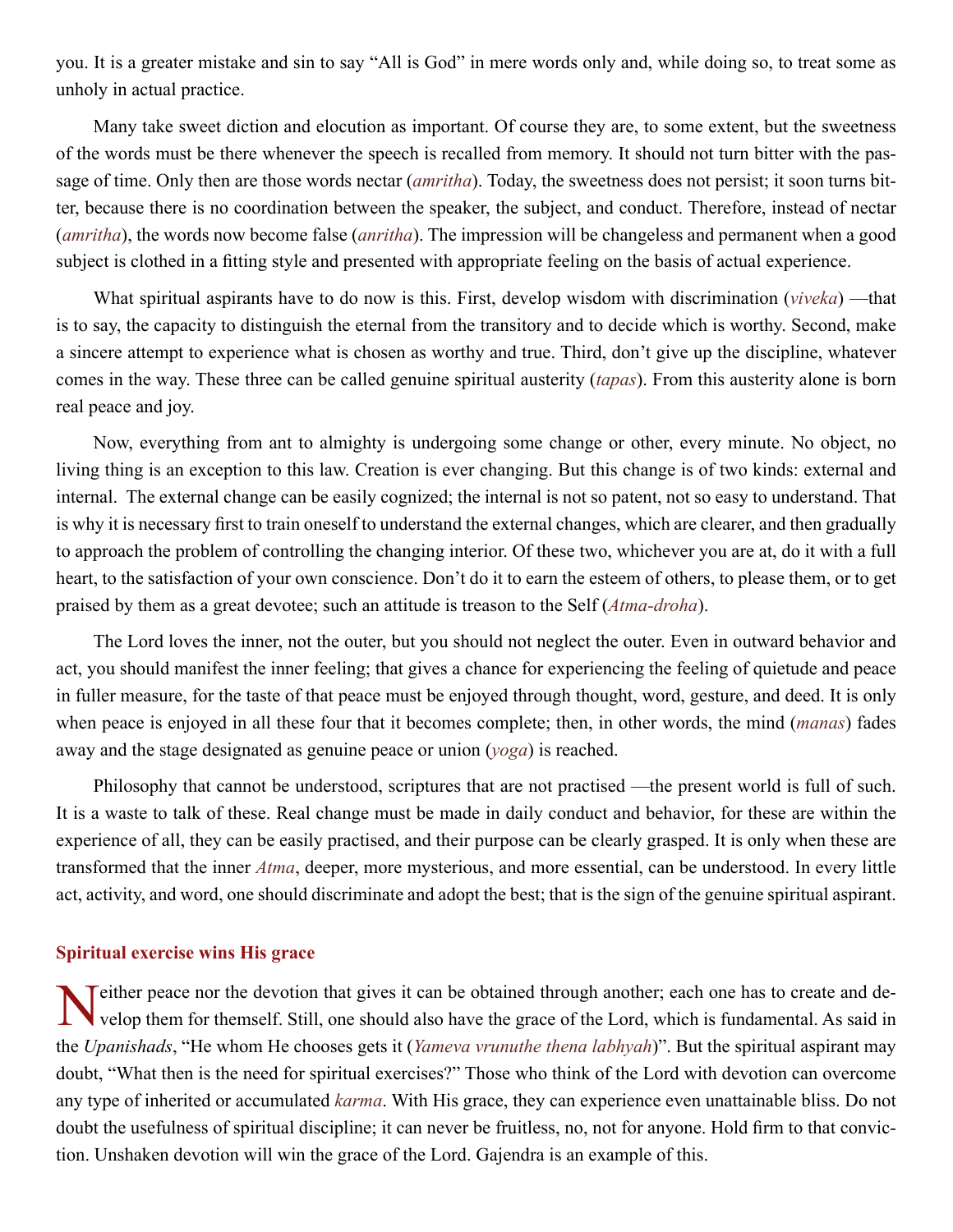<span id="page-10-0"></span>you. It is a greater mistake and sin to say "All is God" in mere words only and, while doing so, to treat some as unholy in actual practice.

Many take sweet diction and elocution as important. Of course they are, to some extent, but the sweetness of the words must be there whenever the speech is recalled from memory. It should not turn bitter with the passage of time. Only then are those words nectar (*amritha*). Today, the sweetness does not persist; it soon turns bitter, because there is no coordination between the speaker, the subject, and conduct. Therefore, instead of nectar (*[amritha](#page-43-2)*), the words now become false (*[anritha](#page-43-3)*). The impression will be changeless and permanent when a good subject is clothed in a fitting style and presented with appropriate feeling on the basis of actual experience.

What spiritual aspirants have to do now is this. First, develop wisdom with discrimination (*viveka*) —that is to say, the capacity to distinguish the eternal from the transitory and to decide which is worthy. Second, make a sincere attempt to experience what is chosen as worthy and true. Third, don't give up the discipline, whatever comes in the way. These three can be called genuine spiritual austerity (*tapas*). From this austerity alone is born real peace and joy.

Now, everything from ant to almighty is undergoing some change or other, every minute. No object, no living thing is an exception to this law. Creation is ever changing. But this change is of two kinds: external and internal. The external change can be easily cognized; the internal is not so patent, not so easy to understand. That is why it is necessary first to train oneself to understand the external changes, which are clearer, and then gradually to approach the problem of controlling the changing interior. Of these two, whichever you are at, do it with a full heart, to the satisfaction of your own conscience. Don't do it to earn the esteem of others, to please them, or to get praised by them as a great devotee; such an attitude is treason to the Self (*[Atma-droha](#page-44-3)*).

The Lord loves the inner, not the outer, but you should not neglect the outer. Even in outward behavior and act, you should manifest the inner feeling; that gives a chance for experiencing the feeling of quietude and peace in fuller measure, for the taste of that peace must be enjoyed through thought, word, gesture, and deed. It is only when peace is enjoyed in all these four that it becomes complete; then, in other words, the mind (*[manas](#page-47-1)*) fades away and the stage designated as genuine peace or union (*yoga*) is reached.

Philosophy that cannot be understood, scriptures that are not practised —the present world is full of such. It is a waste to talk of these. Real change must be made in daily conduct and behavior, for these are within the experience of all, they can be easily practised, and their purpose can be clearly grasped. It is only when these are transformed that the inner *[Atma](#page-44-1)*, deeper, more mysterious, and more essential, can be understood. In every little act, activity, and word, one should discriminate and adopt the best; that is the sign of the genuine spiritual aspirant.

## **Spiritual exercise wins His grace**

Neither peace nor the devotion that gives it can be obtained through another; each one has to create and develop them for themself. Still, one should also have the grace of the Lord, which is fundamental. As said in the *[Upanishads](#page-51-2)*, "He whom He chooses gets it (*Yameva vrunuthe thena labhyah*)". But the spiritual aspirant may doubt, "What then is the need for spiritual exercises?" Those who think of the Lord with devotion can overcome any type of inherited or accumulated *[karma](#page-46-3)*. With His grace, they can experience even unattainable bliss. Do not doubt the usefulness of spiritual discipline; it can never be fruitless, no, not for anyone. Hold firm to that conviction. Unshaken devotion will win the grace of the Lord. [Gajendra](#page-45-3) is an example of this.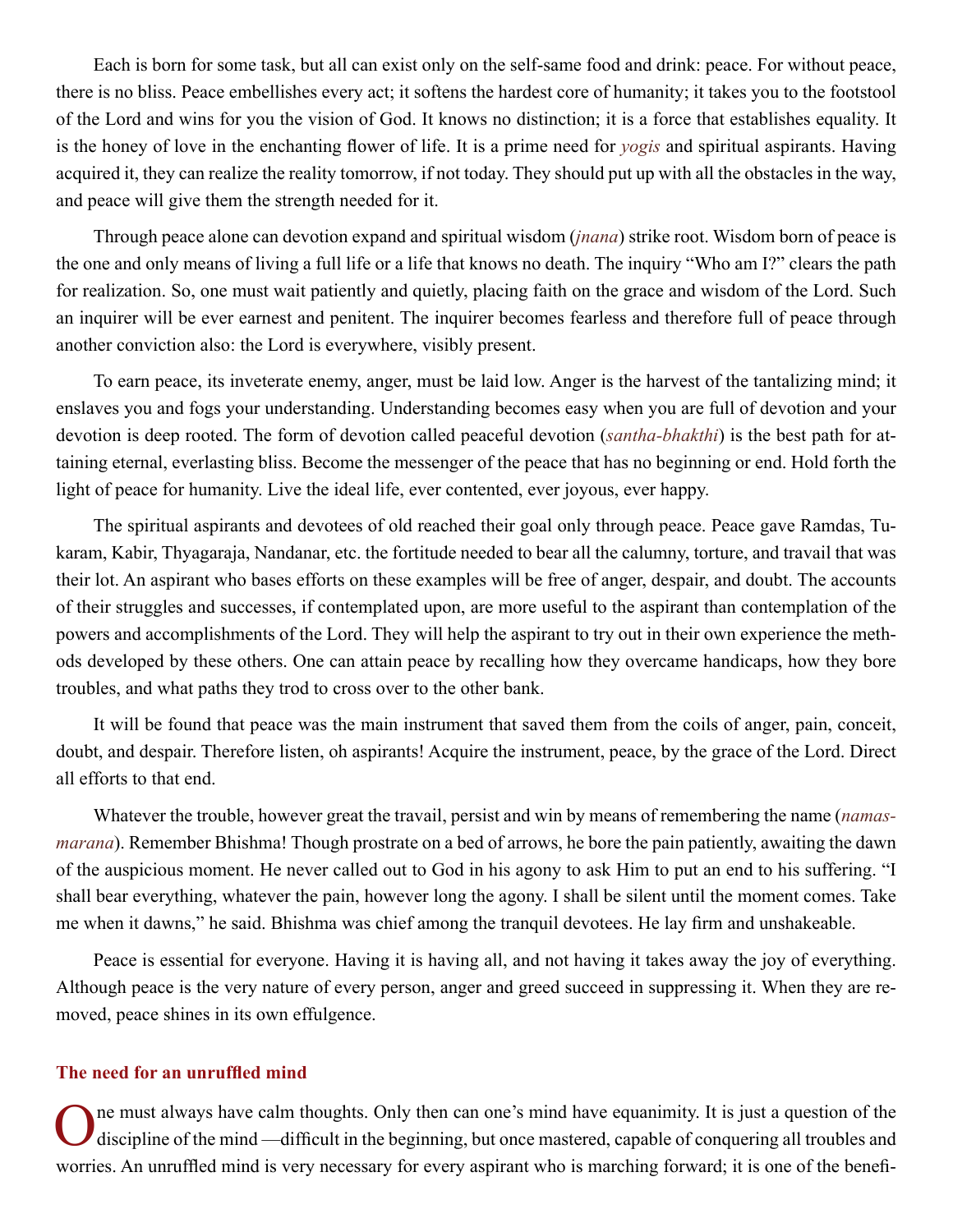<span id="page-11-0"></span>Each is born for some task, but all can exist only on the self-same food and drink: peace. For without peace, there is no bliss. Peace embellishes every act; it softens the hardest core of humanity; it takes you to the footstool of the Lord and wins for you the vision of God. It knows no distinction; it is a force that establishes equality. It is the honey of love in the enchanting flower of life. It is a prime need for *yogis* and spiritual aspirants. Having acquired it, they can realize the reality tomorrow, if not today. They should put up with all the obstacles in the way, and peace will give them the strength needed for it.

Through peace alone can devotion expand and spiritual wisdom (*[jnana](#page-46-4)*) strike root. Wisdom born of peace is the one and only means of living a full life or a life that knows no death. The inquiry "Who am I?" clears the path for realization. So, one must wait patiently and quietly, placing faith on the grace and wisdom of the Lord. Such an inquirer will be ever earnest and penitent. The inquirer becomes fearless and therefore full of peace through another conviction also: the Lord is everywhere, visibly present.

To earn peace, its inveterate enemy, anger, must be laid low. Anger is the harvest of the tantalizing mind; it enslaves you and fogs your understanding. Understanding becomes easy when you are full of devotion and your devotion is deep rooted. The form of devotion called peaceful devotion (*[santha-bhakthi](#page-50-0)*) is the best path for attaining eternal, everlasting bliss. Become the messenger of the peace that has no beginning or end. Hold forth the light of peace for humanity. Live the ideal life, ever contented, ever joyous, ever happy.

The spiritual aspirants and devotees of old reached their goal only through peace. Peace gave [Ramdas](#page-49-3), [Tu](#page-51-3)[karam,](#page-51-3) [Kabir](#page-46-6), [Thyagaraja,](#page-51-0) [Nandanar,](#page-47-3) etc. the fortitude needed to bear all the calumny, torture, and travail that was their lot. An aspirant who bases efforts on these examples will be free of anger, despair, and doubt. The accounts of their struggles and successes, if contemplated upon, are more useful to the aspirant than contemplation of the powers and accomplishments of the Lord. They will help the aspirant to try out in their own experience the methods developed by these others. One can attain peace by recalling how they overcame handicaps, how they bore troubles, and what paths they trod to cross over to the other bank.

It will be found that peace was the main instrument that saved them from the coils of anger, pain, conceit, doubt, and despair. Therefore listen, oh aspirants! Acquire the instrument, peace, by the grace of the Lord. Direct all efforts to that end.

Whatever the trouble, however great the travail, persist and win by means of remembering the name (*[namas](#page-47-4)[marana](#page-47-4)*). Remember [Bhishma!](#page-44-4) Though prostrate on a bed of arrows, he bore the pain patiently, awaiting the dawn of the auspicious moment. He never called out to God in his agony to ask Him to put an end to his suffering. "I shall bear everything, whatever the pain, however long the agony. I shall be silent until the moment comes. Take me when it dawns," he said. [Bhishma](#page-44-4) was chief among the tranquil devotees. He lay firm and unshakeable.

Peace is essential for everyone. Having it is having all, and not having it takes away the joy of everything. Although peace is the very nature of every person, anger and greed succeed in suppressing it. When they are removed, peace shines in its own effulgence.

## **The need for an unruffled mind**

ne must always have calm thoughts. Only then can one's mind have equanimity. It is just a question of the discipline of the mind —difficult in the beginning, but once mastered, capable of conquering all troubles and worries. An unruffled mind is very necessary for every aspirant who is marching forward; it is one of the benefi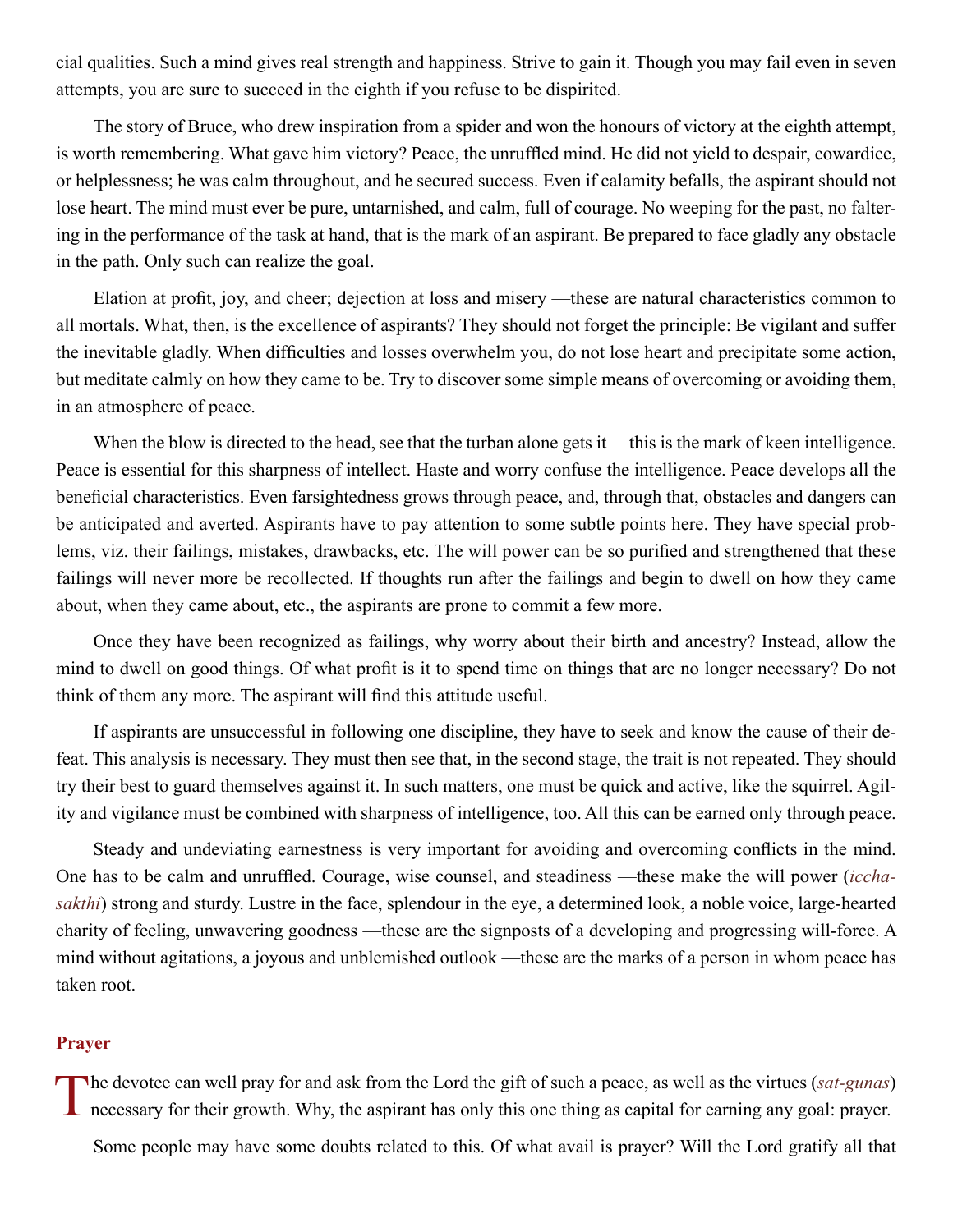<span id="page-12-0"></span>cial qualities. Such a mind gives real strength and happiness. Strive to gain it. Though you may fail even in seven attempts, you are sure to succeed in the eighth if you refuse to be dispirited.

The story of Bruce, who drew inspiration from a spider and won the honours of victory at the eighth attempt, is worth remembering. What gave him victory? Peace, the unruffled mind. He did not yield to despair, cowardice, or helplessness; he was calm throughout, and he secured success. Even if calamity befalls, the aspirant should not lose heart. The mind must ever be pure, untarnished, and calm, full of courage. No weeping for the past, no faltering in the performance of the task at hand, that is the mark of an aspirant. Be prepared to face gladly any obstacle in the path. Only such can realize the goal.

Elation at profit, joy, and cheer; dejection at loss and misery —these are natural characteristics common to all mortals. What, then, is the excellence of aspirants? They should not forget the principle: Be vigilant and suffer the inevitable gladly. When difficulties and losses overwhelm you, do not lose heart and precipitate some action, but meditate calmly on how they came to be. Try to discover some simple means of overcoming or avoiding them, in an atmosphere of peace.

When the blow is directed to the head, see that the turban alone gets it —this is the mark of keen intelligence. Peace is essential for this sharpness of intellect. Haste and worry confuse the intelligence. Peace develops all the beneficial characteristics. Even farsightedness grows through peace, and, through that, obstacles and dangers can be anticipated and averted. Aspirants have to pay attention to some subtle points here. They have special problems, viz. their failings, mistakes, drawbacks, etc. The will power can be so purified and strengthened that these failings will never more be recollected. If thoughts run after the failings and begin to dwell on how they came about, when they came about, etc., the aspirants are prone to commit a few more.

Once they have been recognized as failings, why worry about their birth and ancestry? Instead, allow the mind to dwell on good things. Of what profit is it to spend time on things that are no longer necessary? Do not think of them any more. The aspirant will find this attitude useful.

If aspirants are unsuccessful in following one discipline, they have to seek and know the cause of their defeat. This analysis is necessary. They must then see that, in the second stage, the trait is not repeated. They should try their best to guard themselves against it. In such matters, one must be quick and active, like the squirrel. Agility and vigilance must be combined with sharpness of intelligence, too. All this can be earned only through peace.

Steady and undeviating earnestness is very important for avoiding and overcoming conflicts in the mind. One has to be calm and unruffled. Courage, wise counsel, and steadiness —these make the will power (*[iccha](#page-46-7)[sakthi](#page-46-7)*) strong and sturdy. Lustre in the face, splendour in the eye, a determined look, a noble voice, large-hearted charity of feeling, unwavering goodness —these are the signposts of a developing and progressing will-force. A mind without agitations, a joyous and unblemished outlook —these are the marks of a person in whom peace has taken root.

## **Prayer**

The devotee can well pray for and ask from the Lord the gift of such a peace, as well as the virtues (*sat-gunas*) **L** necessary for their growth. Why, the aspirant has only this one thing as capital for earning any goal: prayer.

Some people may have some doubts related to this. Of what avail is prayer? Will the Lord gratify all that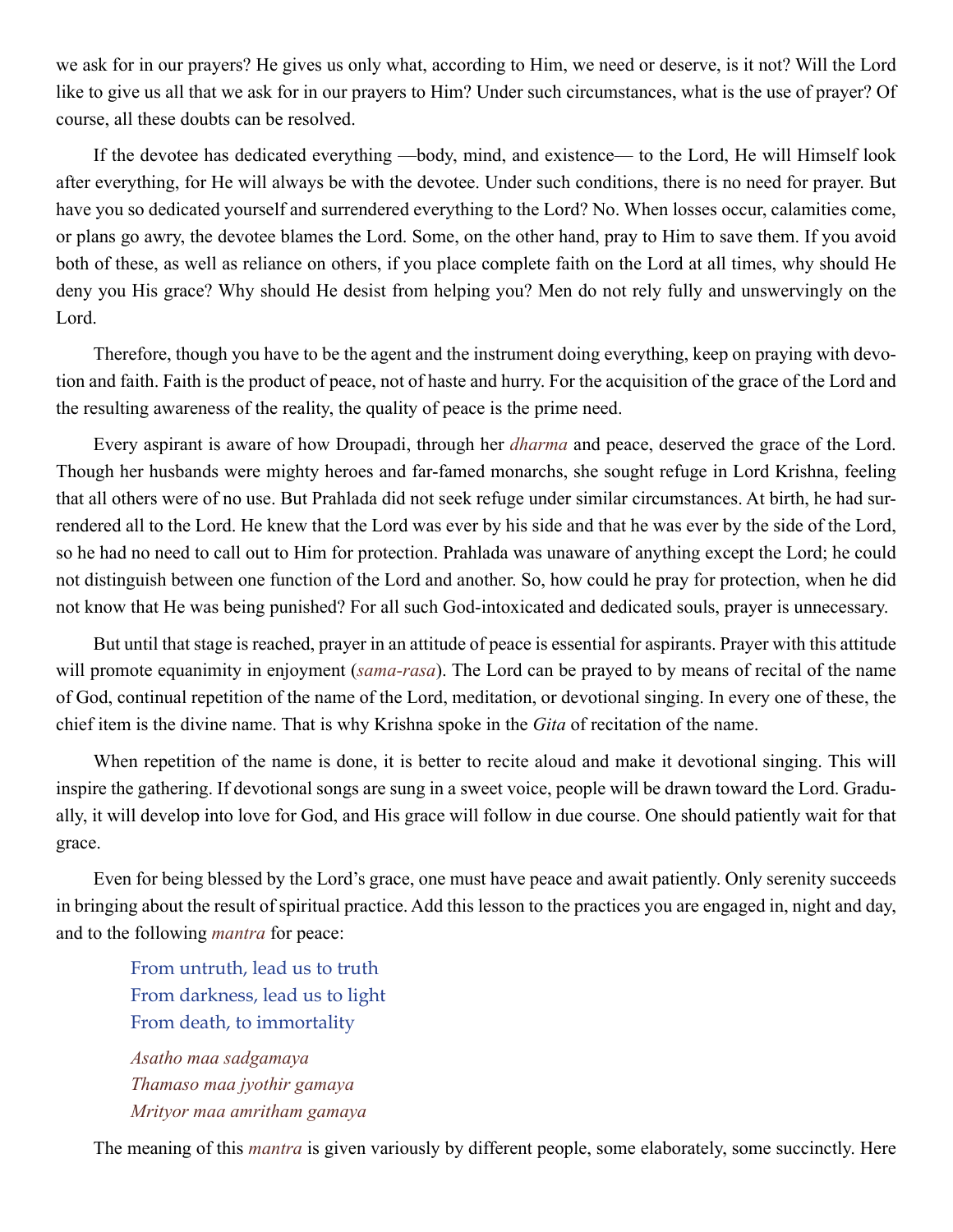we ask for in our prayers? He gives us only what, according to Him, we need or deserve, is it not? Will the Lord like to give us all that we ask for in our prayers to Him? Under such circumstances, what is the use of prayer? Of course, all these doubts can be resolved.

If the devotee has dedicated everything —body, mind, and existence— to the Lord, He will Himself look after everything, for He will always be with the devotee. Under such conditions, there is no need for prayer. But have you so dedicated yourself and surrendered everything to the Lord? No. When losses occur, calamities come, or plans go awry, the devotee blames the Lord. Some, on the other hand, pray to Him to save them. If you avoid both of these, as well as reliance on others, if you place complete faith on the Lord at all times, why should He deny you His grace? Why should He desist from helping you? Men do not rely fully and unswervingly on the Lord.

Therefore, though you have to be the agent and the instrument doing everything, keep on praying with devotion and faith. Faith is the product of peace, not of haste and hurry. For the acquisition of the grace of the Lord and the resulting awareness of the reality, the quality of peace is the prime need.

Every aspirant is aware of how [Droupadi](#page-45-4), through her *[dharma](#page-45-0)* and peace, deserved the grace of the Lord. Though her husbands were mighty heroes and far-famed monarchs, she sought refuge in Lord [Krishna](#page-46-8), feeling that all others were of no use. But [Prahlada](#page-48-4) did not seek refuge under similar circumstances. At birth, he had surrendered all to the Lord. He knew that the Lord was ever by his side and that he was ever by the side of the Lord, so he had no need to call out to Him for protection. [Prahlada](#page-48-4) was unaware of anything except the Lord; he could not distinguish between one function of the Lord and another. So, how could he pray for protection, when he did not know that He was being punished? For all such God-intoxicated and dedicated souls, prayer is unnecessary.

But until that stage is reached, prayer in an attitude of peace is essential for aspirants. Prayer with this attitude will promote equanimity in enjoyment (*[sama-rasa](#page-49-4)*). The Lord can be prayed to by means of recital of the name of God, continual repetition of the name of the Lord, meditation, or devotional singing. In every one of these, the chief item is the divine name. That is why [Krishna](#page-46-8) spoke in the *[Gita](#page-45-5)* of recitation of the name.

When repetition of the name is done, it is better to recite aloud and make it devotional singing. This will inspire the gathering. If devotional songs are sung in a sweet voice, people will be drawn toward the Lord. Gradually, it will develop into love for God, and His grace will follow in due course. One should patiently wait for that grace.

Even for being blessed by the Lord's grace, one must have peace and await patiently. Only serenity succeeds in bringing about the result of spiritual practice. Add this lesson to the practices you are engaged in, night and day, and to the following *[mantra](#page-47-5)* for peace:

From untruth, lead us to truth From darkness, lead us to light From death, to immortality

*Asatho maa sadgamaya Thamaso maa jyothir gamaya Mrityor maa amritham gamaya*

The meaning of this *[mantra](#page-47-5)* is given variously by different people, some elaborately, some succinctly. Here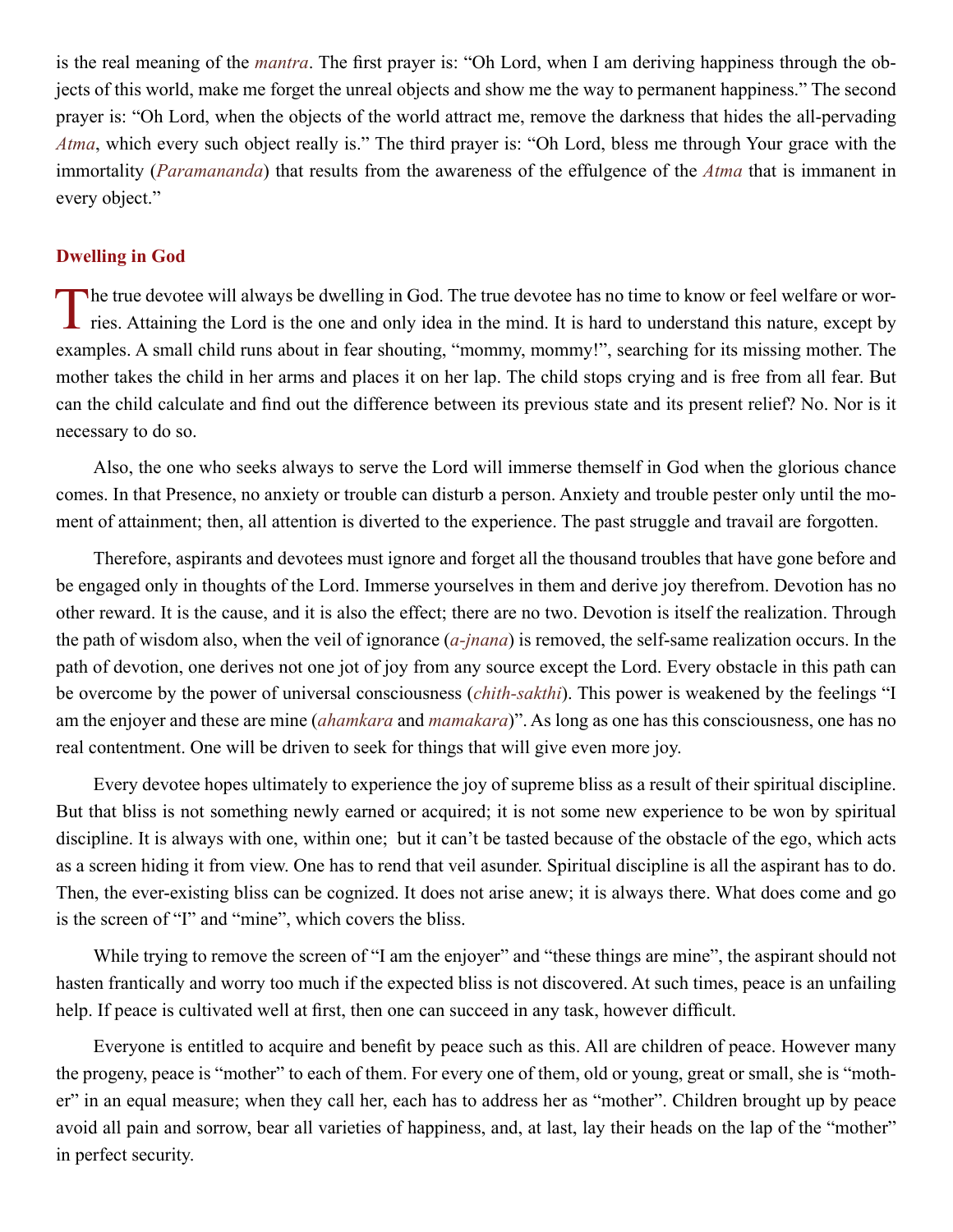<span id="page-14-0"></span>is the real meaning of the *[mantra](#page-47-5)*. The first prayer is: "Oh Lord, when I am deriving happiness through the objects of this world, make me forget the unreal objects and show me the way to permanent happiness." The second prayer is: "Oh Lord, when the objects of the world attract me, remove the darkness that hides the all-pervading *[Atma](#page-44-1)*, which every such object really is." The third prayer is: "Oh Lord, bless me through Your grace with the immortality (*[Paramananda](#page-48-2)*) that results from the awareness of the effulgence of the *[Atma](#page-44-1)* that is immanent in every object."

## **Dwelling in God**

The true devotee will always be dwelling in God. The true devotee has no time to know or feel welfare or wor-<br>ries. Attaining the Lord is the one and only idea in the mind. It is hard to understand this nature, except by examples. A small child runs about in fear shouting, "mommy, mommy!", searching for its missing mother. The mother takes the child in her arms and places it on her lap. The child stops crying and is free from all fear. But can the child calculate and find out the difference between its previous state and its present relief? No. Nor is it necessary to do so.

Also, the one who seeks always to serve the Lord will immerse themself in God when the glorious chance comes. In that Presence, no anxiety or trouble can disturb a person. Anxiety and trouble pester only until the moment of attainment; then, all attention is diverted to the experience. The past struggle and travail are forgotten.

Therefore, aspirants and devotees must ignore and forget all the thousand troubles that have gone before and be engaged only in thoughts of the Lord. Immerse yourselves in them and derive joy therefrom. Devotion has no other reward. It is the cause, and it is also the effect; there are no two. Devotion is itself the realization. Through the path of wisdom also, when the veil of ignorance (*[a-jnana](#page-43-4)*) is removed, the self-same realization occurs. In the path of devotion, one derives not one jot of joy from any source except the Lord. Every obstacle in this path can be overcome by the power of universal consciousness (*[chith-sakthi](#page-45-6)*). This power is weakened by the feelings "I am the enjoyer and these are mine (*[ahamkara](#page-43-5)* and *[mamakara](#page-47-6)*)". As long as one has this consciousness, one has no real contentment. One will be driven to seek for things that will give even more joy.

Every devotee hopes ultimately to experience the joy of supreme bliss as a result of their spiritual discipline. But that bliss is not something newly earned or acquired; it is not some new experience to be won by spiritual discipline. It is always with one, within one; but it can't be tasted because of the obstacle of the ego, which acts as a screen hiding it from view. One has to rend that veil asunder. Spiritual discipline is all the aspirant has to do. Then, the ever-existing bliss can be cognized. It does not arise anew; it is always there. What does come and go is the screen of "I" and "mine", which covers the bliss.

While trying to remove the screen of "I am the enjoyer" and "these things are mine", the aspirant should not hasten frantically and worry too much if the expected bliss is not discovered. At such times, peace is an unfailing help. If peace is cultivated well at first, then one can succeed in any task, however difficult.

Everyone is entitled to acquire and benefit by peace such as this. All are children of peace. However many the progeny, peace is "mother" to each of them. For every one of them, old or young, great or small, she is "mother" in an equal measure; when they call her, each has to address her as "mother". Children brought up by peace avoid all pain and sorrow, bear all varieties of happiness, and, at last, lay their heads on the lap of the "mother" in perfect security.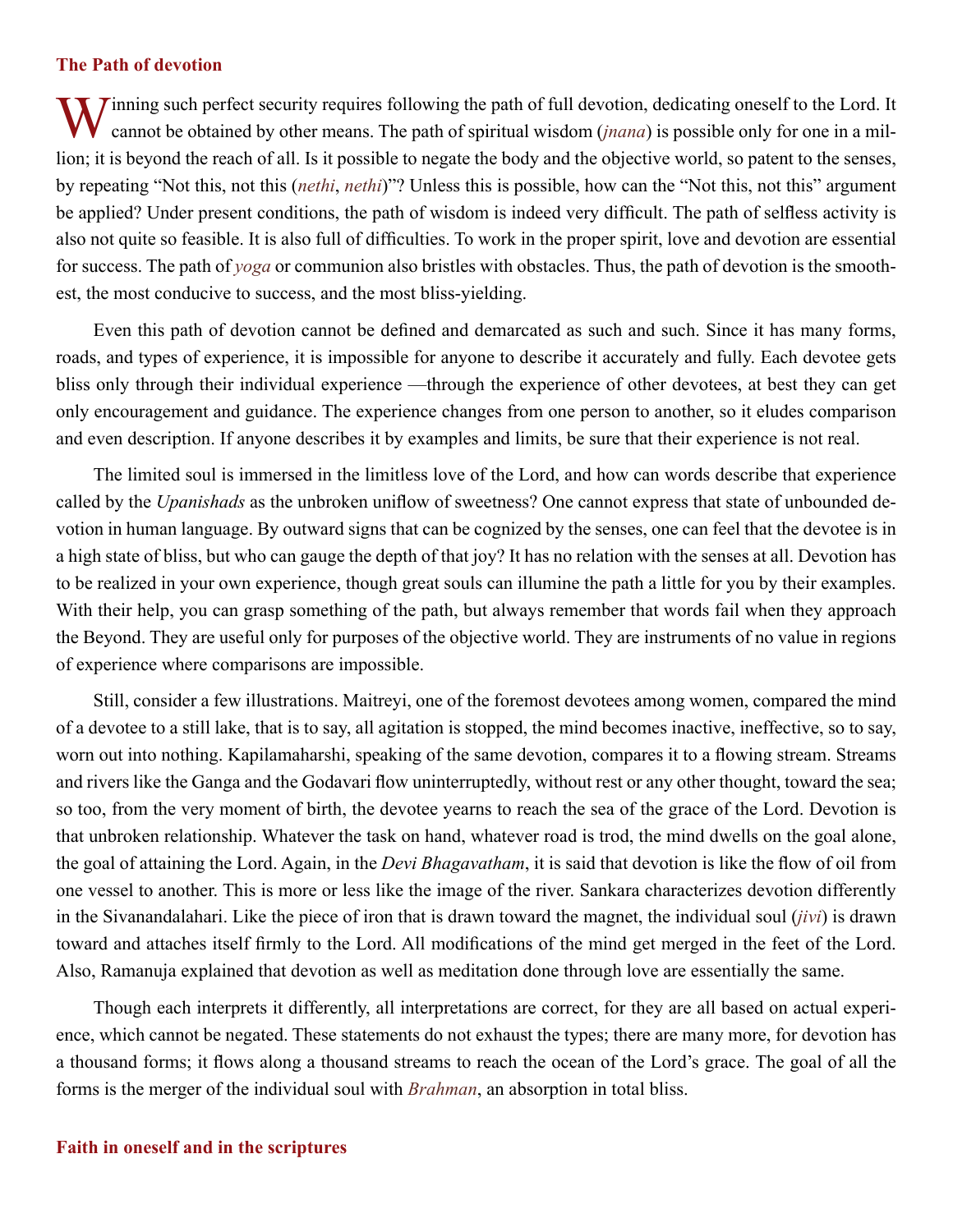## <span id="page-15-0"></span>**The Path of devotion**

Vinning such perfect security requires following the path of full devotion, dedicating oneself to the Lord. It cannot be obtained by other means. The path of spiritual wisdom (*jnana*) is possible only for one in a million; it is beyond the reach of all. Is it possible to negate the body and the objective world, so patent to the senses, by repeating "Not this, not this (*[nethi](#page-48-5)*, *[nethi](#page-48-5)*)"? Unless this is possible, how can the "Not this, not this" argument be applied? Under present conditions, the path of wisdom is indeed very difficult. The path of selfless activity is also not quite so feasible. It is also full of difficulties. To work in the proper spirit, love and devotion are essential for success. The path of *yoga* or communion also bristles with obstacles. Thus, the path of devotion is the smoothest, the most conducive to success, and the most bliss-yielding.

Even this path of devotion cannot be defined and demarcated as such and such. Since it has many forms, roads, and types of experience, it is impossible for anyone to describe it accurately and fully. Each devotee gets bliss only through their individual experience —through the experience of other devotees, at best they can get only encouragement and guidance. The experience changes from one person to another, so it eludes comparison and even description. If anyone describes it by examples and limits, be sure that their experience is not real.

The limited soul is immersed in the limitless love of the Lord, and how can words describe that experience called by the *[Upanishads](#page-51-2)* as the unbroken uniflow of sweetness? One cannot express that state of unbounded devotion in human language. By outward signs that can be cognized by the senses, one can feel that the devotee is in a high state of bliss, but who can gauge the depth of that joy? It has no relation with the senses at all. Devotion has to be realized in your own experience, though great souls can illumine the path a little for you by their examples. With their help, you can grasp something of the path, but always remember that words fail when they approach the Beyond. They are useful only for purposes of the objective world. They are instruments of no value in regions of experience where comparisons are impossible.

Still, consider a few illustrations. [Maitreyi,](#page-47-7) one of the foremost devotees among women, compared the mind of a devotee to a still lake, that is to say, all agitation is stopped, the mind becomes inactive, ineffective, so to say, worn out into nothing. [Kapilamaharshi](#page-46-9), speaking of the same devotion, compares it to a flowing stream. Streams and rivers like the [Ganga](#page-45-7) and the [Godavari](#page-45-8) flow uninterruptedly, without rest or any other thought, toward the sea; so too, from the very moment of birth, the devotee yearns to reach the sea of the grace of the Lord. Devotion is that unbroken relationship. Whatever the task on hand, whatever road is trod, the mind dwells on the goal alone, the goal of attaining the Lord. Again, in the *[Devi Bhagavatham](#page-45-9)*, it is said that devotion is like the flow of oil from one vessel to another. This is more or less like the image of the river. [Sankara](#page-50-1) characterizes devotion differently in the [Sivanandalahari](#page-50-2). Like the piece of iron that is drawn toward the magnet, the individual soul (*[jivi](#page-46-10)*) is drawn toward and attaches itself firmly to the Lord. All modifications of the mind get merged in the feet of the Lord. Also, [Ramanuja](#page-49-5) explained that devotion as well as meditation done through love are essentially the same.

Though each interprets it differently, all interpretations are correct, for they are all based on actual experience, which cannot be negated. These statements do not exhaust the types; there are many more, for devotion has a thousand forms; it flows along a thousand streams to reach the ocean of the Lord's grace. The goal of all the forms is the merger of the individual soul with *[Brahman](#page-44-2)*, an absorption in total bliss.

## **Faith in oneself and in the scriptures**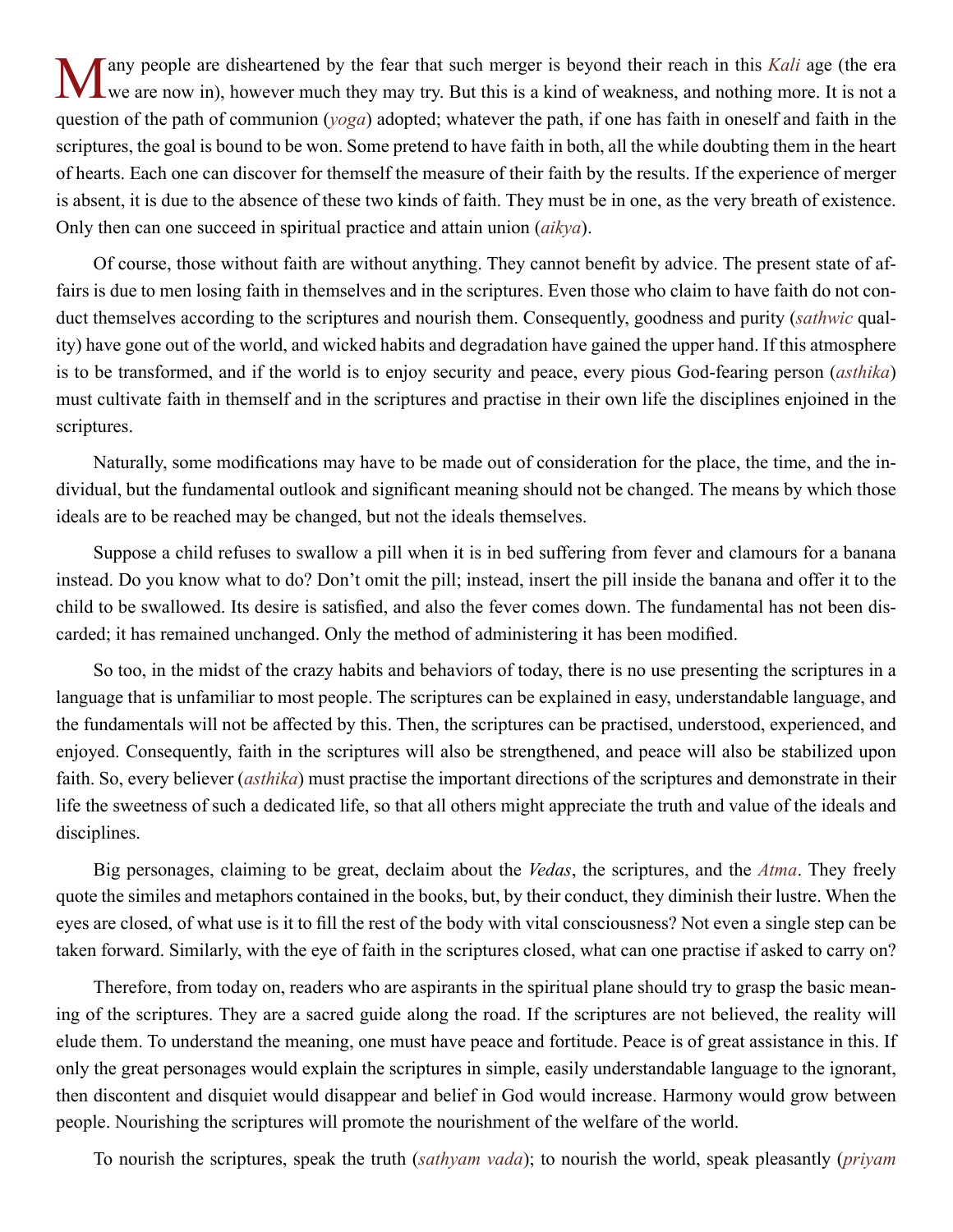We are now in), however much they may try. But this is a kind of weakness, and nothing more. It is not a metal we are now in), however much they may try. But this is a kind of weakness, and nothing more. It is not a question of the path of communion (*yoga*) adopted; whatever the path, if one has faith in oneself and faith in the scriptures, the goal is bound to be won. Some pretend to have faith in both, all the while doubting them in the heart of hearts. Each one can discover for themself the measure of their faith by the results. If the experience of merger is absent, it is due to the absence of these two kinds of faith. They must be in one, as the very breath of existence. Only then can one succeed in spiritual practice and attain union (*[aikya](#page-43-6)*).

Of course, those without faith are without anything. They cannot benefit by advice. The present state of affairs is due to men losing faith in themselves and in the scriptures. Even those who claim to have faith do not conduct themselves according to the scriptures and nourish them. Consequently, goodness and purity (*sathwic* quality) have gone out of the world, and wicked habits and degradation have gained the upper hand. If this atmosphere is to be transformed, and if the world is to enjoy security and peace, every pious God-fearing person (*[asthika](#page-43-7)*) must cultivate faith in themself and in the scriptures and practise in their own life the disciplines enjoined in the scriptures.

Naturally, some modifications may have to be made out of consideration for the place, the time, and the individual, but the fundamental outlook and significant meaning should not be changed. The means by which those ideals are to be reached may be changed, but not the ideals themselves.

Suppose a child refuses to swallow a pill when it is in bed suffering from fever and clamours for a banana instead. Do you know what to do? Don't omit the pill; instead, insert the pill inside the banana and offer it to the child to be swallowed. Its desire is satisfied, and also the fever comes down. The fundamental has not been discarded; it has remained unchanged. Only the method of administering it has been modified.

So too, in the midst of the crazy habits and behaviors of today, there is no use presenting the scriptures in a language that is unfamiliar to most people. The scriptures can be explained in easy, understandable language, and the fundamentals will not be affected by this. Then, the scriptures can be practised, understood, experienced, and enjoyed. Consequently, faith in the scriptures will also be strengthened, and peace will also be stabilized upon faith. So, every believer (*[asthika](#page-43-7)*) must practise the important directions of the scriptures and demonstrate in their life the sweetness of such a dedicated life, so that all others might appreciate the truth and value of the ideals and disciplines.

Big personages, claiming to be great, declaim about the *[Vedas](#page-51-4)*, the scriptures, and the *[Atma](#page-44-1)*. They freely quote the similes and metaphors contained in the books, but, by their conduct, they diminish their lustre. When the eyes are closed, of what use is it to fill the rest of the body with vital consciousness? Not even a single step can be taken forward. Similarly, with the eye of faith in the scriptures closed, what can one practise if asked to carry on?

Therefore, from today on, readers who are aspirants in the spiritual plane should try to grasp the basic meaning of the scriptures. They are a sacred guide along the road. If the scriptures are not believed, the reality will elude them. To understand the meaning, one must have peace and fortitude. Peace is of great assistance in this. If only the great personages would explain the scriptures in simple, easily understandable language to the ignorant, then discontent and disquiet would disappear and belief in God would increase. Harmony would grow between people. Nourishing the scriptures will promote the nourishment of the welfare of the world.

To nourish the scriptures, speak the truth (*sathyam vada*); to nourish the world, speak pleasantly (*priyam*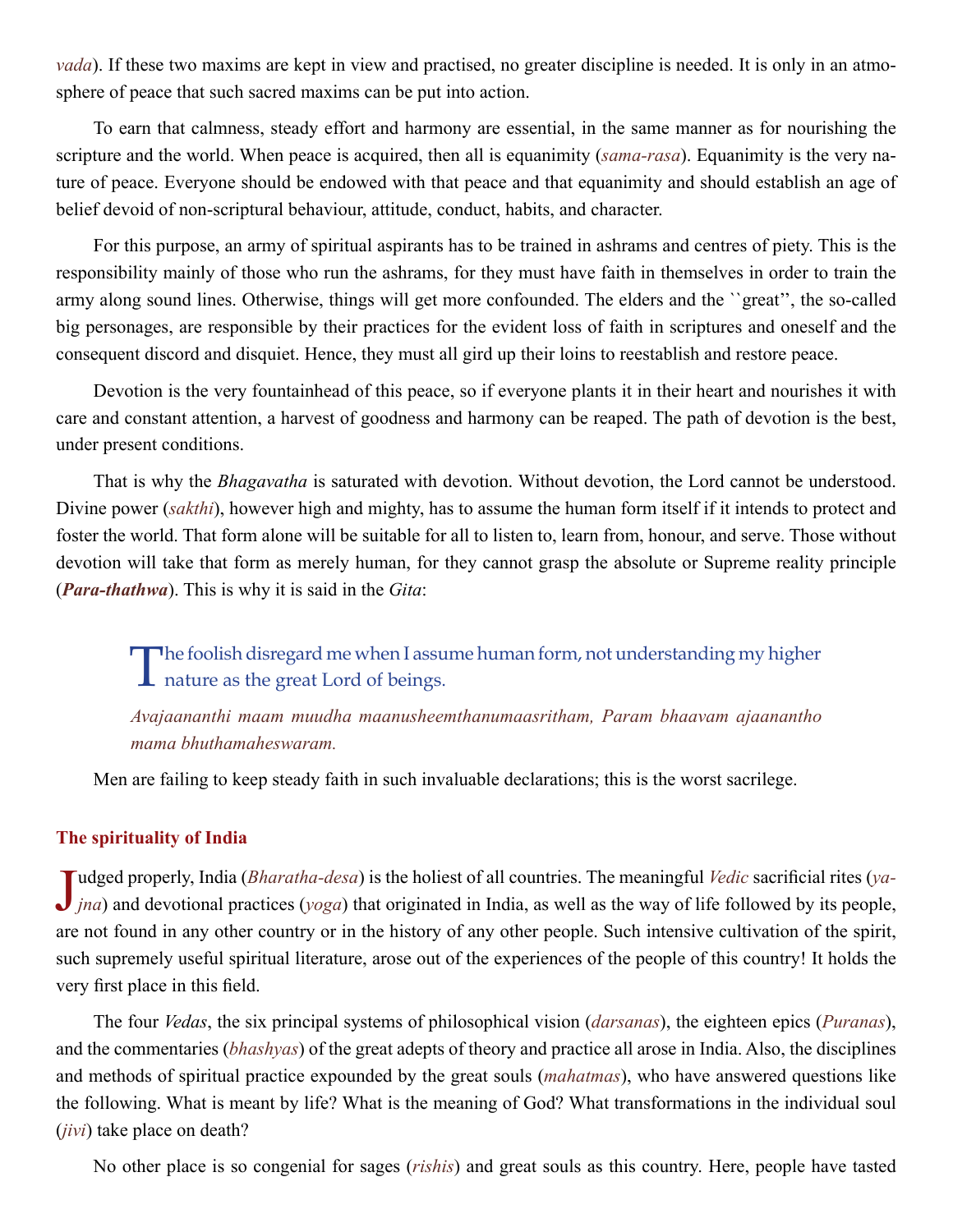<span id="page-17-0"></span>*vada*). If these two maxims are kept in view and practised, no greater discipline is needed. It is only in an atmosphere of peace that such sacred maxims can be put into action.

To earn that calmness, steady effort and harmony are essential, in the same manner as for nourishing the scripture and the world. When peace is acquired, then all is equanimity (*[sama-rasa](#page-49-4)*). Equanimity is the very nature of peace. Everyone should be endowed with that peace and that equanimity and should establish an age of belief devoid of non-scriptural behaviour, attitude, conduct, habits, and character.

For this purpose, an army of spiritual aspirants has to be trained in ashrams and centres of piety. This is the responsibility mainly of those who run the ashrams, for they must have faith in themselves in order to train the army along sound lines. Otherwise, things will get more confounded. The elders and the ``great'', the so-called big personages, are responsible by their practices for the evident loss of faith in scriptures and oneself and the consequent discord and disquiet. Hence, they must all gird up their loins to reestablish and restore peace.

Devotion is the very fountainhead of this peace, so if everyone plants it in their heart and nourishes it with care and constant attention, a harvest of goodness and harmony can be reaped. The path of devotion is the best, under present conditions.

That is why the *[Bhagavatha](#page-44-5)* is saturated with devotion. Without devotion, the Lord cannot be understood. Divine power (*[sakthi](#page-49-6)*), however high and mighty, has to assume the human form itself if it intends to protect and foster the world. That form alone will be suitable for all to listen to, learn from, honour, and serve. Those without devotion will take that form as merely human, for they cannot grasp the absolute or Supreme reality principle (*[Para-thathwa](#page-48-6)*). This is why it is said in the *[Gita](#page-45-5)*:

The foolish disregard me when I assume human form, not understanding my higher nature as the great Lord of beings.

*Avajaananthi maam muudha maanusheemthanumaasritham, Param bhaavam ajaanantho mama bhuthamaheswaram.*

Men are failing to keep steady faith in such invaluable declarations; this is the worst sacrilege.

## **The spirituality of India**

Judged properly, India (*Bharatha-desa*) is the holiest of all countries. The meaningful *Vedic* sacrificial rites (*ya-jna*) and devotional practices (*yoga*) that originated in India, as well as the way of life followe udged properly, India (*[Bharatha-desa](#page-44-6)*) is the holiest of all countries. The meaningful *[Vedic](#page-51-5)* sacrificial rites (*ya*are not found in any other country or in the history of any other people. Such intensive cultivation of the spirit, such supremely useful spiritual literature, arose out of the experiences of the people of this country! It holds the very first place in this field.

The four *[Vedas](#page-51-4)*, the six principal systems of philosophical vision (*[darsanas](#page-45-10)*), the eighteen epics (*[Puranas](#page-48-7)*), and the commentaries (*[bhashyas](#page-44-7)*) of the great adepts of theory and practice all arose in India. Also, the disciplines and methods of spiritual practice expounded by the great souls (*[mahatmas](#page-47-8)*), who have answered questions like the following. What is meant by life? What is the meaning of God? What transformations in the individual soul (*[jivi](#page-46-10)*) take place on death?

No other place is so congenial for sages (*[rishis](#page-49-2)*) and great souls as this country. Here, people have tasted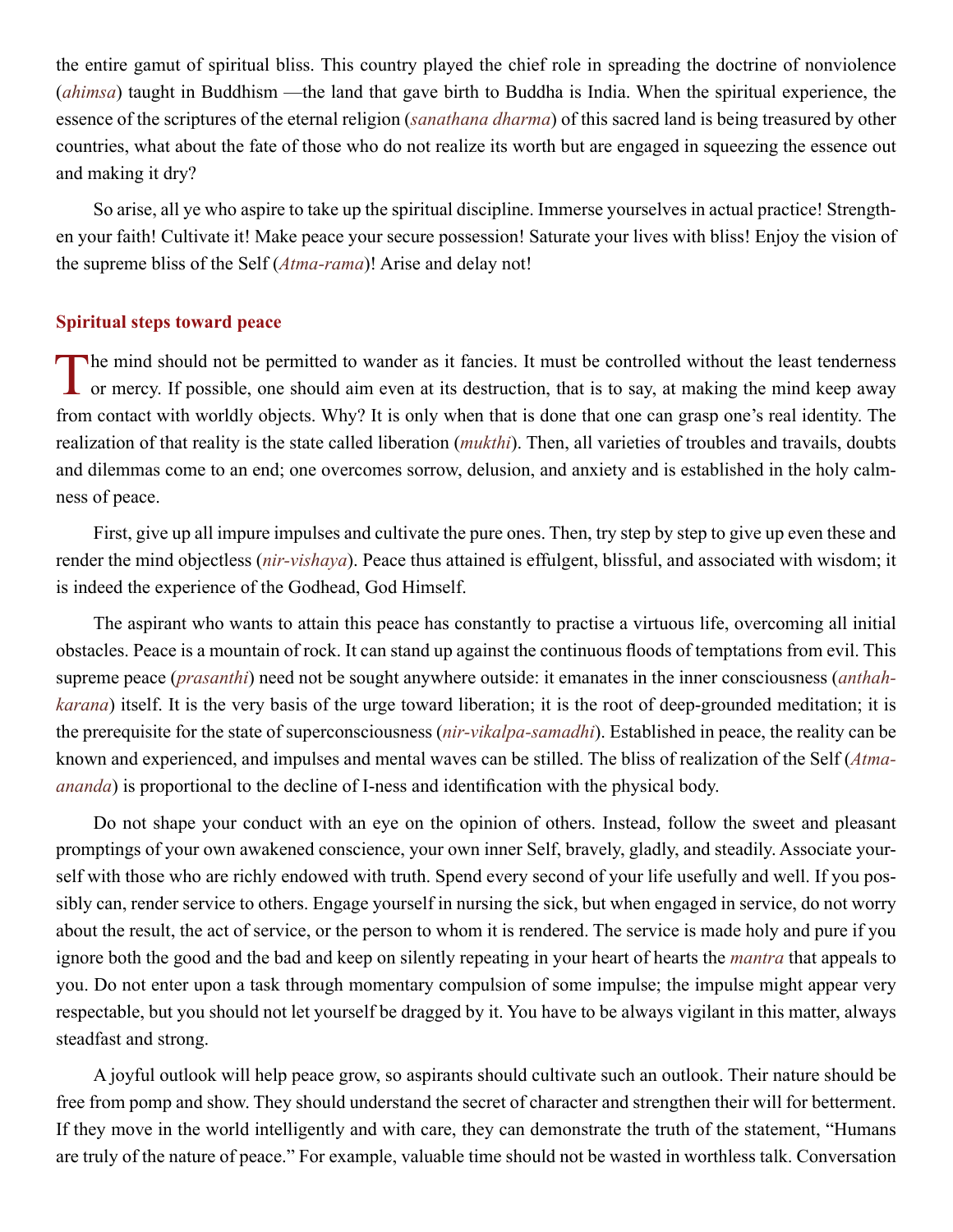<span id="page-18-0"></span>the entire gamut of spiritual bliss. This country played the chief role in spreading the doctrine of nonviolence (*[ahimsa](#page-43-8)*) taught in Buddhism —the land that gave birth to [Buddha](#page-45-11) is India. When the spiritual experience, the essence of the scriptures of the eternal religion (*[sanathana dharma](#page-49-7)*) of this sacred land is being treasured by other countries, what about the fate of those who do not realize its worth but are engaged in squeezing the essence out and making it dry?

So arise, all ye who aspire to take up the spiritual discipline. Immerse yourselves in actual practice! Strengthen your faith! Cultivate it! Make peace your secure possession! Saturate your lives with bliss! Enjoy the vision of the supreme bliss of the Self (*[Atma-rama](#page-44-8)*)! Arise and delay not!

## **Spiritual steps toward peace**

The mind should not be permitted to wander as it fancies. It must be controlled without the least tenderness or mercy. If possible, one should aim even at its destruction, that is to say, at making the mind keep away from contact with worldly objects. Why? It is only when that is done that one can grasp one's real identity. The realization of that reality is the state called liberation (*[mukthi](#page-47-9)*). Then, all varieties of troubles and travails, doubts and dilemmas come to an end; one overcomes sorrow, delusion, and anxiety and is established in the holy calmness of peace.

First, give up all impure impulses and cultivate the pure ones. Then, try step by step to give up even these and render the mind objectless (*[nir-vishaya](#page-48-8)*). Peace thus attained is effulgent, blissful, and associated with wisdom; it is indeed the experience of the Godhead, God Himself.

The aspirant who wants to attain this peace has constantly to practise a virtuous life, overcoming all initial obstacles. Peace is a mountain of rock. It can stand up against the continuous floods of temptations from evil. This supreme peace (*[prasanthi](#page-48-0)*) need not be sought anywhere outside: it emanates in the inner consciousness (*[anthah](#page-43-9)[karana](#page-43-9)*) itself. It is the very basis of the urge toward liberation; it is the root of deep-grounded meditation; it is the prerequisite for the state of superconsciousness (*[nir-vikalpa-samadhi](#page-48-9)*). Established in peace, the reality can be known and experienced, and impulses and mental waves can be stilled. The bliss of realization of the Self (*[Atma](#page-44-9)[ananda](#page-44-9)*) is proportional to the decline of I-ness and identification with the physical body.

Do not shape your conduct with an eye on the opinion of others. Instead, follow the sweet and pleasant promptings of your own awakened conscience, your own inner Self, bravely, gladly, and steadily. Associate yourself with those who are richly endowed with truth. Spend every second of your life usefully and well. If you possibly can, render service to others. Engage yourself in nursing the sick, but when engaged in service, do not worry about the result, the act of service, or the person to whom it is rendered. The service is made holy and pure if you ignore both the good and the bad and keep on silently repeating in your heart of hearts the *[mantra](#page-47-5)* that appeals to you. Do not enter upon a task through momentary compulsion of some impulse; the impulse might appear very respectable, but you should not let yourself be dragged by it. You have to be always vigilant in this matter, always steadfast and strong.

A joyful outlook will help peace grow, so aspirants should cultivate such an outlook. Their nature should be free from pomp and show. They should understand the secret of character and strengthen their will for betterment. If they move in the world intelligently and with care, they can demonstrate the truth of the statement, "Humans are truly of the nature of peace." For example, valuable time should not be wasted in worthless talk. Conversation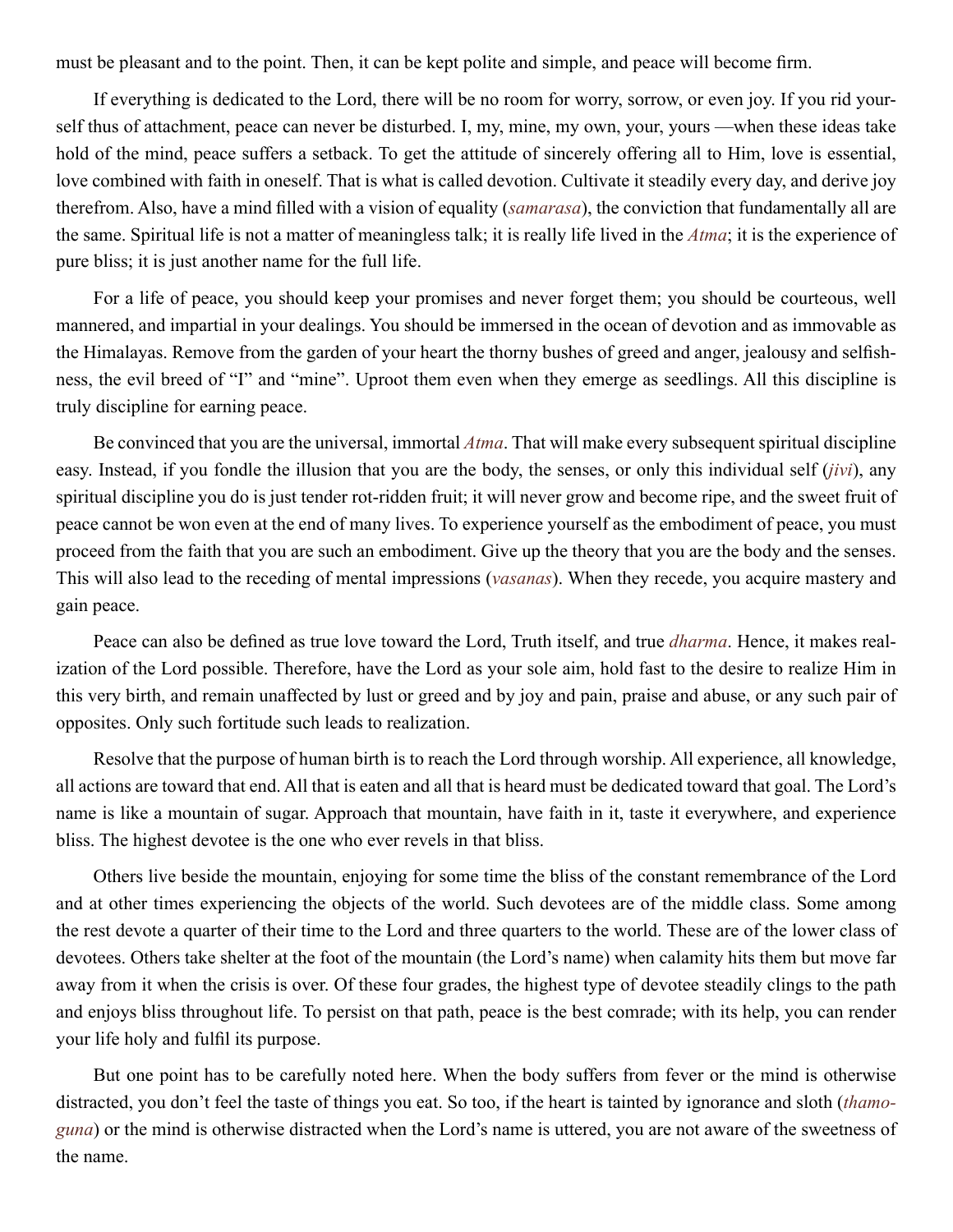must be pleasant and to the point. Then, it can be kept polite and simple, and peace will become firm.

If everything is dedicated to the Lord, there will be no room for worry, sorrow, or even joy. If you rid yourself thus of attachment, peace can never be disturbed. I, my, mine, my own, your, yours —when these ideas take hold of the mind, peace suffers a setback. To get the attitude of sincerely offering all to Him, love is essential, love combined with faith in oneself. That is what is called devotion. Cultivate it steadily every day, and derive joy therefrom. Also, have a mind filled with a vision of equality (*[samarasa](#page-49-8)*), the conviction that fundamentally all are the same. Spiritual life is not a matter of meaningless talk; it is really life lived in the *[Atma](#page-44-1)*; it is the experience of pure bliss; it is just another name for the full life.

For a life of peace, you should keep your promises and never forget them; you should be courteous, well mannered, and impartial in your dealings. You should be immersed in the ocean of devotion and as immovable as the Himalayas. Remove from the garden of your heart the thorny bushes of greed and anger, jealousy and selfishness, the evil breed of "I" and "mine". Uproot them even when they emerge as seedlings. All this discipline is truly discipline for earning peace.

Be convinced that you are the universal, immortal *[Atma](#page-44-1)*. That will make every subsequent spiritual discipline easy. Instead, if you fondle the illusion that you are the body, the senses, or only this individual self (*[jivi](#page-46-10)*), any spiritual discipline you do is just tender rot-ridden fruit; it will never grow and become ripe, and the sweet fruit of peace cannot be won even at the end of many lives. To experience yourself as the embodiment of peace, you must proceed from the faith that you are such an embodiment. Give up the theory that you are the body and the senses. This will also lead to the receding of mental impressions (*vasanas*). When they recede, you acquire mastery and gain peace.

Peace can also be defined as true love toward the Lord, Truth itself, and true *[dharma](#page-45-0)*. Hence, it makes realization of the Lord possible. Therefore, have the Lord as your sole aim, hold fast to the desire to realize Him in this very birth, and remain unaffected by lust or greed and by joy and pain, praise and abuse, or any such pair of opposites. Only such fortitude such leads to realization.

Resolve that the purpose of human birth is to reach the Lord through worship. All experience, all knowledge, all actions are toward that end. All that is eaten and all that is heard must be dedicated toward that goal. The Lord's name is like a mountain of sugar. Approach that mountain, have faith in it, taste it everywhere, and experience bliss. The highest devotee is the one who ever revels in that bliss.

Others live beside the mountain, enjoying for some time the bliss of the constant remembrance of the Lord and at other times experiencing the objects of the world. Such devotees are of the middle class. Some among the rest devote a quarter of their time to the Lord and three quarters to the world. These are of the lower class of devotees. Others take shelter at the foot of the mountain (the Lord's name) when calamity hits them but move far away from it when the crisis is over. Of these four grades, the highest type of devotee steadily clings to the path and enjoys bliss throughout life. To persist on that path, peace is the best comrade; with its help, you can render your life holy and fulfil its purpose.

But one point has to be carefully noted here. When the body suffers from fever or the mind is otherwise distracted, you don't feel the taste of things you eat. So too, if the heart is tainted by ignorance and sloth (*thamoguna*) or the mind is otherwise distracted when the Lord's name is uttered, you are not aware of the sweetness of the name.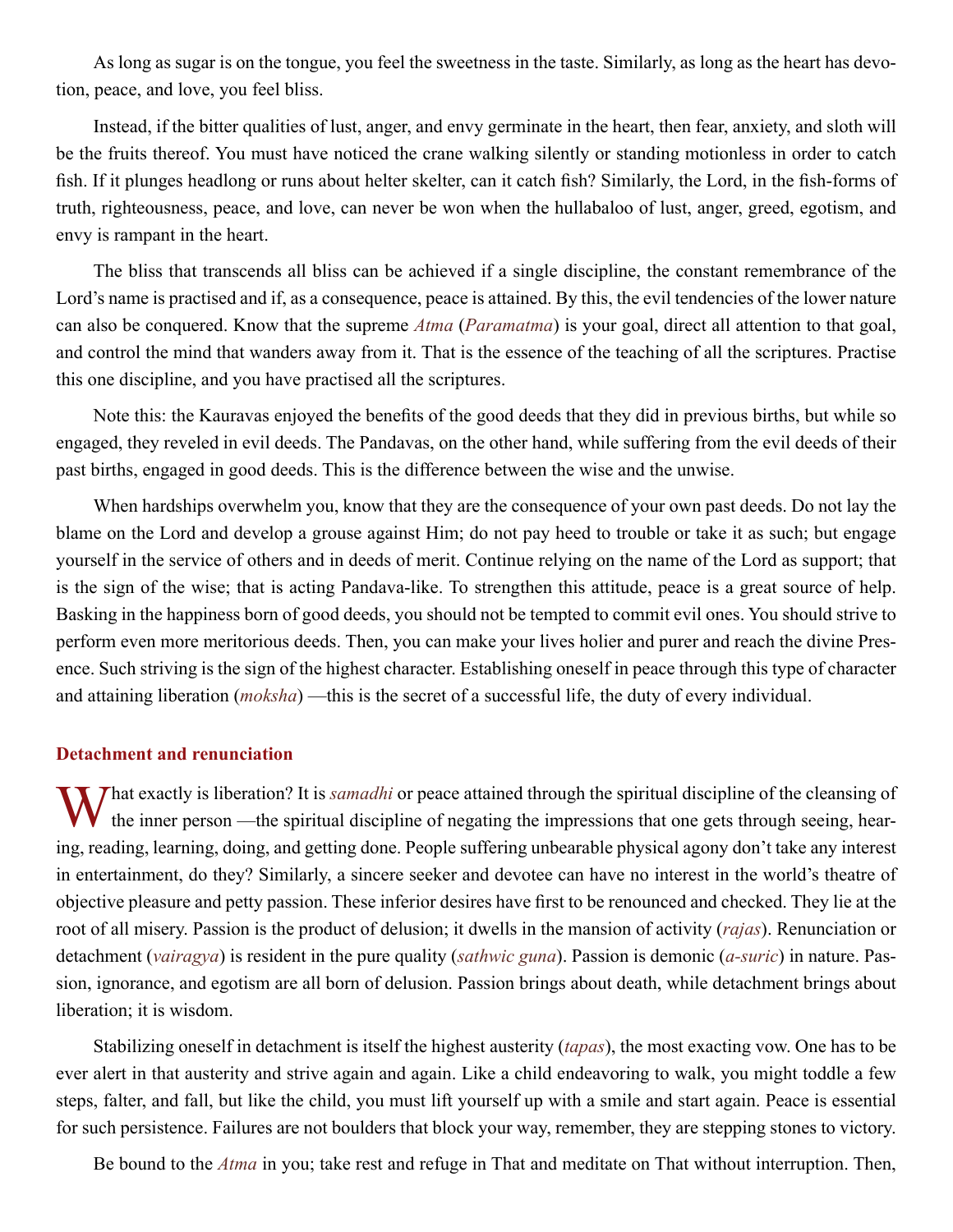<span id="page-20-0"></span>As long as sugar is on the tongue, you feel the sweetness in the taste. Similarly, as long as the heart has devotion, peace, and love, you feel bliss.

Instead, if the bitter qualities of lust, anger, and envy germinate in the heart, then fear, anxiety, and sloth will be the fruits thereof. You must have noticed the crane walking silently or standing motionless in order to catch fish. If it plunges headlong or runs about helter skelter, can it catch fish? Similarly, the Lord, in the fish-forms of truth, righteousness, peace, and love, can never be won when the hullabaloo of lust, anger, greed, egotism, and envy is rampant in the heart.

The bliss that transcends all bliss can be achieved if a single discipline, the constant remembrance of the Lord's name is practised and if, as a consequence, peace is attained. By this, the evil tendencies of the lower nature can also be conquered. Know that the supreme *[Atma](#page-44-1)* (*[Paramatma](#page-48-10)*) is your goal, direct all attention to that goal, and control the mind that wanders away from it. That is the essence of the teaching of all the scriptures. Practise this one discipline, and you have practised all the scriptures.

Note this: the [Kauravas](#page-46-12) enjoyed the benefits of the good deeds that they did in previous births, but while so engaged, they reveled in evil deeds. The [Pandavas](#page-48-11), on the other hand, while suffering from the evil deeds of their past births, engaged in good deeds. This is the difference between the wise and the unwise.

When hardships overwhelm you, know that they are the consequence of your own past deeds. Do not lay the blame on the Lord and develop a grouse against Him; do not pay heed to trouble or take it as such; but engage yourself in the service of others and in deeds of merit. Continue relying on the name of the Lord as support; that is the sign of the wise; that is acting [Pandava-](#page-48-11)like. To strengthen this attitude, peace is a great source of help. Basking in the happiness born of good deeds, you should not be tempted to commit evil ones. You should strive to perform even more meritorious deeds. Then, you can make your lives holier and purer and reach the divine Presence. Such striving is the sign of the highest character. Establishing oneself in peace through this type of character and attaining liberation (*[moksha](#page-47-0)*) —this is the secret of a successful life, the duty of every individual.

## **Detachment and renunciation**

**What exactly is liberation?** It is *[samadhi](#page-49-9)* or peace attained through the spiritual discipline of the cleansing of the inner person —the spiritual discipline of negating the impressions that one gets through seeing, hearing, reading, learning, doing, and getting done. People suffering unbearable physical agony don't take any interest in entertainment, do they? Similarly, a sincere seeker and devotee can have no interest in the world's theatre of objective pleasure and petty passion. These inferior desires have first to be renounced and checked. They lie at the root of all misery. Passion is the product of delusion; it dwells in the mansion of activity (*[rajas](#page-49-10)*). Renunciation or detachment (*vairagya*) is resident in the pure quality (*sathwic [guna](#page-45-12)*). Passion is demonic (*[a-suric](#page-43-10)*) in nature. Passion, ignorance, and egotism are all born of delusion. Passion brings about death, while detachment brings about liberation; it is wisdom.

Stabilizing oneself in detachment is itself the highest austerity (*tapas*), the most exacting vow. One has to be ever alert in that austerity and strive again and again. Like a child endeavoring to walk, you might toddle a few steps, falter, and fall, but like the child, you must lift yourself up with a smile and start again. Peace is essential for such persistence. Failures are not boulders that block your way, remember, they are stepping stones to victory.

Be bound to the *[Atma](#page-44-1)* in you; take rest and refuge in That and meditate on That without interruption. Then,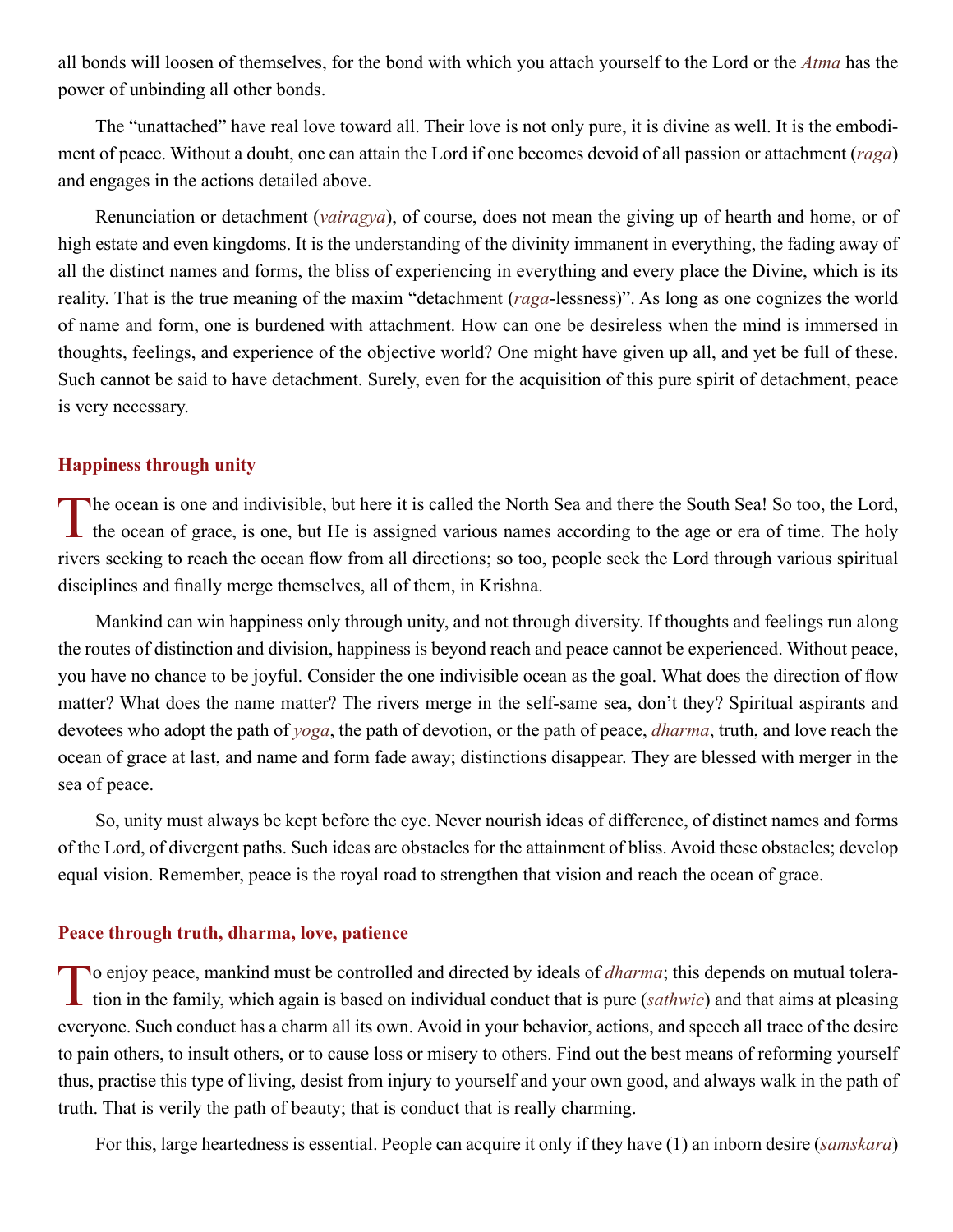<span id="page-21-0"></span>all bonds will loosen of themselves, for the bond with which you attach yourself to the Lord or the *[Atma](#page-44-1)* has the power of unbinding all other bonds.

The "unattached" have real love toward all. Their love is not only pure, it is divine as well. It is the embodiment of peace. Without a doubt, one can attain the Lord if one becomes devoid of all passion or attachment (*[raga](#page-49-11)*) and engages in the actions detailed above.

Renunciation or detachment (*vairagya*), of course, does not mean the giving up of hearth and home, or of high estate and even kingdoms. It is the understanding of the divinity immanent in everything, the fading away of all the distinct names and forms, the bliss of experiencing in everything and every place the Divine, which is its reality. That is the true meaning of the maxim "detachment (*[raga](#page-49-11)*-lessness)". As long as one cognizes the world of name and form, one is burdened with attachment. How can one be desireless when the mind is immersed in thoughts, feelings, and experience of the objective world? One might have given up all, and yet be full of these. Such cannot be said to have detachment. Surely, even for the acquisition of this pure spirit of detachment, peace is very necessary.

## **Happiness through unity**

The ocean is one and indivisible, but here it is called the North Sea and there the South Sea! So too, the Lord, the ocean of grace, is one, but He is assigned various names according to the age or era of time. The holy rivers seeking to reach the ocean flow from all directions; so too, people seek the Lord through various spiritual disciplines and finally merge themselves, all of them, in [Krishna](#page-46-8).

Mankind can win happiness only through unity, and not through diversity. If thoughts and feelings run along the routes of distinction and division, happiness is beyond reach and peace cannot be experienced. Without peace, you have no chance to be joyful. Consider the one indivisible ocean as the goal. What does the direction of flow matter? What does the name matter? The rivers merge in the self-same sea, don't they? Spiritual aspirants and devotees who adopt the path of *yoga*, the path of devotion, or the path of peace, *[dharma](#page-45-0)*, truth, and love reach the ocean of grace at last, and name and form fade away; distinctions disappear. They are blessed with merger in the sea of peace.

So, unity must always be kept before the eye. Never nourish ideas of difference, of distinct names and forms of the Lord, of divergent paths. Such ideas are obstacles for the attainment of bliss. Avoid these obstacles; develop equal vision. Remember, peace is the royal road to strengthen that vision and reach the ocean of grace.

## **Peace through truth, dharma, love, patience**

To enjoy peace, mankind must be controlled and directed by ideals of *[dharma](#page-45-0)*; this depends on mutual toleration in the family, which again is based on individual conduct that is pure (*sathwic*) and that aims at pleasing everyone. Such conduct has a charm all its own. Avoid in your behavior, actions, and speech all trace of the desire to pain others, to insult others, or to cause loss or misery to others. Find out the best means of reforming yourself thus, practise this type of living, desist from injury to yourself and your own good, and always walk in the path of truth. That is verily the path of beauty; that is conduct that is really charming.

For this, large heartedness is essential. People can acquire it only if they have (1) an inborn desire (*[samskara](#page-49-12)*)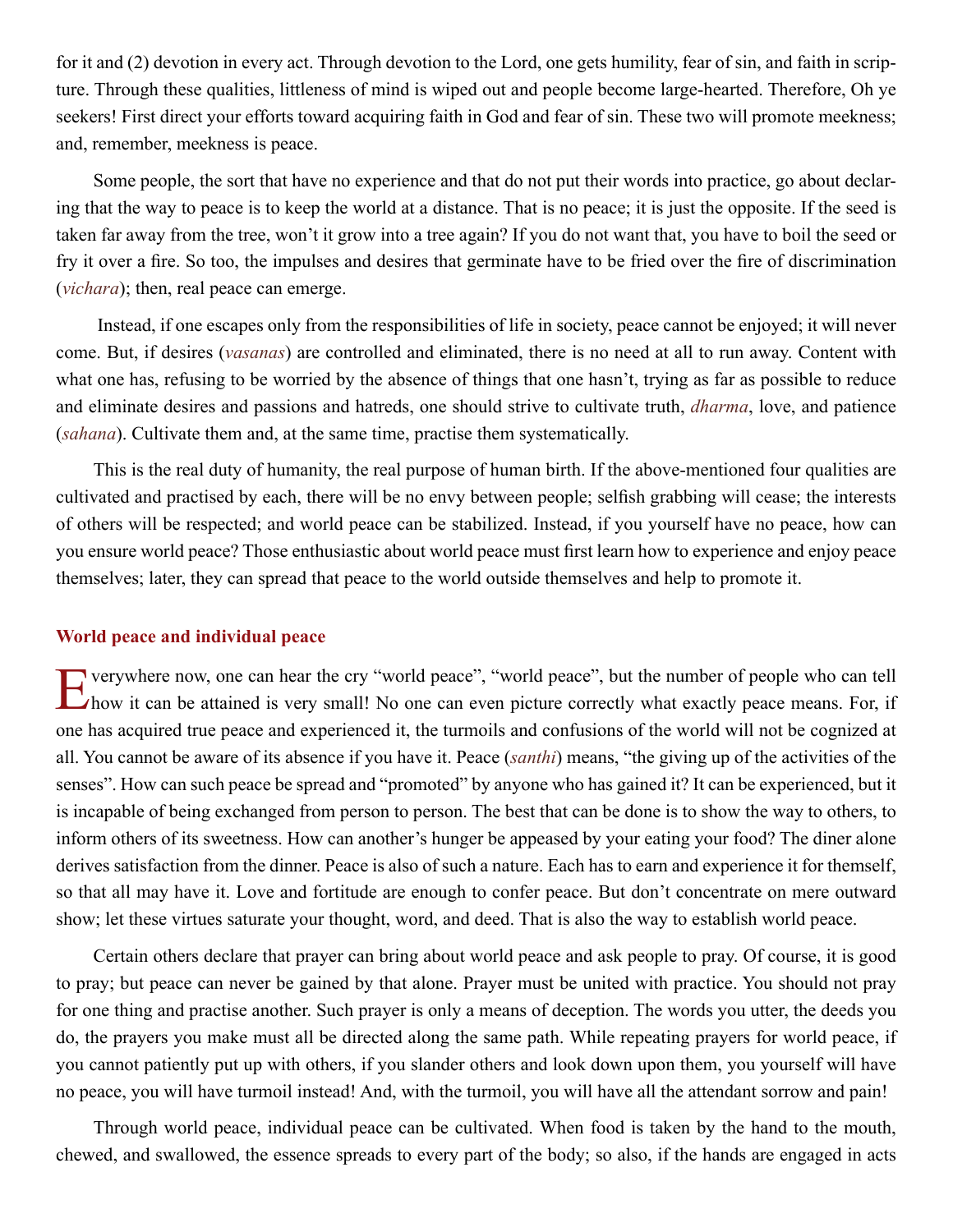<span id="page-22-0"></span>for it and (2) devotion in every act. Through devotion to the Lord, one gets humility, fear of sin, and faith in scripture. Through these qualities, littleness of mind is wiped out and people become large-hearted. Therefore, Oh ye seekers! First direct your efforts toward acquiring faith in God and fear of sin. These two will promote meekness; and, remember, meekness is peace.

Some people, the sort that have no experience and that do not put their words into practice, go about declaring that the way to peace is to keep the world at a distance. That is no peace; it is just the opposite. If the seed is taken far away from the tree, won't it grow into a tree again? If you do not want that, you have to boil the seed or fry it over a fire. So too, the impulses and desires that germinate have to be fried over the fire of discrimination (*vichara*); then, real peace can emerge.

 Instead, if one escapes only from the responsibilities of life in society, peace cannot be enjoyed; it will never come. But, if desires (*vasanas*) are controlled and eliminated, there is no need at all to run away. Content with what one has, refusing to be worried by the absence of things that one hasn't, trying as far as possible to reduce and eliminate desires and passions and hatreds, one should strive to cultivate truth, *[dharma](#page-45-0)*, love, and patience (*[sahana](#page-49-13)*). Cultivate them and, at the same time, practise them systematically.

This is the real duty of humanity, the real purpose of human birth. If the above-mentioned four qualities are cultivated and practised by each, there will be no envy between people; selfish grabbing will cease; the interests of others will be respected; and world peace can be stabilized. Instead, if you yourself have no peace, how can you ensure world peace? Those enthusiastic about world peace must first learn how to experience and enjoy peace themselves; later, they can spread that peace to the world outside themselves and help to promote it.

## **World peace and individual peace**

Everywhere now, one can hear the cry "world peace", "world peace", but the number of people who can tell how it can be attained is very small! No one can even picture correctly what exactly peace means. For, if one has acquired true peace and experienced it, the turmoils and confusions of the world will not be cognized at all. You cannot be aware of its absence if you have it. Peace (*santhi*) means, "the giving up of the activities of the senses". How can such peace be spread and "promoted" by anyone who has gained it? It can be experienced, but it is incapable of being exchanged from person to person. The best that can be done is to show the way to others, to inform others of its sweetness. How can another's hunger be appeased by your eating your food? The diner alone derives satisfaction from the dinner. Peace is also of such a nature. Each has to earn and experience it for themself, so that all may have it. Love and fortitude are enough to confer peace. But don't concentrate on mere outward show; let these virtues saturate your thought, word, and deed. That is also the way to establish world peace.

Certain others declare that prayer can bring about world peace and ask people to pray. Of course, it is good to pray; but peace can never be gained by that alone. Prayer must be united with practice. You should not pray for one thing and practise another. Such prayer is only a means of deception. The words you utter, the deeds you do, the prayers you make must all be directed along the same path. While repeating prayers for world peace, if you cannot patiently put up with others, if you slander others and look down upon them, you yourself will have no peace, you will have turmoil instead! And, with the turmoil, you will have all the attendant sorrow and pain!

Through world peace, individual peace can be cultivated. When food is taken by the hand to the mouth, chewed, and swallowed, the essence spreads to every part of the body; so also, if the hands are engaged in acts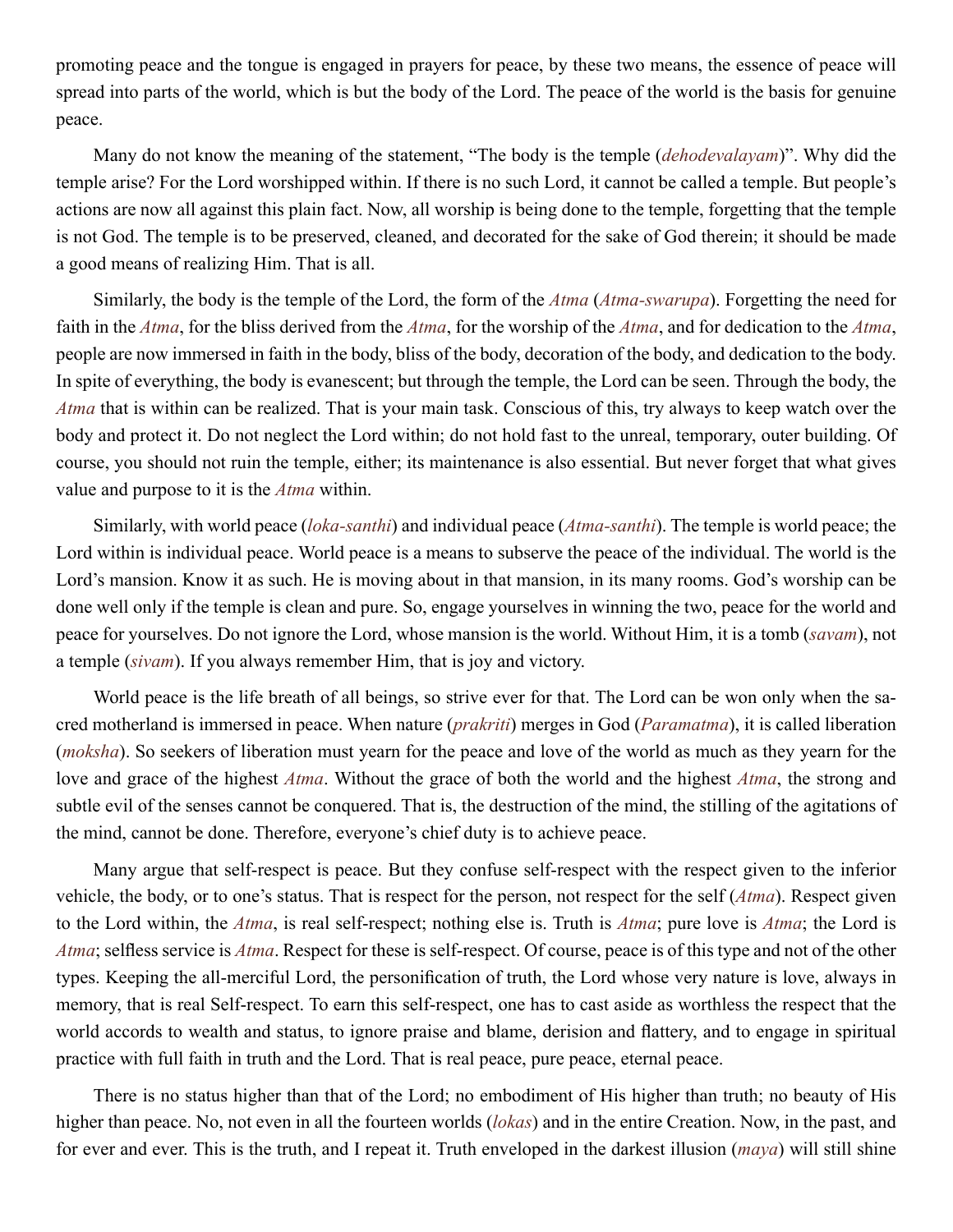promoting peace and the tongue is engaged in prayers for peace, by these two means, the essence of peace will spread into parts of the world, which is but the body of the Lord. The peace of the world is the basis for genuine peace.

Many do not know the meaning of the statement, "The body is the temple (*dehodevalayam*)". Why did the temple arise? For the Lord worshipped within. If there is no such Lord, it cannot be called a temple. But people's actions are now all against this plain fact. Now, all worship is being done to the temple, forgetting that the temple is not God. The temple is to be preserved, cleaned, and decorated for the sake of God therein; it should be made a good means of realizing Him. That is all.

Similarly, the body is the temple of the Lord, the form of the *[Atma](#page-44-1)* (*[Atma-swarupa](#page-44-10)*). Forgetting the need for faith in the *[Atma](#page-44-1)*, for the bliss derived from the *[Atma](#page-44-1)*, for the worship of the *[Atma](#page-44-1)*, and for dedication to the *[Atma](#page-44-1)*, people are now immersed in faith in the body, bliss of the body, decoration of the body, and dedication to the body. In spite of everything, the body is evanescent; but through the temple, the Lord can be seen. Through the body, the *[Atma](#page-44-1)* that is within can be realized. That is your main task. Conscious of this, try always to keep watch over the body and protect it. Do not neglect the Lord within; do not hold fast to the unreal, temporary, outer building. Of course, you should not ruin the temple, either; its maintenance is also essential. But never forget that what gives value and purpose to it is the *[Atma](#page-44-1)* within.

Similarly, with world peace (*[loka-santhi](#page-47-10)*) and individual peace (*[Atma-santhi](#page-44-11)*). The temple is world peace; the Lord within is individual peace. World peace is a means to subserve the peace of the individual. The world is the Lord's mansion. Know it as such. He is moving about in that mansion, in its many rooms. God's worship can be done well only if the temple is clean and pure. So, engage yourselves in winning the two, peace for the world and peace for yourselves. Do not ignore the Lord, whose mansion is the world. Without Him, it is a tomb (*savam*), not a temple (*[sivam](#page-50-3)*). If you always remember Him, that is joy and victory.

World peace is the life breath of all beings, so strive ever for that. The Lord can be won only when the sacred motherland is immersed in peace. When nature (*[prakriti](#page-48-12)*) merges in God (*[Paramatma](#page-48-10)*), it is called liberation (*[moksha](#page-47-0)*). So seekers of liberation must yearn for the peace and love of the world as much as they yearn for the love and grace of the highest *[Atma](#page-44-1)*. Without the grace of both the world and the highest *[Atma](#page-44-1)*, the strong and subtle evil of the senses cannot be conquered. That is, the destruction of the mind, the stilling of the agitations of the mind, cannot be done. Therefore, everyone's chief duty is to achieve peace.

Many argue that self-respect is peace. But they confuse self-respect with the respect given to the inferior vehicle, the body, or to one's status. That is respect for the person, not respect for the self (*[Atma](#page-44-1)*). Respect given to the Lord within, the *[Atma](#page-44-1)*, is real self-respect; nothing else is. Truth is *[Atma](#page-44-1)*; pure love is *[Atma](#page-44-1)*; the Lord is *[Atma](#page-44-1)*; selfless service is *[Atma](#page-44-1)*. Respect for these is self-respect. Of course, peace is of this type and not of the other types. Keeping the all-merciful Lord, the personification of truth, the Lord whose very nature is love, always in memory, that is real Self-respect. To earn this self-respect, one has to cast aside as worthless the respect that the world accords to wealth and status, to ignore praise and blame, derision and flattery, and to engage in spiritual practice with full faith in truth and the Lord. That is real peace, pure peace, eternal peace.

There is no status higher than that of the Lord; no embodiment of His higher than truth; no beauty of His higher than peace. No, not even in all the fourteen worlds (*[lokas](#page-47-11)*) and in the entire Creation. Now, in the past, and for ever and ever. This is the truth, and I repeat it. Truth enveloped in the darkest illusion (*[maya](#page-47-2)*) will still shine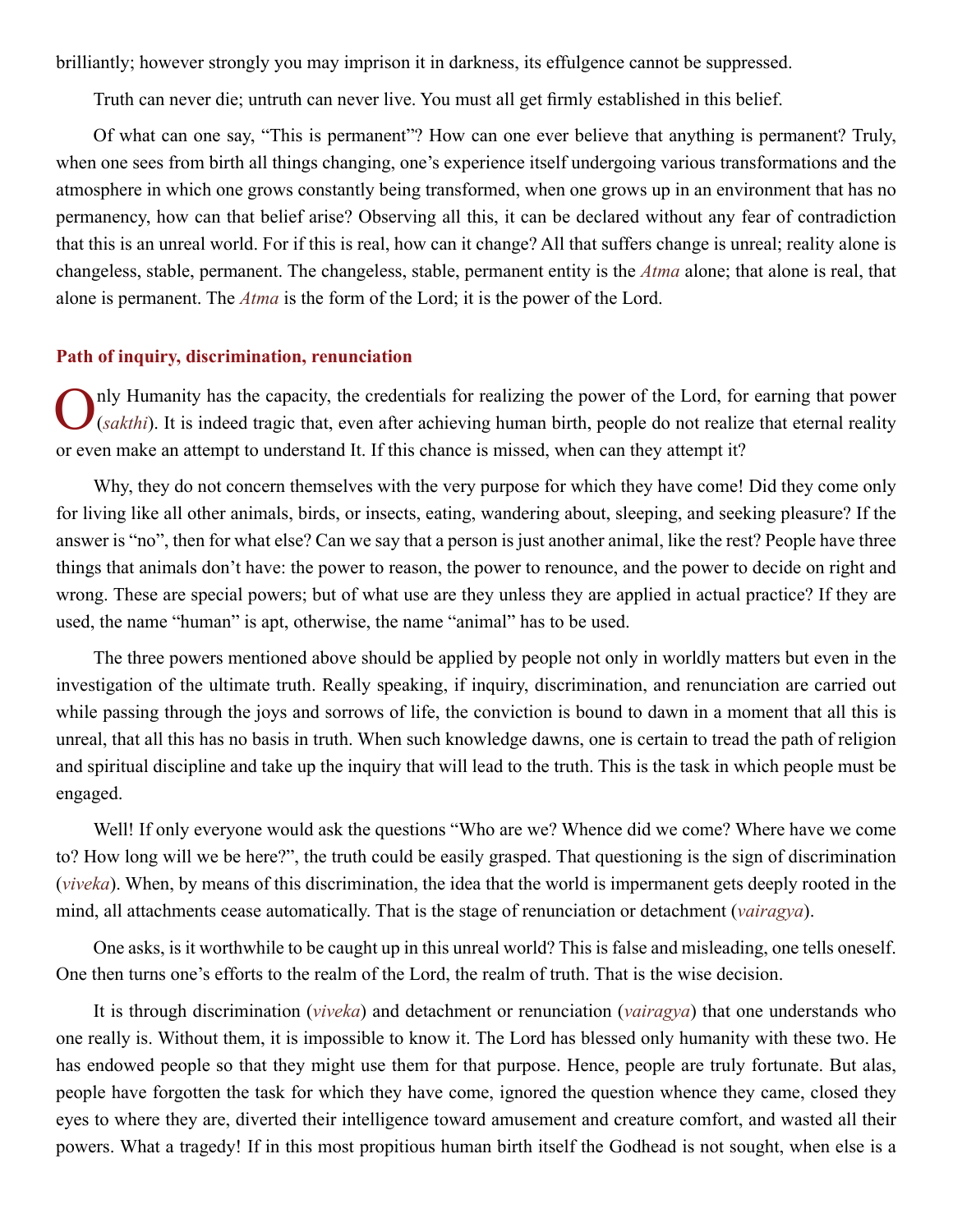<span id="page-24-0"></span>brilliantly; however strongly you may imprison it in darkness, its effulgence cannot be suppressed.

Truth can never die; untruth can never live. You must all get firmly established in this belief.

Of what can one say, "This is permanent"? How can one ever believe that anything is permanent? Truly, when one sees from birth all things changing, one's experience itself undergoing various transformations and the atmosphere in which one grows constantly being transformed, when one grows up in an environment that has no permanency, how can that belief arise? Observing all this, it can be declared without any fear of contradiction that this is an unreal world. For if this is real, how can it change? All that suffers change is unreal; reality alone is changeless, stable, permanent. The changeless, stable, permanent entity is the *[Atma](#page-44-1)* alone; that alone is real, that alone is permanent. The *[Atma](#page-44-1)* is the form of the Lord; it is the power of the Lord.

## **Path of inquiry, discrimination, renunciation**

nly Humanity has the capacity, the credentials for realizing the power of the Lord, for earning that power (*sakthi*). It is indeed tragic that, even after achieving human birth, people do not realize that eternal reality or even make an attempt to understand It. If this chance is missed, when can they attempt it?

Why, they do not concern themselves with the very purpose for which they have come! Did they come only for living like all other animals, birds, or insects, eating, wandering about, sleeping, and seeking pleasure? If the answer is "no", then for what else? Can we say that a person is just another animal, like the rest? People have three things that animals don't have: the power to reason, the power to renounce, and the power to decide on right and wrong. These are special powers; but of what use are they unless they are applied in actual practice? If they are used, the name "human" is apt, otherwise, the name "animal" has to be used.

The three powers mentioned above should be applied by people not only in worldly matters but even in the investigation of the ultimate truth. Really speaking, if inquiry, discrimination, and renunciation are carried out while passing through the joys and sorrows of life, the conviction is bound to dawn in a moment that all this is unreal, that all this has no basis in truth. When such knowledge dawns, one is certain to tread the path of religion and spiritual discipline and take up the inquiry that will lead to the truth. This is the task in which people must be engaged.

Well! If only everyone would ask the questions "Who are we? Whence did we come? Where have we come to? How long will we be here?", the truth could be easily grasped. That questioning is the sign of discrimination (*viveka*). When, by means of this discrimination, the idea that the world is impermanent gets deeply rooted in the mind, all attachments cease automatically. That is the stage of renunciation or detachment (*vairagya*).

One asks, is it worthwhile to be caught up in this unreal world? This is false and misleading, one tells oneself. One then turns one's efforts to the realm of the Lord, the realm of truth. That is the wise decision.

It is through discrimination (*viveka*) and detachment or renunciation (*vairagya*) that one understands who one really is. Without them, it is impossible to know it. The Lord has blessed only humanity with these two. He has endowed people so that they might use them for that purpose. Hence, people are truly fortunate. But alas, people have forgotten the task for which they have come, ignored the question whence they came, closed they eyes to where they are, diverted their intelligence toward amusement and creature comfort, and wasted all their powers. What a tragedy! If in this most propitious human birth itself the Godhead is not sought, when else is a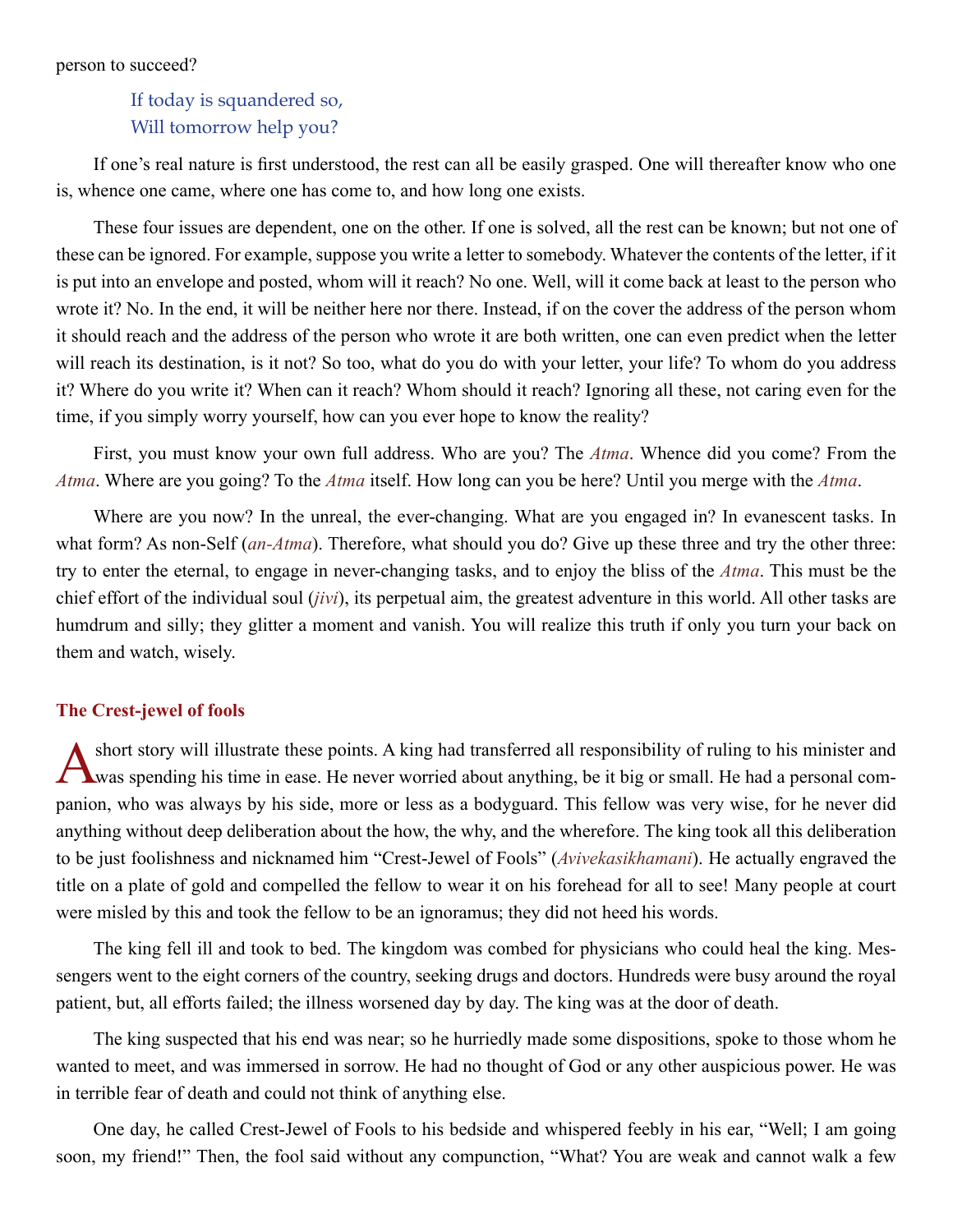## <span id="page-25-0"></span>If today is squandered so, Will tomorrow help you?

If one's real nature is first understood, the rest can all be easily grasped. One will thereafter know who one is, whence one came, where one has come to, and how long one exists.

These four issues are dependent, one on the other. If one is solved, all the rest can be known; but not one of these can be ignored. For example, suppose you write a letter to somebody. Whatever the contents of the letter, if it is put into an envelope and posted, whom will it reach? No one. Well, will it come back at least to the person who wrote it? No. In the end, it will be neither here nor there. Instead, if on the cover the address of the person whom it should reach and the address of the person who wrote it are both written, one can even predict when the letter will reach its destination, is it not? So too, what do you do with your letter, your life? To whom do you address it? Where do you write it? When can it reach? Whom should it reach? Ignoring all these, not caring even for the time, if you simply worry yourself, how can you ever hope to know the reality?

First, you must know your own full address. Who are you? The *[Atma](#page-44-1)*. Whence did you come? From the *[Atma](#page-44-1)*. Where are you going? To the *[Atma](#page-44-1)* itself. How long can you be here? Until you merge with the *[Atma](#page-44-1)*.

Where are you now? In the unreal, the ever-changing. What are you engaged in? In evanescent tasks. In what form? As non-Self (*[an-Atma](#page-43-11)*). Therefore, what should you do? Give up these three and try the other three: try to enter the eternal, to engage in never-changing tasks, and to enjoy the bliss of the *[Atma](#page-44-1)*. This must be the chief effort of the individual soul (*[jivi](#page-46-10)*), its perpetual aim, the greatest adventure in this world. All other tasks are humdrum and silly; they glitter a moment and vanish. You will realize this truth if only you turn your back on them and watch, wisely.

## **The Crest-jewel of fools**

A short story will illustrate these points. A king had transferred all responsibility of ruling to his minister and **T** was spending his time in ease. He never worried about anything, be it big or small. He had a personal companion, who was always by his side, more or less as a bodyguard. This fellow was very wise, for he never did anything without deep deliberation about the how, the why, and the wherefore. The king took all this deliberation to be just foolishness and nicknamed him "Crest-Jewel of Fools" (*Avivekasikhamani*). He actually engraved the title on a plate of gold and compelled the fellow to wear it on his forehead for all to see! Many people at court were misled by this and took the fellow to be an ignoramus; they did not heed his words.

The king fell ill and took to bed. The kingdom was combed for physicians who could heal the king. Messengers went to the eight corners of the country, seeking drugs and doctors. Hundreds were busy around the royal patient, but, all efforts failed; the illness worsened day by day. The king was at the door of death.

The king suspected that his end was near; so he hurriedly made some dispositions, spoke to those whom he wanted to meet, and was immersed in sorrow. He had no thought of God or any other auspicious power. He was in terrible fear of death and could not think of anything else.

One day, he called Crest-Jewel of Fools to his bedside and whispered feebly in his ear, "Well; I am going soon, my friend!" Then, the fool said without any compunction, "What? You are weak and cannot walk a few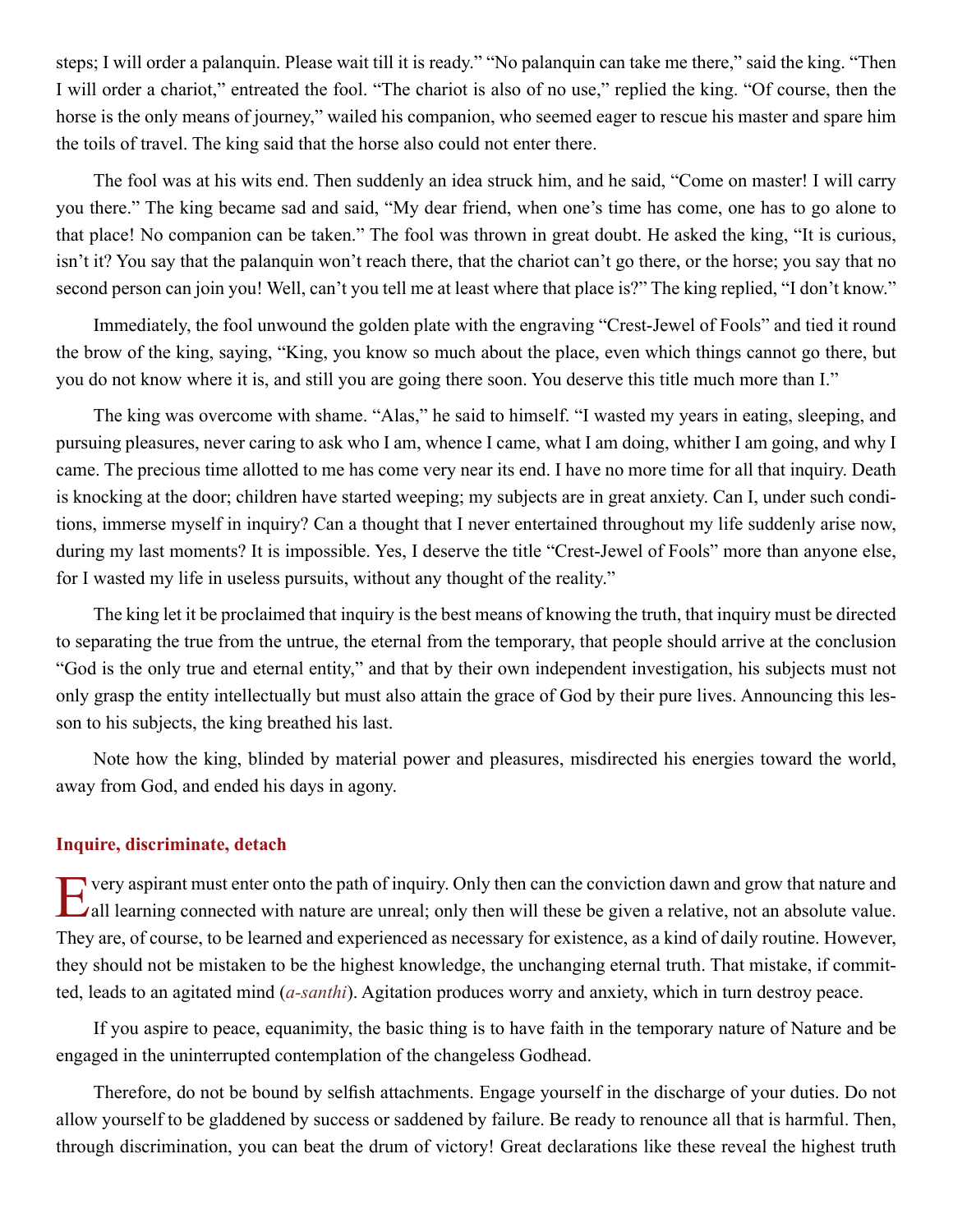<span id="page-26-0"></span>steps; I will order a palanquin. Please wait till it is ready." "No palanquin can take me there," said the king. "Then I will order a chariot," entreated the fool. "The chariot is also of no use," replied the king. "Of course, then the horse is the only means of journey," wailed his companion, who seemed eager to rescue his master and spare him the toils of travel. The king said that the horse also could not enter there.

The fool was at his wits end. Then suddenly an idea struck him, and he said, "Come on master! I will carry you there." The king became sad and said, "My dear friend, when one's time has come, one has to go alone to that place! No companion can be taken." The fool was thrown in great doubt. He asked the king, "It is curious, isn't it? You say that the palanquin won't reach there, that the chariot can't go there, or the horse; you say that no second person can join you! Well, can't you tell me at least where that place is?" The king replied, "I don't know."

Immediately, the fool unwound the golden plate with the engraving "Crest-Jewel of Fools" and tied it round the brow of the king, saying, "King, you know so much about the place, even which things cannot go there, but you do not know where it is, and still you are going there soon. You deserve this title much more than I."

The king was overcome with shame. "Alas," he said to himself. "I wasted my years in eating, sleeping, and pursuing pleasures, never caring to ask who I am, whence I came, what I am doing, whither I am going, and why I came. The precious time allotted to me has come very near its end. I have no more time for all that inquiry. Death is knocking at the door; children have started weeping; my subjects are in great anxiety. Can I, under such conditions, immerse myself in inquiry? Can a thought that I never entertained throughout my life suddenly arise now, during my last moments? It is impossible. Yes, I deserve the title "Crest-Jewel of Fools" more than anyone else, for I wasted my life in useless pursuits, without any thought of the reality."

The king let it be proclaimed that inquiry is the best means of knowing the truth, that inquiry must be directed to separating the true from the untrue, the eternal from the temporary, that people should arrive at the conclusion "God is the only true and eternal entity," and that by their own independent investigation, his subjects must not only grasp the entity intellectually but must also attain the grace of God by their pure lives. Announcing this lesson to his subjects, the king breathed his last.

Note how the king, blinded by material power and pleasures, misdirected his energies toward the world, away from God, and ended his days in agony.

## **Inquire, discriminate, detach**

Every aspirant must enter onto the path of inquiry. Only then can the conviction dawn and grow that nature and all learning connected with nature are unreal; only then will these be given a relative, not an absolute value. They are, of course, to be learned and experienced as necessary for existence, as a kind of daily routine. However, they should not be mistaken to be the highest knowledge, the unchanging eternal truth. That mistake, if committed, leads to an agitated mind (*[a-santhi](#page-43-12)*). Agitation produces worry and anxiety, which in turn destroy peace.

If you aspire to peace, equanimity, the basic thing is to have faith in the temporary nature of Nature and be engaged in the uninterrupted contemplation of the changeless Godhead.

Therefore, do not be bound by selfish attachments. Engage yourself in the discharge of your duties. Do not allow yourself to be gladdened by success or saddened by failure. Be ready to renounce all that is harmful. Then, through discrimination, you can beat the drum of victory! Great declarations like these reveal the highest truth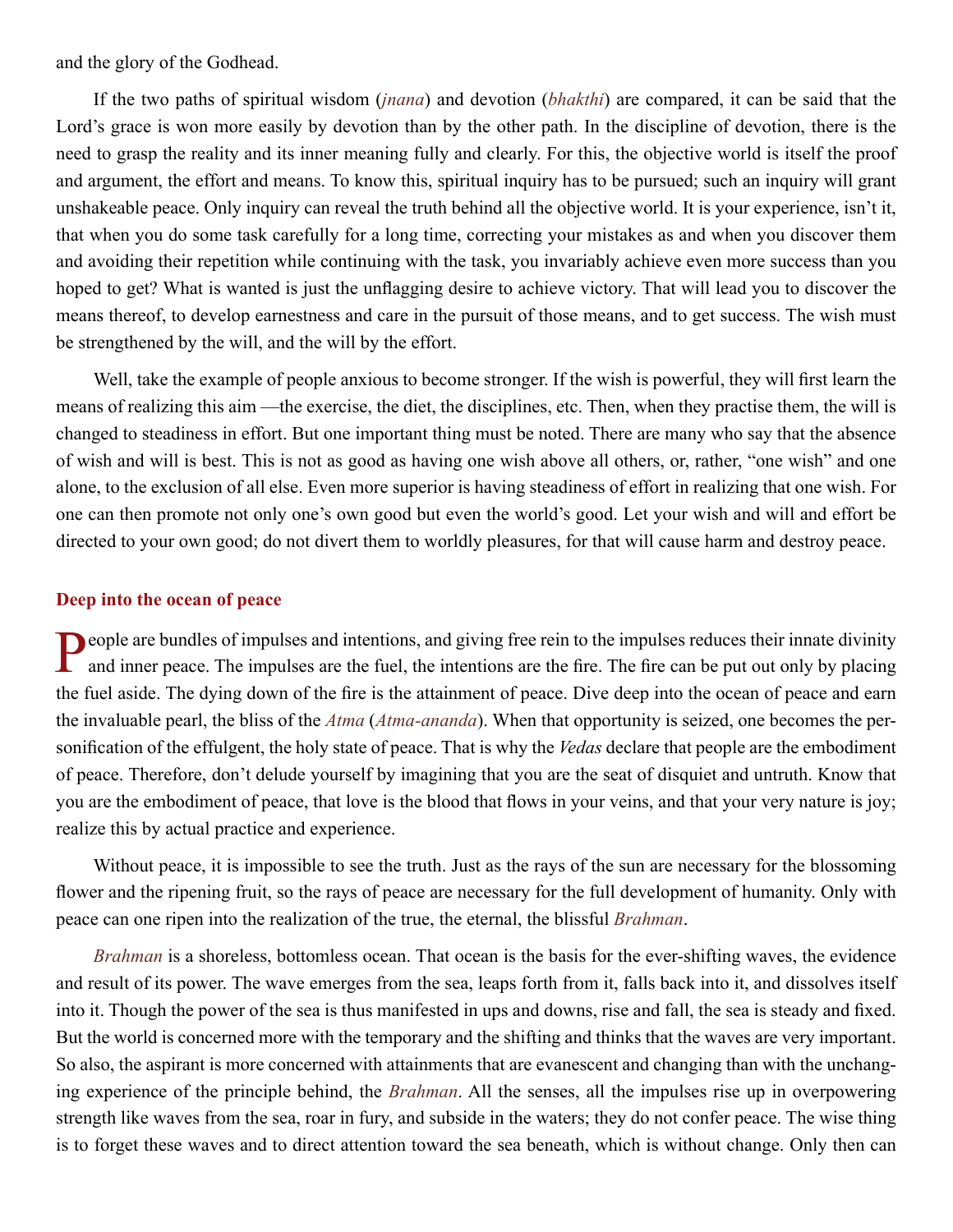<span id="page-27-0"></span>and the glory of the Godhead.

If the two paths of spiritual wisdom (*[jnana](#page-46-4)*) and devotion (*[bhakthi](#page-44-12)*) are compared, it can be said that the Lord's grace is won more easily by devotion than by the other path. In the discipline of devotion, there is the need to grasp the reality and its inner meaning fully and clearly. For this, the objective world is itself the proof and argument, the effort and means. To know this, spiritual inquiry has to be pursued; such an inquiry will grant unshakeable peace. Only inquiry can reveal the truth behind all the objective world. It is your experience, isn't it, that when you do some task carefully for a long time, correcting your mistakes as and when you discover them and avoiding their repetition while continuing with the task, you invariably achieve even more success than you hoped to get? What is wanted is just the unflagging desire to achieve victory. That will lead you to discover the means thereof, to develop earnestness and care in the pursuit of those means, and to get success. The wish must be strengthened by the will, and the will by the effort.

Well, take the example of people anxious to become stronger. If the wish is powerful, they will first learn the means of realizing this aim —the exercise, the diet, the disciplines, etc. Then, when they practise them, the will is changed to steadiness in effort. But one important thing must be noted. There are many who say that the absence of wish and will is best. This is not as good as having one wish above all others, or, rather, "one wish" and one alone, to the exclusion of all else. Even more superior is having steadiness of effort in realizing that one wish. For one can then promote not only one's own good but even the world's good. Let your wish and will and effort be directed to your own good; do not divert them to worldly pleasures, for that will cause harm and destroy peace.

## **Deep into the ocean of peace**

**People are bundles of impulses and intentions, and giving free rein to the impulses reduces their innate divinity** and inner peace. The impulses are the fuel, the intentions are the fire. The fire can be put out only by placing the fuel aside. The dying down of the fire is the attainment of peace. Dive deep into the ocean of peace and earn the invaluable pearl, the bliss of the *[Atma](#page-44-1)* (*[Atma-ananda](#page-44-9)*). When that opportunity is seized, one becomes the personification of the effulgent, the holy state of peace. That is why the *[Vedas](#page-51-4)* declare that people are the embodiment of peace. Therefore, don't delude yourself by imagining that you are the seat of disquiet and untruth. Know that you are the embodiment of peace, that love is the blood that flows in your veins, and that your very nature is joy; realize this by actual practice and experience.

Without peace, it is impossible to see the truth. Just as the rays of the sun are necessary for the blossoming flower and the ripening fruit, so the rays of peace are necessary for the full development of humanity. Only with peace can one ripen into the realization of the true, the eternal, the blissful *[Brahman](#page-44-2)*.

*[Brahman](#page-44-2)* is a shoreless, bottomless ocean. That ocean is the basis for the ever-shifting waves, the evidence and result of its power. The wave emerges from the sea, leaps forth from it, falls back into it, and dissolves itself into it. Though the power of the sea is thus manifested in ups and downs, rise and fall, the sea is steady and fixed. But the world is concerned more with the temporary and the shifting and thinks that the waves are very important. So also, the aspirant is more concerned with attainments that are evanescent and changing than with the unchanging experience of the principle behind, the *[Brahman](#page-44-2)*. All the senses, all the impulses rise up in overpowering strength like waves from the sea, roar in fury, and subside in the waters; they do not confer peace. The wise thing is to forget these waves and to direct attention toward the sea beneath, which is without change. Only then can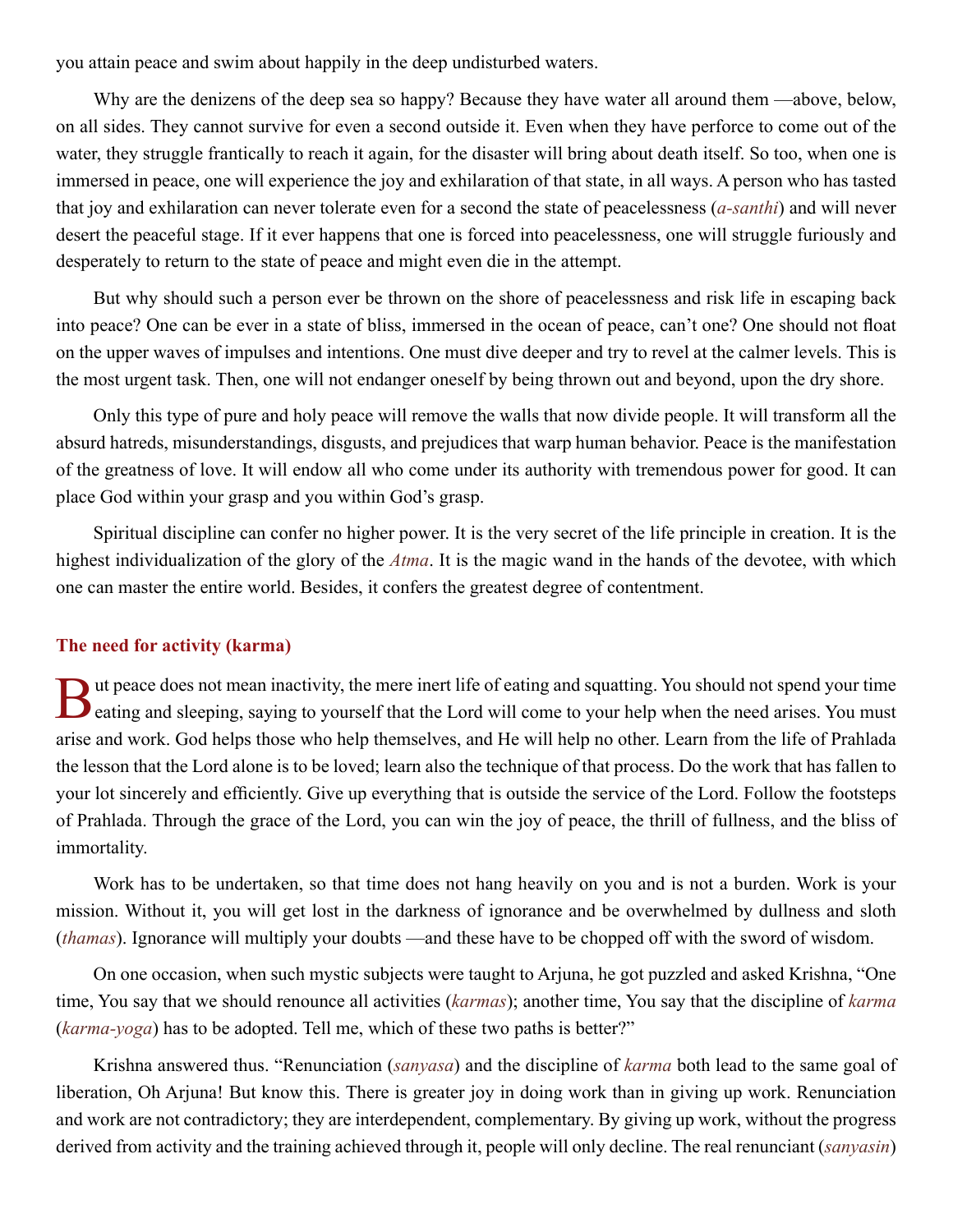<span id="page-28-0"></span>you attain peace and swim about happily in the deep undisturbed waters.

Why are the denizens of the deep sea so happy? Because they have water all around them —above, below, on all sides. They cannot survive for even a second outside it. Even when they have perforce to come out of the water, they struggle frantically to reach it again, for the disaster will bring about death itself. So too, when one is immersed in peace, one will experience the joy and exhilaration of that state, in all ways. A person who has tasted that joy and exhilaration can never tolerate even for a second the state of peacelessness (*[a-santhi](#page-43-12)*) and will never desert the peaceful stage. If it ever happens that one is forced into peacelessness, one will struggle furiously and desperately to return to the state of peace and might even die in the attempt.

But why should such a person ever be thrown on the shore of peacelessness and risk life in escaping back into peace? One can be ever in a state of bliss, immersed in the ocean of peace, can't one? One should not float on the upper waves of impulses and intentions. One must dive deeper and try to revel at the calmer levels. This is the most urgent task. Then, one will not endanger oneself by being thrown out and beyond, upon the dry shore.

Only this type of pure and holy peace will remove the walls that now divide people. It will transform all the absurd hatreds, misunderstandings, disgusts, and prejudices that warp human behavior. Peace is the manifestation of the greatness of love. It will endow all who come under its authority with tremendous power for good. It can place God within your grasp and you within God's grasp.

Spiritual discipline can confer no higher power. It is the very secret of the life principle in creation. It is the highest individualization of the glory of the *[Atma](#page-44-1)*. It is the magic wand in the hands of the devotee, with which one can master the entire world. Besides, it confers the greatest degree of contentment.

## **The need for activity (karma)**

If ut peace does not mean inactivity, the mere inert life of eating and squatting. You should not spend your time **Example 3** eating and sleeping, saying to yourself that the Lord will come to your help when the need arises. You must arise and work. God helps those who help themselves, and He will help no other. Learn from the life of [Prahlada](#page-48-4)  the lesson that the Lord alone is to be loved; learn also the technique of that process. Do the work that has fallen to your lot sincerely and efficiently. Give up everything that is outside the service of the Lord. Follow the footsteps of [Prahlada](#page-48-4). Through the grace of the Lord, you can win the joy of peace, the thrill of fullness, and the bliss of immortality.

Work has to be undertaken, so that time does not hang heavily on you and is not a burden. Work is your mission. Without it, you will get lost in the darkness of ignorance and be overwhelmed by dullness and sloth (*thamas*). Ignorance will multiply your doubts —and these have to be chopped off with the sword of wisdom.

On one occasion, when such mystic subjects were taught to [Arjuna,](#page-43-13) he got puzzled and asked [Krishna,](#page-46-8) "One time, You say that we should renounce all activities (*[karmas](#page-46-3)*); another time, You say that the discipline of *[karma](#page-46-3)* (*[karma-yoga](#page-46-13)*) has to be adopted. Tell me, which of these two paths is better?"

[Krishna](#page-46-8) answered thus. "Renunciation (*sanyasa*) and the discipline of *[karma](#page-46-3)* both lead to the same goal of liberation, Oh [Arjuna!](#page-43-13) But know this. There is greater joy in doing work than in giving up work. Renunciation and work are not contradictory; they are interdependent, complementary. By giving up work, without the progress derived from activity and the training achieved through it, people will only decline. The real renunciant (*sanyasin*)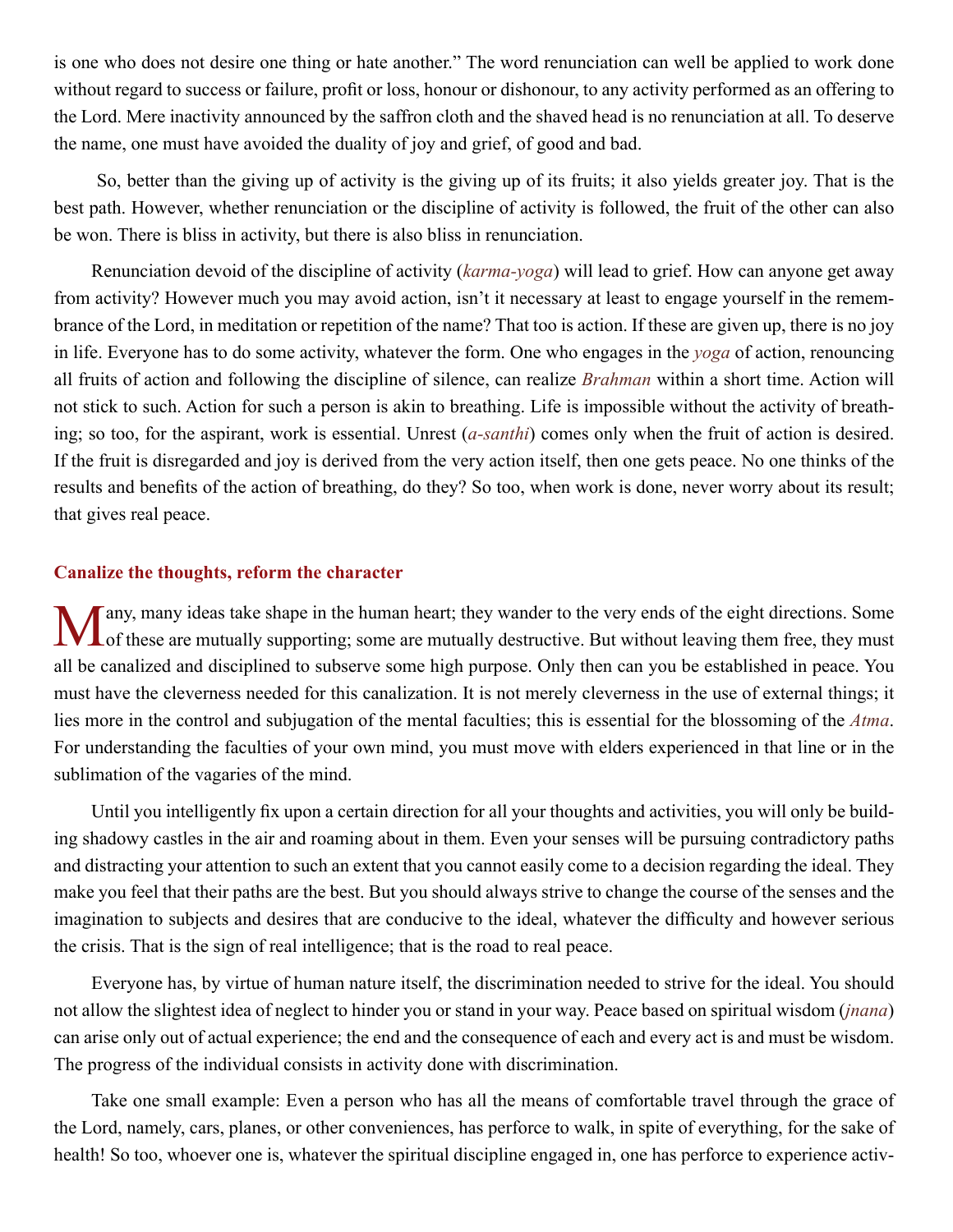<span id="page-29-0"></span>is one who does not desire one thing or hate another." The word renunciation can well be applied to work done without regard to success or failure, profit or loss, honour or dishonour, to any activity performed as an offering to the Lord. Mere inactivity announced by the saffron cloth and the shaved head is no renunciation at all. To deserve the name, one must have avoided the duality of joy and grief, of good and bad.

 So, better than the giving up of activity is the giving up of its fruits; it also yields greater joy. That is the best path. However, whether renunciation or the discipline of activity is followed, the fruit of the other can also be won. There is bliss in activity, but there is also bliss in renunciation.

Renunciation devoid of the discipline of activity (*[karma-yoga](#page-46-13)*) will lead to grief. How can anyone get away from activity? However much you may avoid action, isn't it necessary at least to engage yourself in the remembrance of the Lord, in meditation or repetition of the name? That too is action. If these are given up, there is no joy in life. Everyone has to do some activity, whatever the form. One who engages in the *yoga* of action, renouncing all fruits of action and following the discipline of silence, can realize *[Brahman](#page-44-2)* within a short time. Action will not stick to such. Action for such a person is akin to breathing. Life is impossible without the activity of breathing; so too, for the aspirant, work is essential. Unrest (*[a-santhi](#page-43-12)*) comes only when the fruit of action is desired. If the fruit is disregarded and joy is derived from the very action itself, then one gets peace. No one thinks of the results and benefits of the action of breathing, do they? So too, when work is done, never worry about its result; that gives real peace.

## **Canalize the thoughts, reform the character**

Many, many ideas take shape in the human heart; they wander to the very ends of the eight directions. Some of these are mutually supporting; some are mutually destructive. But without leaving them free, they must all be canalized and disciplined to subserve some high purpose. Only then can you be established in peace. You must have the cleverness needed for this canalization. It is not merely cleverness in the use of external things; it lies more in the control and subjugation of the mental faculties; this is essential for the blossoming of the *[Atma](#page-44-1)*. For understanding the faculties of your own mind, you must move with elders experienced in that line or in the sublimation of the vagaries of the mind.

Until you intelligently fix upon a certain direction for all your thoughts and activities, you will only be building shadowy castles in the air and roaming about in them. Even your senses will be pursuing contradictory paths and distracting your attention to such an extent that you cannot easily come to a decision regarding the ideal. They make you feel that their paths are the best. But you should always strive to change the course of the senses and the imagination to subjects and desires that are conducive to the ideal, whatever the difficulty and however serious the crisis. That is the sign of real intelligence; that is the road to real peace.

Everyone has, by virtue of human nature itself, the discrimination needed to strive for the ideal. You should not allow the slightest idea of neglect to hinder you or stand in your way. Peace based on spiritual wisdom (*[jnana](#page-46-4)*) can arise only out of actual experience; the end and the consequence of each and every act is and must be wisdom. The progress of the individual consists in activity done with discrimination.

Take one small example: Even a person who has all the means of comfortable travel through the grace of the Lord, namely, cars, planes, or other conveniences, has perforce to walk, in spite of everything, for the sake of health! So too, whoever one is, whatever the spiritual discipline engaged in, one has perforce to experience activ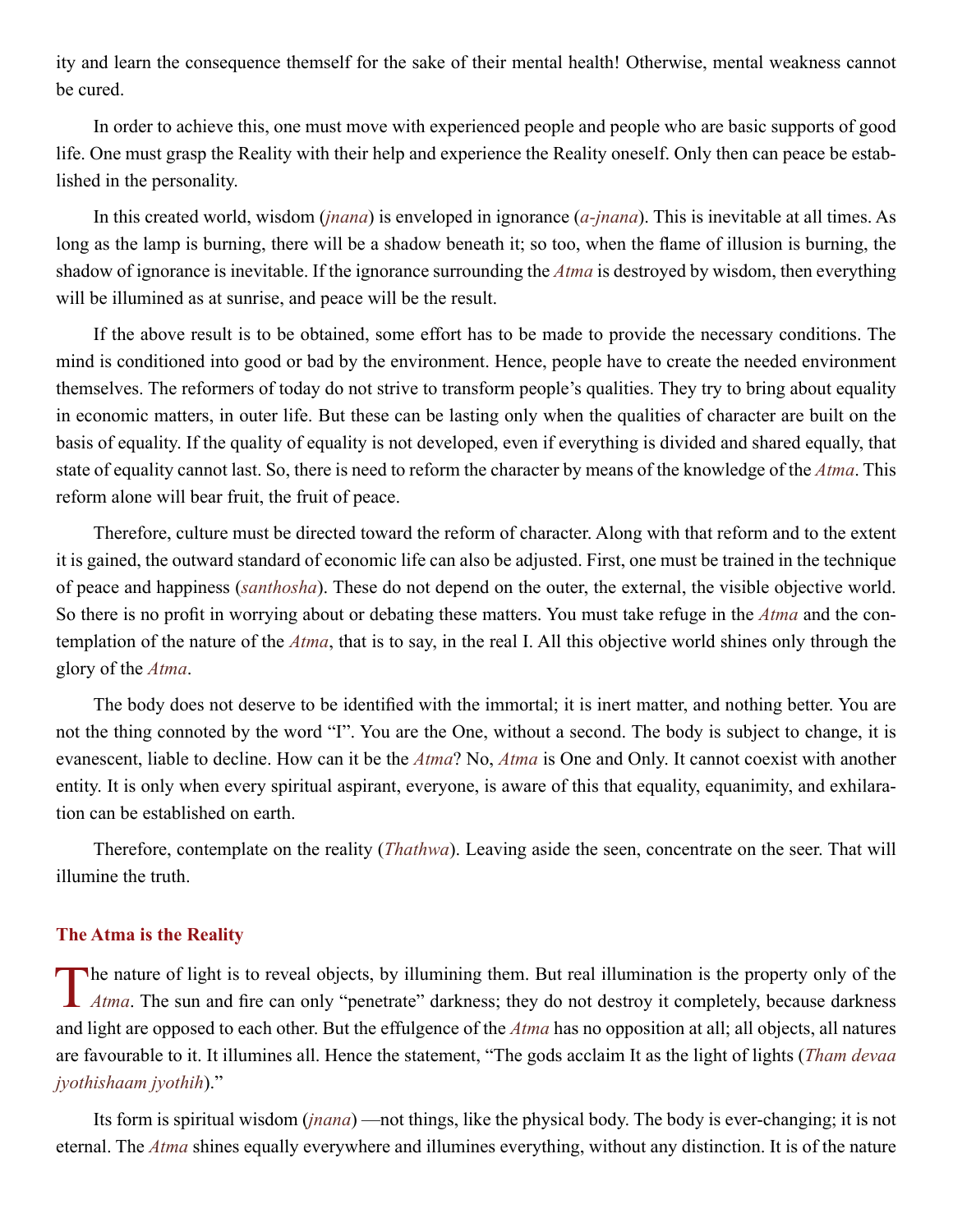<span id="page-30-0"></span>ity and learn the consequence themself for the sake of their mental health! Otherwise, mental weakness cannot be cured.

In order to achieve this, one must move with experienced people and people who are basic supports of good life. One must grasp the Reality with their help and experience the Reality oneself. Only then can peace be established in the personality.

In this created world, wisdom (*[jnana](#page-46-4)*) is enveloped in ignorance (*[a-jnana](#page-43-4)*). This is inevitable at all times. As long as the lamp is burning, there will be a shadow beneath it; so too, when the flame of illusion is burning, the shadow of ignorance is inevitable. If the ignorance surrounding the *[Atma](#page-44-1)* is destroyed by wisdom, then everything will be illumined as at sunrise, and peace will be the result.

If the above result is to be obtained, some effort has to be made to provide the necessary conditions. The mind is conditioned into good or bad by the environment. Hence, people have to create the needed environment themselves. The reformers of today do not strive to transform people's qualities. They try to bring about equality in economic matters, in outer life. But these can be lasting only when the qualities of character are built on the basis of equality. If the quality of equality is not developed, even if everything is divided and shared equally, that state of equality cannot last. So, there is need to reform the character by means of the knowledge of the *[Atma](#page-44-1)*. This reform alone will bear fruit, the fruit of peace.

Therefore, culture must be directed toward the reform of character. Along with that reform and to the extent it is gained, the outward standard of economic life can also be adjusted. First, one must be trained in the technique of peace and happiness (*santhosha*). These do not depend on the outer, the external, the visible objective world. So there is no profit in worrying about or debating these matters. You must take refuge in the *[Atma](#page-44-1)* and the contemplation of the nature of the *[Atma](#page-44-1)*, that is to say, in the real I. All this objective world shines only through the glory of the *[Atma](#page-44-1)*.

The body does not deserve to be identified with the immortal; it is inert matter, and nothing better. You are not the thing connoted by the word "I". You are the One, without a second. The body is subject to change, it is evanescent, liable to decline. How can it be the *[Atma](#page-44-1)*? No, *[Atma](#page-44-1)* is One and Only. It cannot coexist with another entity. It is only when every spiritual aspirant, everyone, is aware of this that equality, equanimity, and exhilaration can be established on earth.

Therefore, contemplate on the reality (*[Thathwa](#page-51-6)*). Leaving aside the seen, concentrate on the seer. That will illumine the truth.

## **The Atma is the Reality**

[T](#page-44-1)he nature of light is to reveal objects, by illumining them. But real illumination is the property only of the *Atma*. The sun and fire can only "penetrate" darkness; they do not destroy it completely, because darkness and light are opposed to each other. But the effulgence of the *[Atma](#page-44-1)* has no opposition at all; all objects, all natures are favourable to it. It illumines all. Hence the statement, "The gods acclaim It as the light of lights (*Tham devaa jyothishaam jyothih*)."

Its form is spiritual wisdom (*[jnana](#page-46-4)*) —not things, like the physical body. The body is ever-changing; it is not eternal. The *[Atma](#page-44-1)* shines equally everywhere and illumines everything, without any distinction. It is of the nature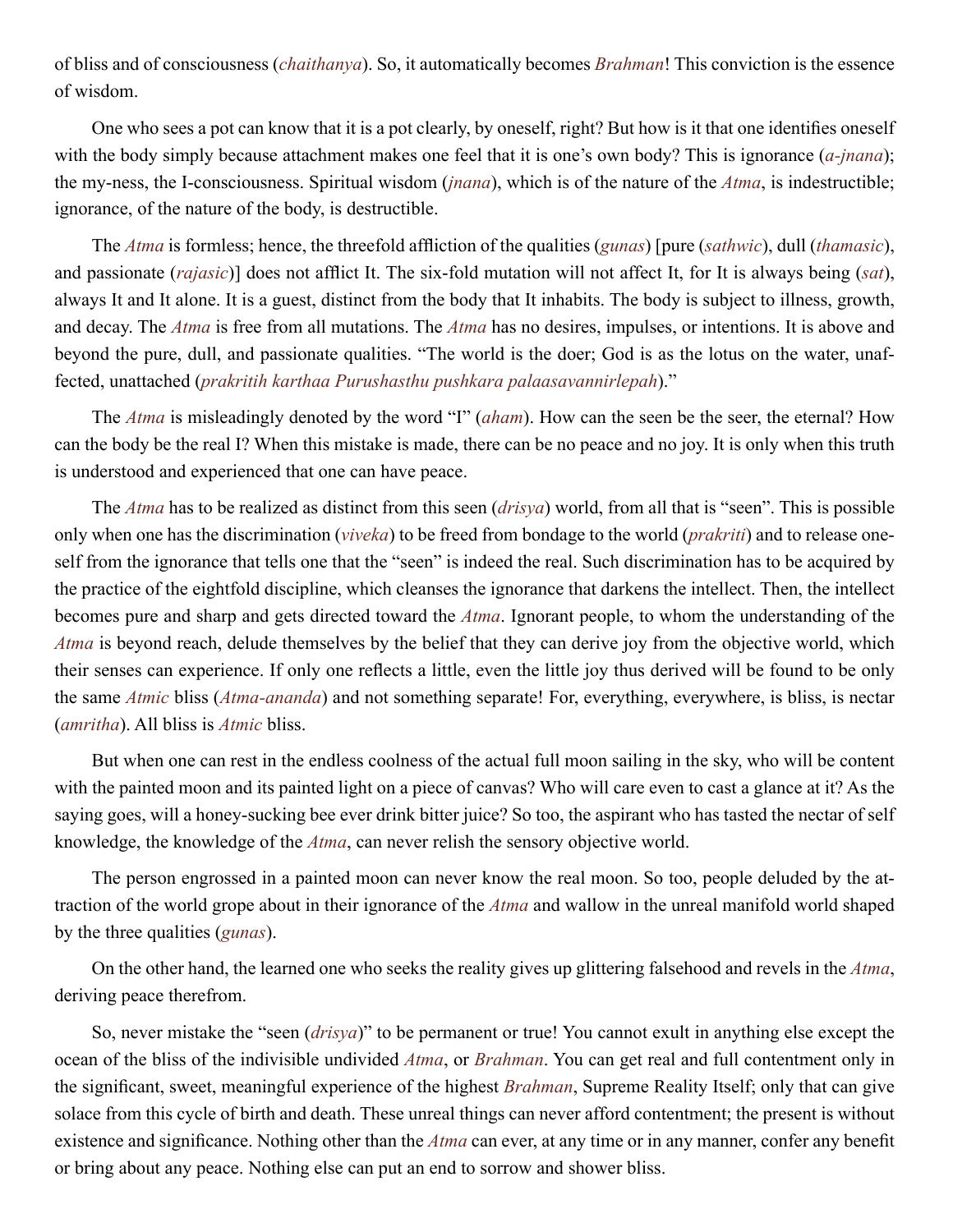of bliss and of consciousness (*[chaithanya](#page-45-13)*). So, it automatically becomes *[Brahman](#page-44-2)*! This conviction is the essence of wisdom.

One who sees a pot can know that it is a pot clearly, by oneself, right? But how is it that one identifies oneself with the body simply because attachment makes one feel that it is one's own body? This is ignorance (*[a-jnana](#page-43-4)*); the my-ness, the I-consciousness. Spiritual wisdom (*[jnana](#page-46-4)*), which is of the nature of the *[Atma](#page-44-1)*, is indestructible; ignorance, of the nature of the body, is destructible.

The *[Atma](#page-44-1)* is formless; hence, the threefold affliction of the qualities (*[gunas](#page-45-12)*) [pure (*sathwic*), dull (*thamasic*), and passionate (*[rajasic](#page-49-14)*)] does not afflict It. The six-fold mutation will not affect It, for It is always being (*sat*), always It and It alone. It is a guest, distinct from the body that It inhabits. The body is subject to illness, growth, and decay. The *[Atma](#page-44-1)* is free from all mutations. The *[Atma](#page-44-1)* has no desires, impulses, or intentions. It is above and beyond the pure, dull, and passionate qualities. "The world is the doer; God is as the lotus on the water, unaffected, unattached (*prakritih karthaa Purushasthu pushkara palaasavannirlepah*)."

The *[Atma](#page-44-1)* is misleadingly denoted by the word "I" (*[aham](#page-43-14)*). How can the seen be the seer, the eternal? How can the body be the real I? When this mistake is made, there can be no peace and no joy. It is only when this truth is understood and experienced that one can have peace.

The *[Atma](#page-44-1)* has to be realized as distinct from this seen (*[drisya](#page-45-14)*) world, from all that is "seen". This is possible only when one has the discrimination (*viveka*) to be freed from bondage to the world (*[prakriti](#page-48-12)*) and to release oneself from the ignorance that tells one that the "seen" is indeed the real. Such discrimination has to be acquired by the practice of the eightfold discipline, which cleanses the ignorance that darkens the intellect. Then, the intellect becomes pure and sharp and gets directed toward the *[Atma](#page-44-1)*. Ignorant people, to whom the understanding of the *[Atma](#page-44-1)* is beyond reach, delude themselves by the belief that they can derive joy from the objective world, which their senses can experience. If only one reflects a little, even the little joy thus derived will be found to be only the same *[Atmic](#page-44-13)* bliss (*[Atma-ananda](#page-44-9)*) and not something separate! For, everything, everywhere, is bliss, is nectar (*[amritha](#page-43-2)*). All bliss is *[Atmic](#page-44-13)* bliss.

But when one can rest in the endless coolness of the actual full moon sailing in the sky, who will be content with the painted moon and its painted light on a piece of canvas? Who will care even to cast a glance at it? As the saying goes, will a honey-sucking bee ever drink bitter juice? So too, the aspirant who has tasted the nectar of self knowledge, the knowledge of the *[Atma](#page-44-1)*, can never relish the sensory objective world.

The person engrossed in a painted moon can never know the real moon. So too, people deluded by the attraction of the world grope about in their ignorance of the *[Atma](#page-44-1)* and wallow in the unreal manifold world shaped by the three qualities (*[gunas](#page-45-12)*).

On the other hand, the learned one who seeks the reality gives up glittering falsehood and revels in the *[Atma](#page-44-1)*, deriving peace therefrom.

So, never mistake the "seen (*[drisya](#page-45-14)*)" to be permanent or true! You cannot exult in anything else except the ocean of the bliss of the indivisible undivided *[Atma](#page-44-1)*, or *[Brahman](#page-44-2)*. You can get real and full contentment only in the significant, sweet, meaningful experience of the highest *[Brahman](#page-44-2)*, Supreme Reality Itself; only that can give solace from this cycle of birth and death. These unreal things can never afford contentment; the present is without existence and significance. Nothing other than the *[Atma](#page-44-1)* can ever, at any time or in any manner, confer any benefit or bring about any peace. Nothing else can put an end to sorrow and shower bliss.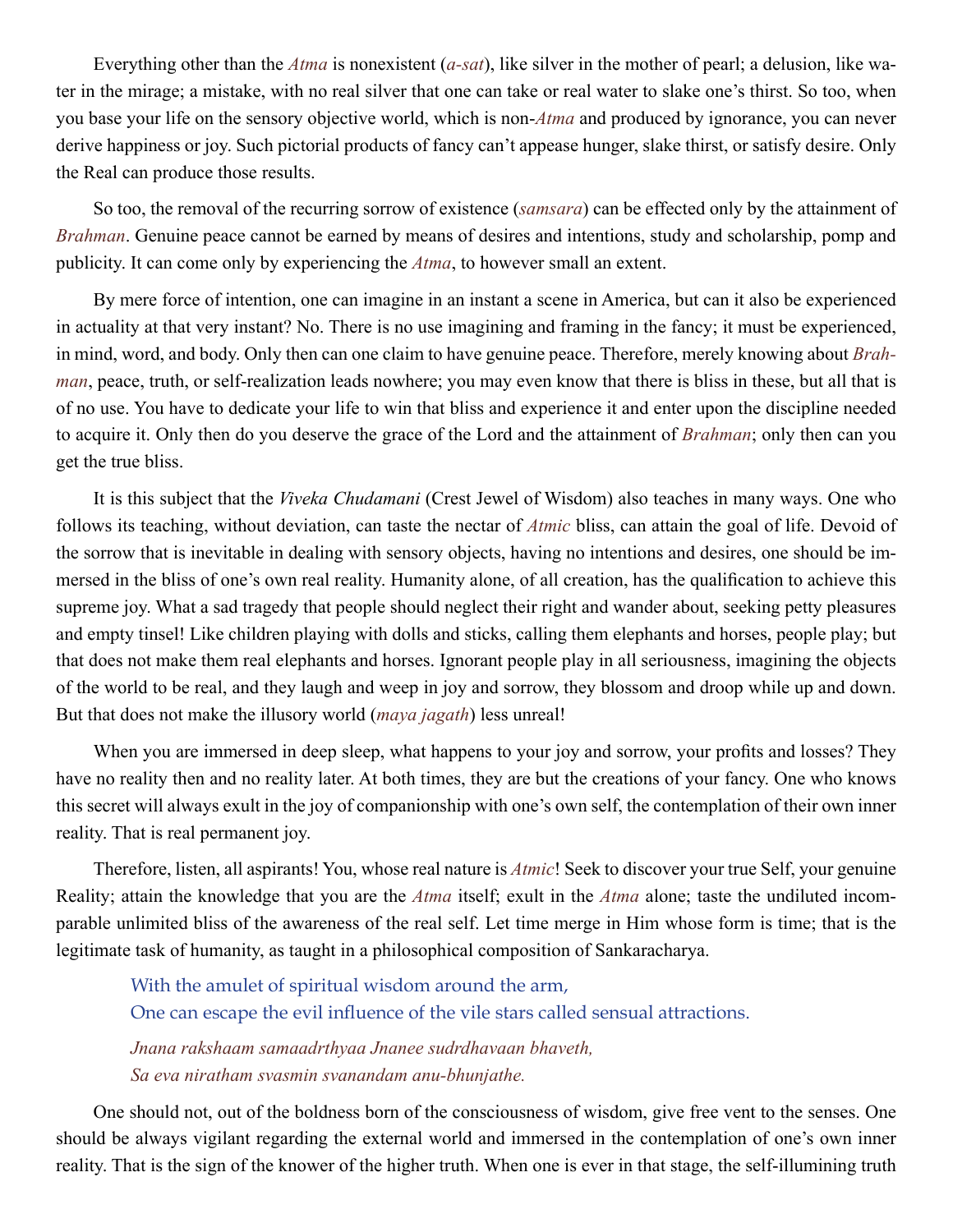Everything other than the *[Atma](#page-44-1)* is nonexistent (*[a-sat](#page-43-15)*), like silver in the mother of pearl; a delusion, like water in the mirage; a mistake, with no real silver that one can take or real water to slake one's thirst. So too, when you base your life on the sensory objective world, which is non-*[Atma](#page-44-1)* and produced by ignorance, you can never derive happiness or joy. Such pictorial products of fancy can't appease hunger, slake thirst, or satisfy desire. Only the Real can produce those results.

So too, the removal of the recurring sorrow of existence (*[samsara](#page-49-8)*) can be effected only by the attainment of *[Brahman](#page-44-2)*. Genuine peace cannot be earned by means of desires and intentions, study and scholarship, pomp and publicity. It can come only by experiencing the *[Atma](#page-44-1)*, to however small an extent.

By mere force of intention, one can imagine in an instant a scene in America, but can it also be experienced in actuality at that very instant? No. There is no use imagining and framing in the fancy; it must be experienced, in mind, word, and body. Only then can one claim to have genuine peace. Therefore, merely knowing about *[Brah](#page-44-2)[man](#page-44-2)*, peace, truth, or self-realization leads nowhere; you may even know that there is bliss in these, but all that is of no use. You have to dedicate your life to win that bliss and experience it and enter upon the discipline needed to acquire it. Only then do you deserve the grace of the Lord and the attainment of *[Brahman](#page-44-2)*; only then can you get the true bliss.

It is this subject that the *[Viveka Chudamani](#page-45-15)* (Crest Jewel of Wisdom) also teaches in many ways. One who follows its teaching, without deviation, can taste the nectar of *[Atmic](#page-44-13)* bliss, can attain the goal of life. Devoid of the sorrow that is inevitable in dealing with sensory objects, having no intentions and desires, one should be immersed in the bliss of one's own real reality. Humanity alone, of all creation, has the qualification to achieve this supreme joy. What a sad tragedy that people should neglect their right and wander about, seeking petty pleasures and empty tinsel! Like children playing with dolls and sticks, calling them elephants and horses, people play; but that does not make them real elephants and horses. Ignorant people play in all seriousness, imagining the objects of the world to be real, and they laugh and weep in joy and sorrow, they blossom and droop while up and down. But that does not make the illusory world (*[maya](#page-47-2) [jagath](#page-46-14)*) less unreal!

When you are immersed in deep sleep, what happens to your joy and sorrow, your profits and losses? They have no reality then and no reality later. At both times, they are but the creations of your fancy. One who knows this secret will always exult in the joy of companionship with one's own self, the contemplation of their own inner reality. That is real permanent joy.

Therefore, listen, all aspirants! You, whose real nature is *[Atmic](#page-44-13)*! Seek to discover your true Self, your genuine Reality; attain the knowledge that you are the *[Atma](#page-44-1)* itself; exult in the *[Atma](#page-44-1)* alone; taste the undiluted incomparable unlimited bliss of the awareness of the real self. Let time merge in Him whose form is time; that is the legitimate task of humanity, as taught in a philosophical composition of [Sankaracharya](#page-50-1).

With the amulet of spiritual wisdom around the arm, One can escape the evil influence of the vile stars called sensual attractions.

*Jnana rakshaam samaadrthyaa Jnanee sudrdhavaan bhaveth, Sa eva niratham svasmin svanandam anu-bhunjathe.*

One should not, out of the boldness born of the consciousness of wisdom, give free vent to the senses. One should be always vigilant regarding the external world and immersed in the contemplation of one's own inner reality. That is the sign of the knower of the higher truth. When one is ever in that stage, the self-illumining truth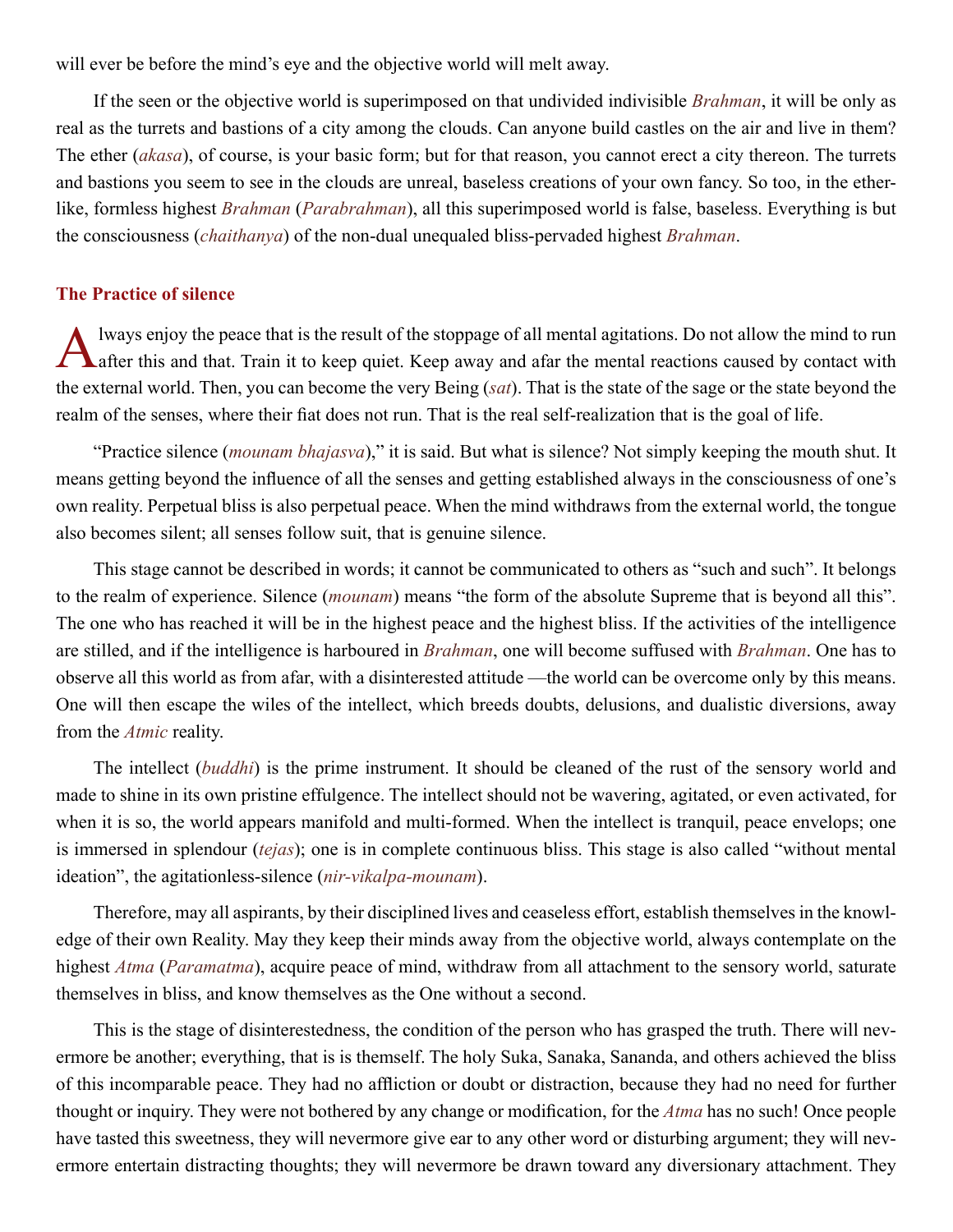<span id="page-33-0"></span>will ever be before the mind's eve and the objective world will melt away.

If the seen or the objective world is superimposed on that undivided indivisible *[Brahman](#page-44-2)*, it will be only as real as the turrets and bastions of a city among the clouds. Can anyone build castles on the air and live in them? The ether (*[akasa](#page-43-16)*), of course, is your basic form; but for that reason, you cannot erect a city thereon. The turrets and bastions you seem to see in the clouds are unreal, baseless creations of your own fancy. So too, in the etherlike, formless highest *[Brahman](#page-44-2)* (*[Parabrahman](#page-48-13)*), all this superimposed world is false, baseless. Everything is but the consciousness (*[chaithanya](#page-45-13)*) of the non-dual unequaled bliss-pervaded highest *[Brahman](#page-44-2)*.

## **The Practice of silence**

lways enjoy the peace that is the result of the stoppage of all mental agitations. Do not allow the mind to run **T** after this and that. Train it to keep quiet. Keep away and afar the mental reactions caused by contact with the external world. Then, you can become the very Being (*sat*). That is the state of the sage or the state beyond the realm of the senses, where their fiat does not run. That is the real self-realization that is the goal of life.

"Practice silence (*mounam bhajasva*)," it is said. But what is silence? Not simply keeping the mouth shut. It means getting beyond the influence of all the senses and getting established always in the consciousness of one's own reality. Perpetual bliss is also perpetual peace. When the mind withdraws from the external world, the tongue also becomes silent; all senses follow suit, that is genuine silence.

This stage cannot be described in words; it cannot be communicated to others as "such and such". It belongs to the realm of experience. Silence (*[mounam](#page-47-12)*) means "the form of the absolute Supreme that is beyond all this". The one who has reached it will be in the highest peace and the highest bliss. If the activities of the intelligence are stilled, and if the intelligence is harboured in *[Brahman](#page-44-2)*, one will become suffused with *[Brahman](#page-44-2)*. One has to observe all this world as from afar, with a disinterested attitude —the world can be overcome only by this means. One will then escape the wiles of the intellect, which breeds doubts, delusions, and dualistic diversions, away from the *[Atmic](#page-44-13)* reality.

The intellect (*[buddhi](#page-45-2)*) is the prime instrument. It should be cleaned of the rust of the sensory world and made to shine in its own pristine effulgence. The intellect should not be wavering, agitated, or even activated, for when it is so, the world appears manifold and multi-formed. When the intellect is tranquil, peace envelops; one is immersed in splendour (*tejas*); one is in complete continuous bliss. This stage is also called "without mental ideation", the agitationless-silence (*[nir-vikalpa-mounam](#page-48-14)*).

Therefore, may all aspirants, by their disciplined lives and ceaseless effort, establish themselves in the knowledge of their own Reality. May they keep their minds away from the objective world, always contemplate on the highest *[Atma](#page-44-1)* (*[Paramatma](#page-48-10)*), acquire peace of mind, withdraw from all attachment to the sensory world, saturate themselves in bliss, and know themselves as the One without a second.

This is the stage of disinterestedness, the condition of the person who has grasped the truth. There will nevermore be another; everything, that is is themself. The holy [Suka,](#page-50-4) [Sanaka](#page-49-15), [Sananda,](#page-49-16) and others achieved the bliss of this incomparable peace. They had no affliction or doubt or distraction, because they had no need for further thought or inquiry. They were not bothered by any change or modification, for the *[Atma](#page-44-1)* has no such! Once people have tasted this sweetness, they will nevermore give ear to any other word or disturbing argument; they will nevermore entertain distracting thoughts; they will nevermore be drawn toward any diversionary attachment. They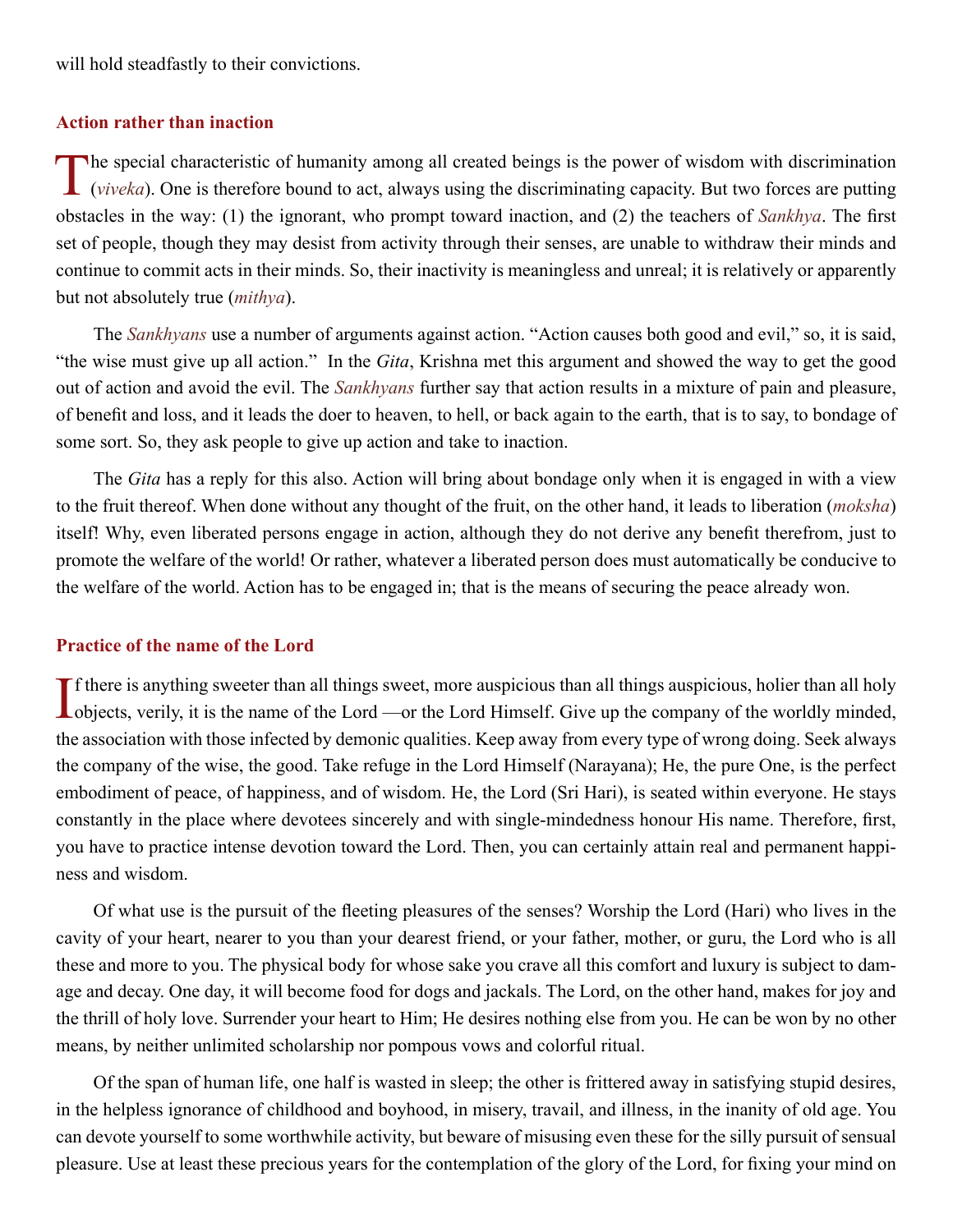<span id="page-34-0"></span>will hold steadfastly to their convictions.

## **Action rather than inaction**

The special characteristic of humanity among all created beings is the power of wisdom with discrimination (*viveka*). One is therefore bound to act, always using the discriminating capacity. But two forces are putting obstacles in the way: (1) the ignorant, who prompt toward inaction, and (2) the teachers of *[Sankhya](#page-50-5)*. The first set of people, though they may desist from activity through their senses, are unable to withdraw their minds and continue to commit acts in their minds. So, their inactivity is meaningless and unreal; it is relatively or apparently but not absolutely true (*[mithya](#page-47-13)*).

The *[Sankhyans](#page-50-5)* use a number of arguments against action. "Action causes both good and evil," so, it is said, "the wise must give up all action." In the *[Gita](#page-45-5)*, [Krishna](#page-46-8) met this argument and showed the way to get the good out of action and avoid the evil. The *[Sankhyans](#page-50-5)* further say that action results in a mixture of pain and pleasure, of benefit and loss, and it leads the doer to heaven, to hell, or back again to the earth, that is to say, to bondage of some sort. So, they ask people to give up action and take to inaction.

The *[Gita](#page-45-5)* has a reply for this also. Action will bring about bondage only when it is engaged in with a view to the fruit thereof. When done without any thought of the fruit, on the other hand, it leads to liberation (*[moksha](#page-47-0)*) itself! Why, even liberated persons engage in action, although they do not derive any benefit therefrom, just to promote the welfare of the world! Or rather, whatever a liberated person does must automatically be conducive to the welfare of the world. Action has to be engaged in; that is the means of securing the peace already won.

## **Practice of the name of the Lord**

If there is anything sweeter than all things sweet, more auspicious than all things auspicious, holier than all holy objects, verily, it is the name of the Lord —or the Lord Himself. Give up the company of the worldly mind **L**objects, verily, it is the name of the Lord —or the Lord Himself. Give up the company of the worldly minded, the association with those infected by demonic qualities. Keep away from every type of wrong doing. Seek always the company of the wise, the good. Take refuge in the Lord Himself [\(Narayana](#page-48-15)); He, the pure One, is the perfect embodiment of peace, of happiness, and of wisdom. He, the Lord (Sri [Hari\)](#page-46-15), is seated within everyone. He stays constantly in the place where devotees sincerely and with single-mindedness honour His name. Therefore, first, you have to practice intense devotion toward the Lord. Then, you can certainly attain real and permanent happiness and wisdom.

Of what use is the pursuit of the fleeting pleasures of the senses? Worship the Lord ([Hari](#page-46-15)) who lives in the cavity of your heart, nearer to you than your dearest friend, or your father, mother, or guru, the Lord who is all these and more to you. The physical body for whose sake you crave all this comfort and luxury is subject to damage and decay. One day, it will become food for dogs and jackals. The Lord, on the other hand, makes for joy and the thrill of holy love. Surrender your heart to Him; He desires nothing else from you. He can be won by no other means, by neither unlimited scholarship nor pompous vows and colorful ritual.

Of the span of human life, one half is wasted in sleep; the other is frittered away in satisfying stupid desires, in the helpless ignorance of childhood and boyhood, in misery, travail, and illness, in the inanity of old age. You can devote yourself to some worthwhile activity, but beware of misusing even these for the silly pursuit of sensual pleasure. Use at least these precious years for the contemplation of the glory of the Lord, for fixing your mind on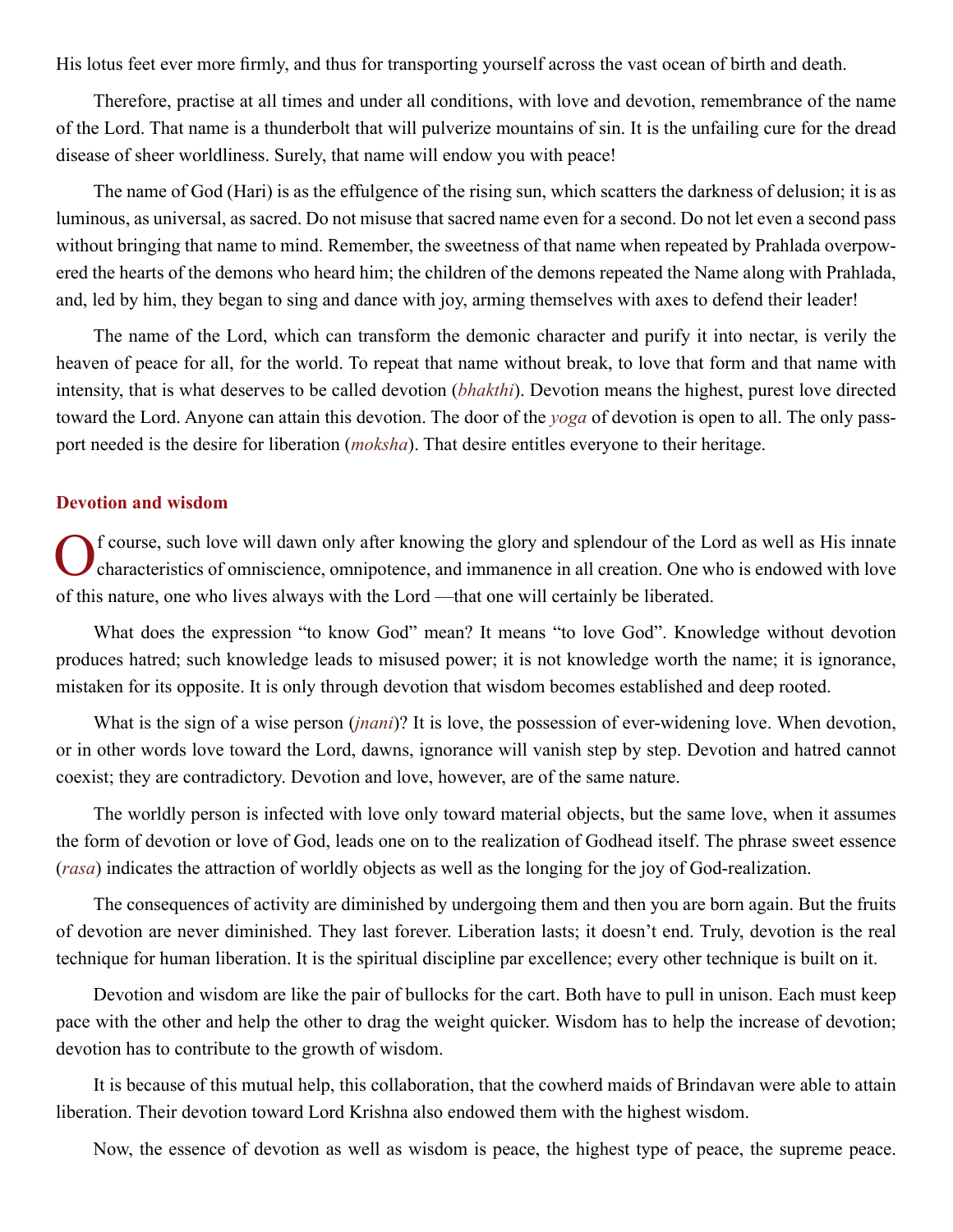<span id="page-35-0"></span>His lotus feet ever more firmly, and thus for transporting yourself across the vast ocean of birth and death.

Therefore, practise at all times and under all conditions, with love and devotion, remembrance of the name of the Lord. That name is a thunderbolt that will pulverize mountains of sin. It is the unfailing cure for the dread disease of sheer worldliness. Surely, that name will endow you with peace!

The name of God ([Hari](#page-46-15)) is as the effulgence of the rising sun, which scatters the darkness of delusion; it is as luminous, as universal, as sacred. Do not misuse that sacred name even for a second. Do not let even a second pass without bringing that name to mind. Remember, the sweetness of that name when repeated by [Prahlada](#page-48-4) overpowered the hearts of the demons who heard him; the children of the demons repeated the Name along with [Prahlada,](#page-48-4) and, led by him, they began to sing and dance with joy, arming themselves with axes to defend their leader!

The name of the Lord, which can transform the demonic character and purify it into nectar, is verily the heaven of peace for all, for the world. To repeat that name without break, to love that form and that name with intensity, that is what deserves to be called devotion (*[bhakthi](#page-44-12)*). Devotion means the highest, purest love directed toward the Lord. Anyone can attain this devotion. The door of the *yoga* of devotion is open to all. The only passport needed is the desire for liberation (*[moksha](#page-47-0)*). That desire entitles everyone to their heritage.

## **Devotion and wisdom**

Of course, such love will dawn only after knowing the glory and splendour of the Lord as well as His innate characteristics of omniscience, omnipotence, and immanence in all creation. One who is endowed with love of this nature, one who lives always with the Lord —that one will certainly be liberated.

What does the expression "to know God" mean? It means "to love God". Knowledge without devotion produces hatred; such knowledge leads to misused power; it is not knowledge worth the name; it is ignorance, mistaken for its opposite. It is only through devotion that wisdom becomes established and deep rooted.

What is the sign of a wise person (*[jnani](#page-46-16)*)? It is love, the possession of ever-widening love. When devotion, or in other words love toward the Lord, dawns, ignorance will vanish step by step. Devotion and hatred cannot coexist; they are contradictory. Devotion and love, however, are of the same nature.

The worldly person is infected with love only toward material objects, but the same love, when it assumes the form of devotion or love of God, leads one on to the realization of Godhead itself. The phrase sweet essence (*[rasa](#page-49-17)*) indicates the attraction of worldly objects as well as the longing for the joy of God-realization.

The consequences of activity are diminished by undergoing them and then you are born again. But the fruits of devotion are never diminished. They last forever. Liberation lasts; it doesn't end. Truly, devotion is the real technique for human liberation. It is the spiritual discipline par excellence; every other technique is built on it.

Devotion and wisdom are like the pair of bullocks for the cart. Both have to pull in unison. Each must keep pace with the other and help the other to drag the weight quicker. Wisdom has to help the increase of devotion; devotion has to contribute to the growth of wisdom.

It is because of this mutual help, this collaboration, that the cowherd maids of [Brindavan](#page-45-16) were able to attain liberation. Their devotion toward Lord [Krishna](#page-46-8) also endowed them with the highest wisdom.

Now, the essence of devotion as well as wisdom is peace, the highest type of peace, the supreme peace.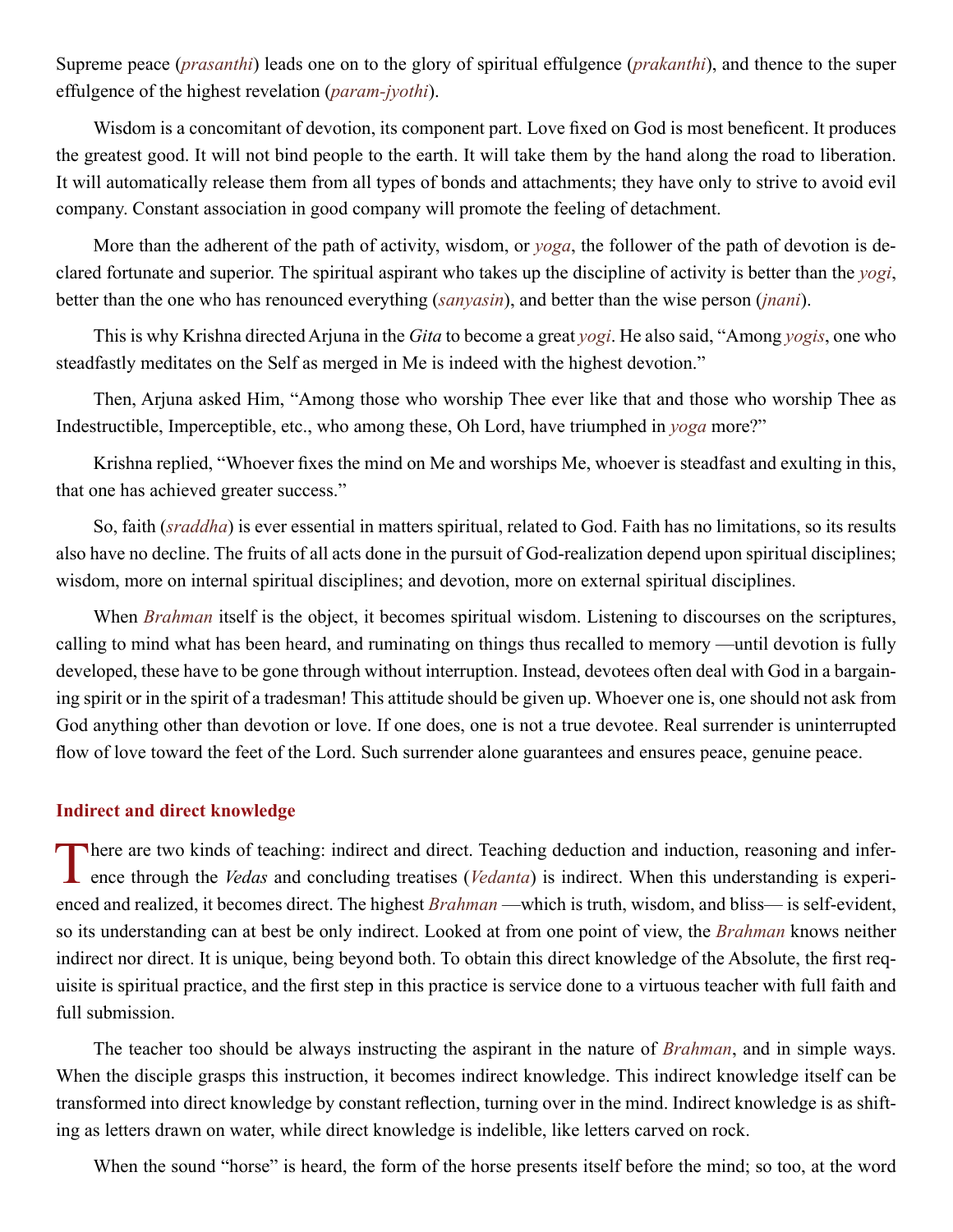<span id="page-36-0"></span>Supreme peace (*[prasanthi](#page-48-0)*) leads one on to the glory of spiritual effulgence (*[prakanthi](#page-48-16)*), and thence to the super effulgence of the highest revelation (*[param-jyothi](#page-48-17)*).

Wisdom is a concomitant of devotion, its component part. Love fixed on God is most beneficent. It produces the greatest good. It will not bind people to the earth. It will take them by the hand along the road to liberation. It will automatically release them from all types of bonds and attachments; they have only to strive to avoid evil company. Constant association in good company will promote the feeling of detachment.

More than the adherent of the path of activity, wisdom, or *yoga*, the follower of the path of devotion is declared fortunate and superior. The spiritual aspirant who takes up the discipline of activity is better than the *yogi*, better than the one who has renounced everything (*sanyasin*), and better than the wise person (*[jnani](#page-46-16)*).

This is why [Krishna](#page-46-8) directed [Arjuna](#page-43-13) in the *[Gita](#page-45-5)* to become a great *yogi*. He also said, "Among *yogis*, one who steadfastly meditates on the Self as merged in Me is indeed with the highest devotion."

Then, [Arjuna](#page-43-13) asked Him, "Among those who worship Thee ever like that and those who worship Thee as Indestructible, Imperceptible, etc., who among these, Oh Lord, have triumphed in *yoga* more?"

[Krishna](#page-46-8) replied, "Whoever fixes the mind on Me and worships Me, whoever is steadfast and exulting in this, that one has achieved greater success."

So, faith (*sraddha*) is ever essential in matters spiritual, related to God. Faith has no limitations, so its results also have no decline. The fruits of all acts done in the pursuit of God-realization depend upon spiritual disciplines; wisdom, more on internal spiritual disciplines; and devotion, more on external spiritual disciplines.

When *[Brahman](#page-44-2)* itself is the object, it becomes spiritual wisdom. Listening to discourses on the scriptures, calling to mind what has been heard, and ruminating on things thus recalled to memory —until devotion is fully developed, these have to be gone through without interruption. Instead, devotees often deal with God in a bargaining spirit or in the spirit of a tradesman! This attitude should be given up. Whoever one is, one should not ask from God anything other than devotion or love. If one does, one is not a true devotee. Real surrender is uninterrupted flow of love toward the feet of the Lord. Such surrender alone guarantees and ensures peace, genuine peace.

## **Indirect and direct knowledge**

There are two kinds of teaching: indirect and direct. Teaching deduction and induction, reasoning and inference through the *Vedas* and concluding treatises (*Vedanta*) is indirect. When this understanding is experienced and realized, it becomes direct. The highest *[Brahman](#page-44-2)* —which is truth, wisdom, and bliss— is self-evident, so its understanding can at best be only indirect. Looked at from one point of view, the *[Brahman](#page-44-2)* knows neither indirect nor direct. It is unique, being beyond both. To obtain this direct knowledge of the Absolute, the first requisite is spiritual practice, and the first step in this practice is service done to a virtuous teacher with full faith and full submission.

The teacher too should be always instructing the aspirant in the nature of *[Brahman](#page-44-2)*, and in simple ways. When the disciple grasps this instruction, it becomes indirect knowledge. This indirect knowledge itself can be transformed into direct knowledge by constant reflection, turning over in the mind. Indirect knowledge is as shifting as letters drawn on water, while direct knowledge is indelible, like letters carved on rock.

When the sound "horse" is heard, the form of the horse presents itself before the mind; so too, at the word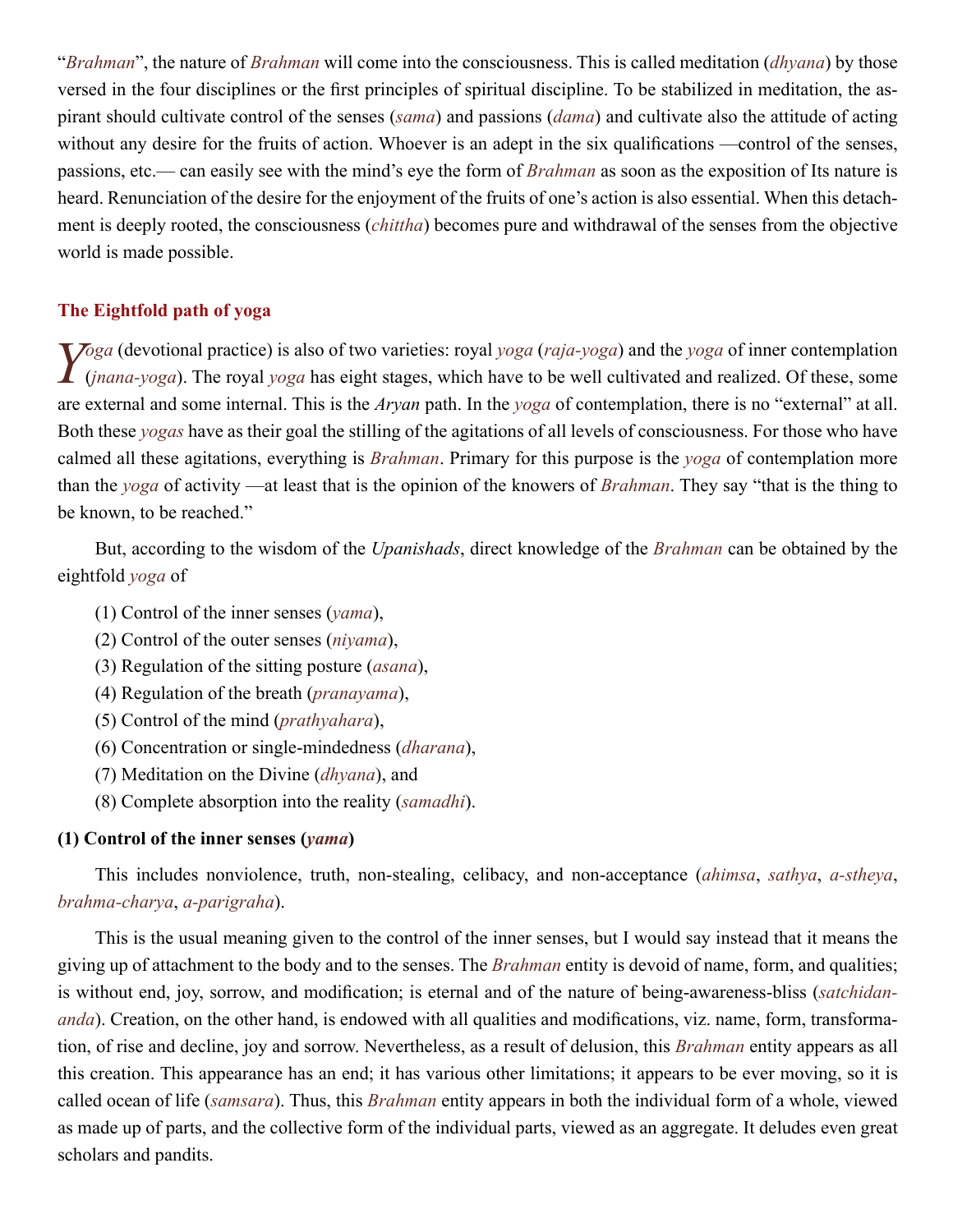<span id="page-37-0"></span>"*[Brahman](#page-44-2)*", the nature of *[Brahman](#page-44-2)* will come into the consciousness. This is called meditation (*[dhyana](#page-45-17)*) by those versed in the four disciplines or the first principles of spiritual discipline. To be stabilized in meditation, the aspirant should cultivate control of the senses (*[sama](#page-49-1)*) and passions (*[dama](#page-45-18)*) and cultivate also the attitude of acting without any desire for the fruits of action. Whoever is an adept in the six qualifications —control of the senses, passions, etc.— can easily see with the mind's eye the form of *[Brahman](#page-44-2)* as soon as the exposition of Its nature is heard. Renunciation of the desire for the enjoyment of the fruits of one's action is also essential. When this detachment is deeply rooted, the consciousness (*[chittha](#page-45-19)*) becomes pure and withdrawal of the senses from the objective world is made possible.

## **The Eightfold path of yoga**

Yoga (devotional practice) is also of two varieties: royal yoga ([raja-yoga](#page-49-18)) and the yoga of inner contemplation ([jnana-yoga](#page-46-17)). The royal yoga has eight stages, which have to be well cultivated and realized. Of these, some are external and some internal. This is the *[Aryan](#page-43-17)* path. In the *yoga* of contemplation, there is no "external" at all. Both these *yogas* have as their goal the stilling of the agitations of all levels of consciousness. For those who have calmed all these agitations, everything is *[Brahman](#page-44-2)*. Primary for this purpose is the *yoga* of contemplation more than the *yoga* of activity —at least that is the opinion of the knowers of *[Brahman](#page-44-2)*. They say "that is the thing to be known, to be reached."

But, according to the wisdom of the *[Upanishads](#page-51-2)*, direct knowledge of the *[Brahman](#page-44-2)* can be obtained by the eightfold *yoga* of

- (1) Control of the inner senses (*yama*),
- (2) Control of the outer senses (*[niyama](#page-48-18)*),
- (3) Regulation of the sitting posture (*[asana](#page-43-18)*),
- (4) Regulation of the breath (*[pranayama](#page-48-19)*),
- (5) Control of the mind (*[prathyahara](#page-48-20)*),
- (6) Concentration or single-mindedness (*[dharana](#page-45-20)*),
- (7) Meditation on the Divine (*[dhyana](#page-45-17)*), and
- (8) Complete absorption into the reality (*[samadhi](#page-49-9)*).

## **(1) Control of the inner senses (***yama***)**

This includes nonviolence, truth, non-stealing, celibacy, and non-acceptance (*[ahimsa](#page-43-8)*, *sathya*, *[a-stheya](#page-43-19)*, *[brahma-charya](#page-44-14)*, *[a-parigraha](#page-43-20)*).

This is the usual meaning given to the control of the inner senses, but I would say instead that it means the giving up of attachment to the body and to the senses. The *[Brahman](#page-44-2)* entity is devoid of name, form, and qualities; is without end, joy, sorrow, and modification; is eternal and of the nature of being-awareness-bliss (*satchidananda*). Creation, on the other hand, is endowed with all qualities and modifications, viz. name, form, transformation, of rise and decline, joy and sorrow. Nevertheless, as a result of delusion, this *[Brahman](#page-44-2)* entity appears as all this creation. This appearance has an end; it has various other limitations; it appears to be ever moving, so it is called ocean of life (*[samsara](#page-49-8)*). Thus, this *[Brahman](#page-44-2)* entity appears in both the individual form of a whole, viewed as made up of parts, and the collective form of the individual parts, viewed as an aggregate. It deludes even great scholars and pandits.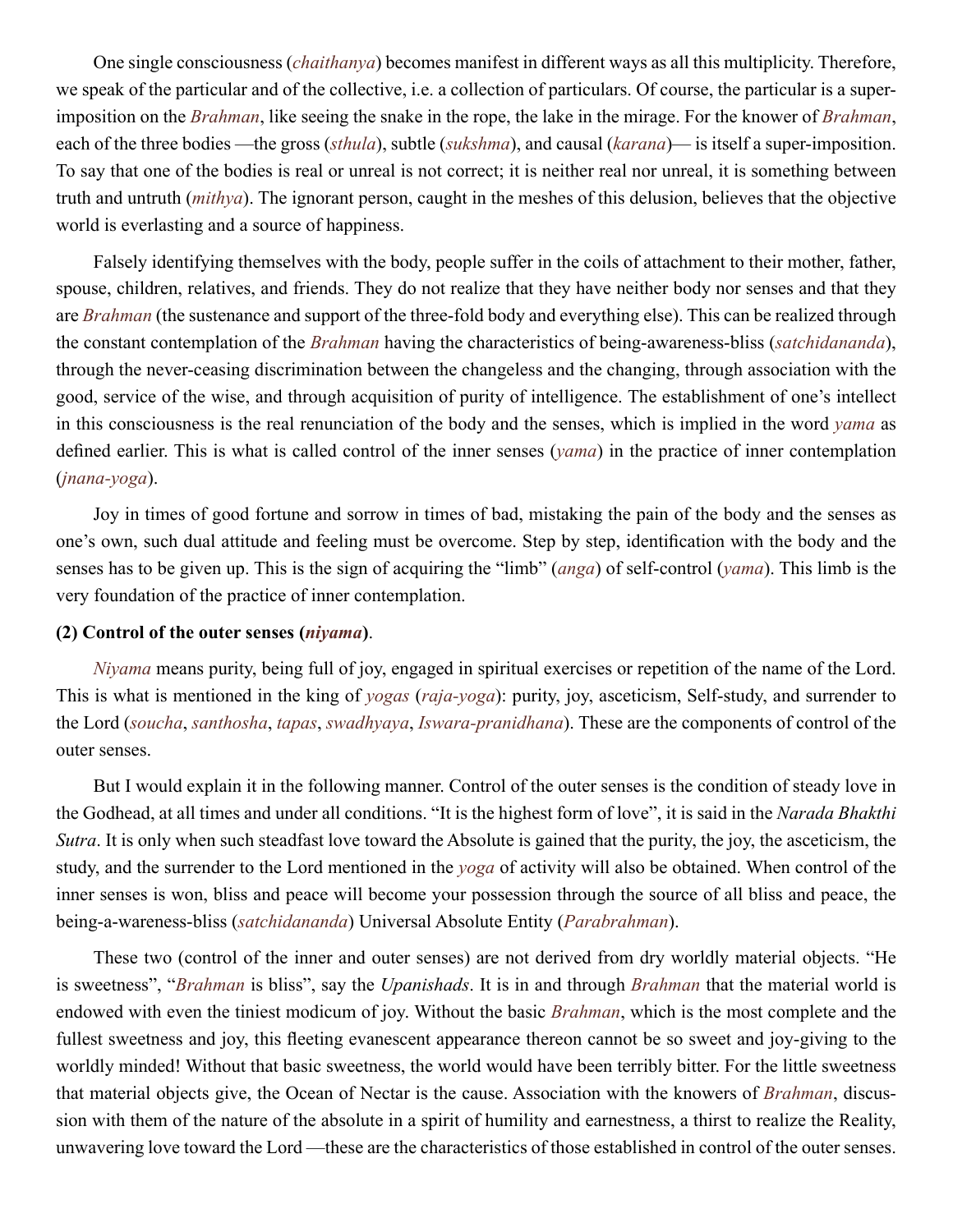One single consciousness (*[chaithanya](#page-45-13)*) becomes manifest in different ways as all this multiplicity. Therefore, we speak of the particular and of the collective, i.e. a collection of particulars. Of course, the particular is a superimposition on the *[Brahman](#page-44-2)*, like seeing the snake in the rope, the lake in the mirage. For the knower of *[Brahman](#page-44-2)*, each of the three bodies —the gross (*sthula*), subtle (*sukshma*), and causal (*[karana](#page-46-18)*)— is itself a super-imposition. To say that one of the bodies is real or unreal is not correct; it is neither real nor unreal, it is something between truth and untruth (*[mithya](#page-47-13)*). The ignorant person, caught in the meshes of this delusion, believes that the objective world is everlasting and a source of happiness.

Falsely identifying themselves with the body, people suffer in the coils of attachment to their mother, father, spouse, children, relatives, and friends. They do not realize that they have neither body nor senses and that they are *[Brahman](#page-44-2)* (the sustenance and support of the three-fold body and everything else). This can be realized through the constant contemplation of the *[Brahman](#page-44-2)* having the characteristics of being-awareness-bliss (*satchidananda*), through the never-ceasing discrimination between the changeless and the changing, through association with the good, service of the wise, and through acquisition of purity of intelligence. The establishment of one's intellect in this consciousness is the real renunciation of the body and the senses, which is implied in the word *yama* as defined earlier. This is what is called control of the inner senses (*yama*) in the practice of inner contemplation (*[jnana-yoga](#page-46-17)*).

Joy in times of good fortune and sorrow in times of bad, mistaking the pain of the body and the senses as one's own, such dual attitude and feeling must be overcome. Step by step, identification with the body and the senses has to be given up. This is the sign of acquiring the "limb" (*[anga](#page-43-21)*) of self-control (*yama*). This limb is the very foundation of the practice of inner contemplation.

## **(2) Control of the outer senses (***[niyama](#page-48-18)***)**.

*[Niyama](#page-48-18)* means purity, being full of joy, engaged in spiritual exercises or repetition of the name of the Lord. This is what is mentioned in the king of *yogas* (*[raja-yoga](#page-49-18)*): purity, joy, asceticism, Self-study, and surrender to the Lord (*soucha*, *santhosha*, *tapas*, *swadhyaya*, *[Iswara-pranidhana](#page-46-19)*). These are the components of control of the outer senses.

But I would explain it in the following manner. Control of the outer senses is the condition of steady love in the Godhead, at all times and under all conditions. "It is the highest form of love", it is said in the *[Narada Bhakthi](#page-47-14)  [Sutra](#page-47-14)*. It is only when such steadfast love toward the Absolute is gained that the purity, the joy, the asceticism, the study, and the surrender to the Lord mentioned in the *yoga* of activity will also be obtained. When control of the inner senses is won, bliss and peace will become your possession through the source of all bliss and peace, the being-a-wareness-bliss (*satchidananda*) Universal Absolute Entity (*[Parabrahman](#page-48-13)*).

These two (control of the inner and outer senses) are not derived from dry worldly material objects. "He is sweetness", "*[Brahman](#page-44-2)* is bliss", say the *[Upanishads](#page-51-2)*. It is in and through *[Brahman](#page-44-2)* that the material world is endowed with even the tiniest modicum of joy. Without the basic *[Brahman](#page-44-2)*, which is the most complete and the fullest sweetness and joy, this fleeting evanescent appearance thereon cannot be so sweet and joy-giving to the worldly minded! Without that basic sweetness, the world would have been terribly bitter. For the little sweetness that material objects give, the Ocean of Nectar is the cause. Association with the knowers of *[Brahman](#page-44-2)*, discussion with them of the nature of the absolute in a spirit of humility and earnestness, a thirst to realize the Reality, unwavering love toward the Lord —these are the characteristics of those established in control of the outer senses.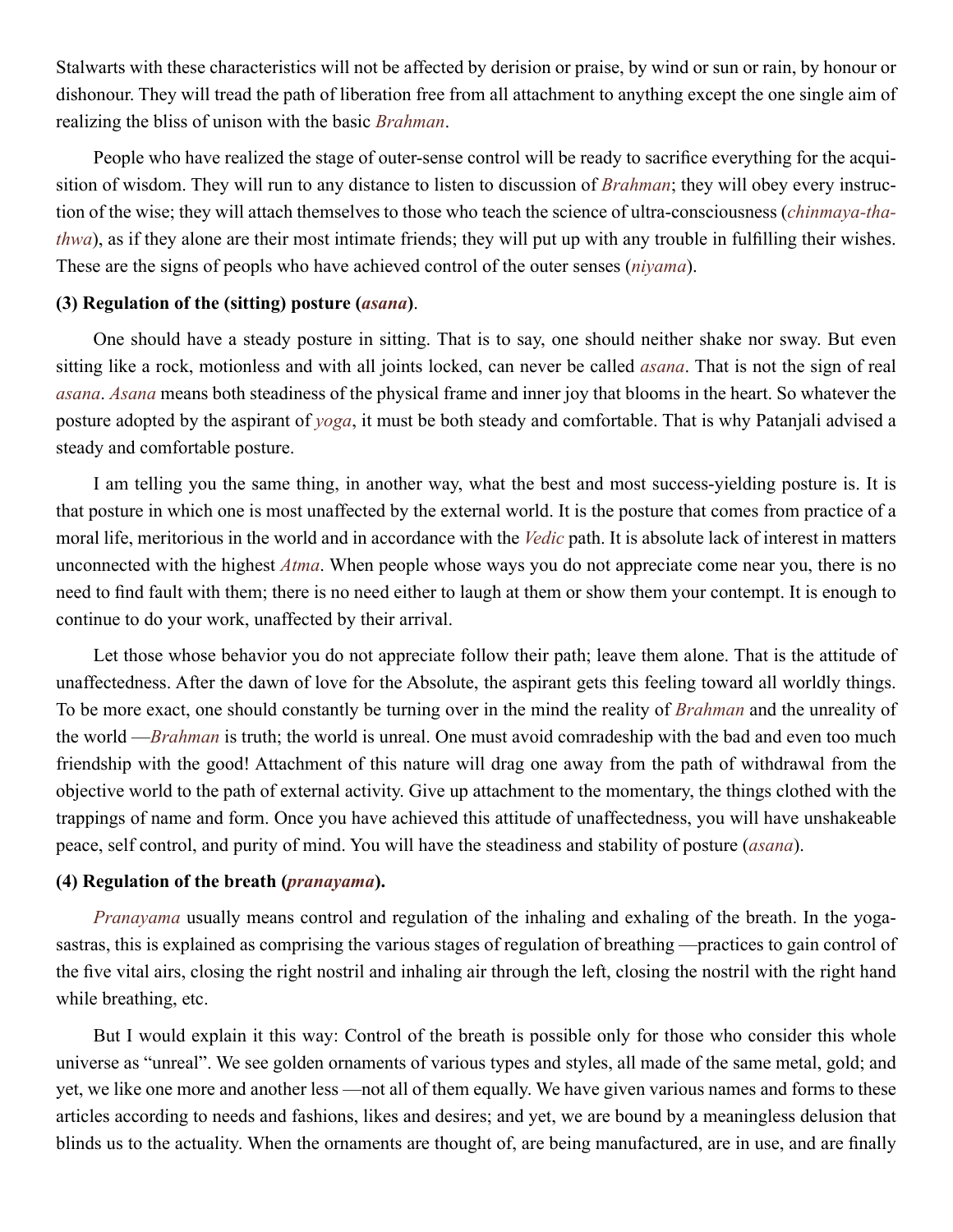Stalwarts with these characteristics will not be affected by derision or praise, by wind or sun or rain, by honour or dishonour. They will tread the path of liberation free from all attachment to anything except the one single aim of realizing the bliss of unison with the basic *[Brahman](#page-44-2)*.

People who have realized the stage of outer-sense control will be ready to sacrifice everything for the acquisition of wisdom. They will run to any distance to listen to discussion of *[Brahman](#page-44-2)*; they will obey every instruction of the wise; they will attach themselves to those who teach the science of ultra-consciousness (*[chinmaya-tha](#page-45-21)[thwa](#page-45-21)*), as if they alone are their most intimate friends; they will put up with any trouble in fulfilling their wishes. These are the signs of peopls who have achieved control of the outer senses (*[niyama](#page-48-18)*).

## **(3) Regulation of the (sitting) posture (***[asana](#page-43-18)***)**.

One should have a steady posture in sitting. That is to say, one should neither shake nor sway. But even sitting like a rock, motionless and with all joints locked, can never be called *[asana](#page-43-18)*. That is not the sign of real *[asana](#page-43-18)*. *[Asana](#page-43-18)* means both steadiness of the physical frame and inner joy that blooms in the heart. So whatever the posture adopted by the aspirant of *yoga*, it must be both steady and comfortable. That is why [Patanjali](#page-48-21) advised a steady and comfortable posture.

I am telling you the same thing, in another way, what the best and most success-yielding posture is. It is that posture in which one is most unaffected by the external world. It is the posture that comes from practice of a moral life, meritorious in the world and in accordance with the *[Vedic](#page-51-5)* path. It is absolute lack of interest in matters unconnected with the highest *[Atma](#page-44-1)*. When people whose ways you do not appreciate come near you, there is no need to find fault with them; there is no need either to laugh at them or show them your contempt. It is enough to continue to do your work, unaffected by their arrival.

Let those whose behavior you do not appreciate follow their path; leave them alone. That is the attitude of unaffectedness. After the dawn of love for the Absolute, the aspirant gets this feeling toward all worldly things. To be more exact, one should constantly be turning over in the mind the reality of *[Brahman](#page-44-2)* and the unreality of the world —*[Brahman](#page-44-2)* is truth; the world is unreal. One must avoid comradeship with the bad and even too much friendship with the good! Attachment of this nature will drag one away from the path of withdrawal from the objective world to the path of external activity. Give up attachment to the momentary, the things clothed with the trappings of name and form. Once you have achieved this attitude of unaffectedness, you will have unshakeable peace, self control, and purity of mind. You will have the steadiness and stability of posture (*[asana](#page-43-18)*).

## **(4) Regulation of the breath (***[pranayama](#page-48-19)***).**

*[Pranayama](#page-48-19)* usually means control and regulation of the inhaling and exhaling of the breath. In the yogasastras, this is explained as comprising the various stages of regulation of breathing —practices to gain control of the five vital airs, closing the right nostril and inhaling air through the left, closing the nostril with the right hand while breathing, etc.

But I would explain it this way: Control of the breath is possible only for those who consider this whole universe as "unreal". We see golden ornaments of various types and styles, all made of the same metal, gold; and yet, we like one more and another less —not all of them equally. We have given various names and forms to these articles according to needs and fashions, likes and desires; and yet, we are bound by a meaningless delusion that blinds us to the actuality. When the ornaments are thought of, are being manufactured, are in use, and are finally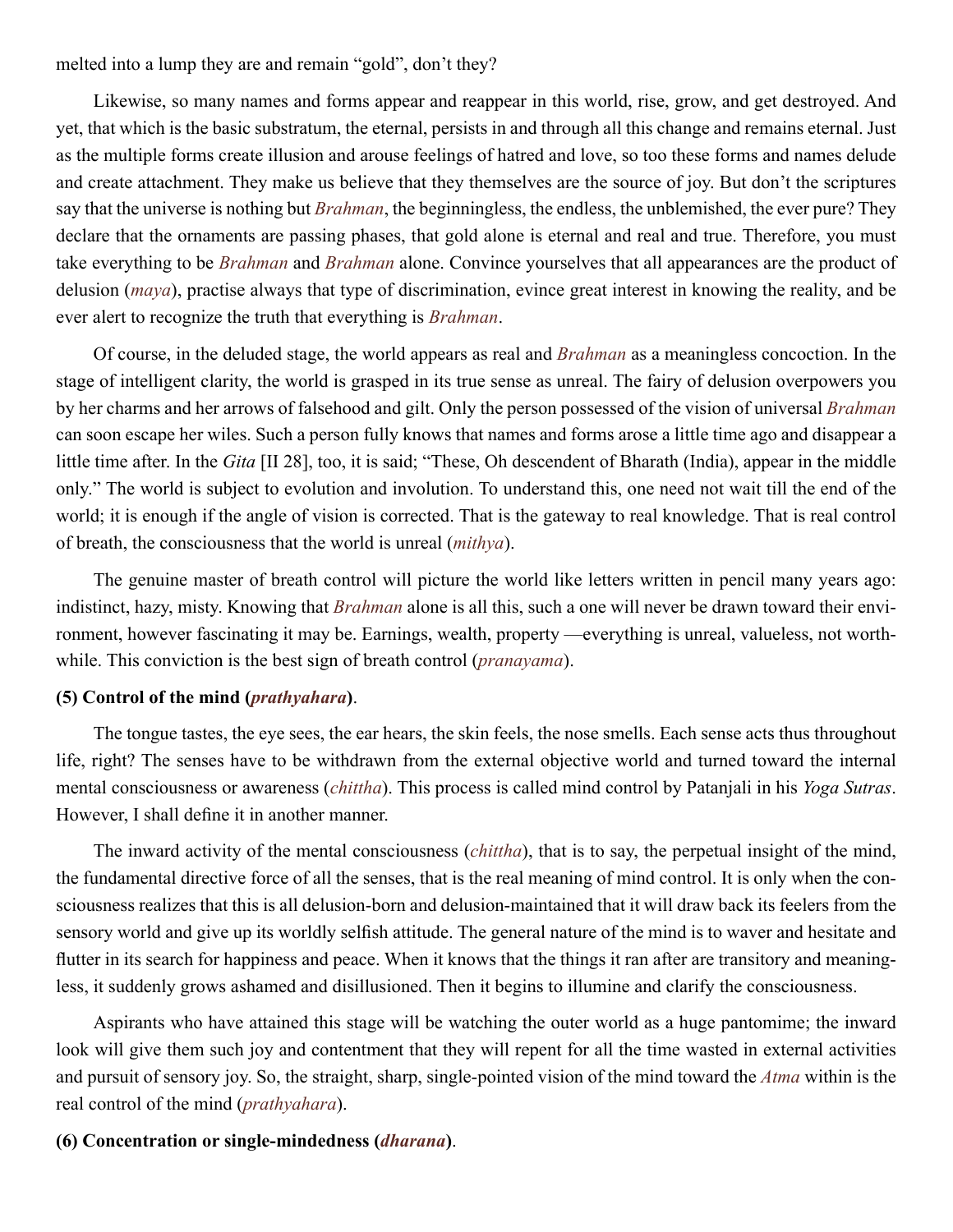melted into a lump they are and remain "gold", don't they?

Likewise, so many names and forms appear and reappear in this world, rise, grow, and get destroyed. And yet, that which is the basic substratum, the eternal, persists in and through all this change and remains eternal. Just as the multiple forms create illusion and arouse feelings of hatred and love, so too these forms and names delude and create attachment. They make us believe that they themselves are the source of joy. But don't the scriptures say that the universe is nothing but *[Brahman](#page-44-2)*, the beginningless, the endless, the unblemished, the ever pure? They declare that the ornaments are passing phases, that gold alone is eternal and real and true. Therefore, you must take everything to be *[Brahman](#page-44-2)* and *[Brahman](#page-44-2)* alone. Convince yourselves that all appearances are the product of delusion (*[maya](#page-47-2)*), practise always that type of discrimination, evince great interest in knowing the reality, and be ever alert to recognize the truth that everything is *[Brahman](#page-44-2)*.

Of course, in the deluded stage, the world appears as real and *[Brahman](#page-44-2)* as a meaningless concoction. In the stage of intelligent clarity, the world is grasped in its true sense as unreal. The fairy of delusion overpowers you by her charms and her arrows of falsehood and gilt. Only the person possessed of the vision of universal *[Brahman](#page-44-2)* can soon escape her wiles. Such a person fully knows that names and forms arose a little time ago and disappear a little time after. In the *[Gita](#page-45-5)* [II 28], too, it is said; "These, Oh descendent of Bharath (India), appear in the middle only." The world is subject to evolution and involution. To understand this, one need not wait till the end of the world; it is enough if the angle of vision is corrected. That is the gateway to real knowledge. That is real control of breath, the consciousness that the world is unreal (*[mithya](#page-47-13)*).

The genuine master of breath control will picture the world like letters written in pencil many years ago: indistinct, hazy, misty. Knowing that *[Brahman](#page-44-2)* alone is all this, such a one will never be drawn toward their environment, however fascinating it may be. Earnings, wealth, property —everything is unreal, valueless, not worthwhile. This conviction is the best sign of breath control (*[pranayama](#page-48-19)*).

## **(5) Control of the mind (***[prathyahara](#page-48-20)***)**.

The tongue tastes, the eye sees, the ear hears, the skin feels, the nose smells. Each sense acts thus throughout life, right? The senses have to be withdrawn from the external objective world and turned toward the internal mental consciousness or awareness (*[chittha](#page-45-19)*). This process is called mind control by [Patanjali](#page-48-21) in his *[Yoga Sutras](#page-52-0)*. However, I shall define it in another manner.

The inward activity of the mental consciousness (*[chittha](#page-45-19)*), that is to say, the perpetual insight of the mind, the fundamental directive force of all the senses, that is the real meaning of mind control. It is only when the consciousness realizes that this is all delusion-born and delusion-maintained that it will draw back its feelers from the sensory world and give up its worldly selfish attitude. The general nature of the mind is to waver and hesitate and flutter in its search for happiness and peace. When it knows that the things it ran after are transitory and meaningless, it suddenly grows ashamed and disillusioned. Then it begins to illumine and clarify the consciousness.

Aspirants who have attained this stage will be watching the outer world as a huge pantomime; the inward look will give them such joy and contentment that they will repent for all the time wasted in external activities and pursuit of sensory joy. So, the straight, sharp, single-pointed vision of the mind toward the *[Atma](#page-44-1)* within is the real control of the mind (*[prathyahara](#page-48-20)*).

## **(6) Concentration or single-mindedness (***[dharana](#page-45-20)***)**.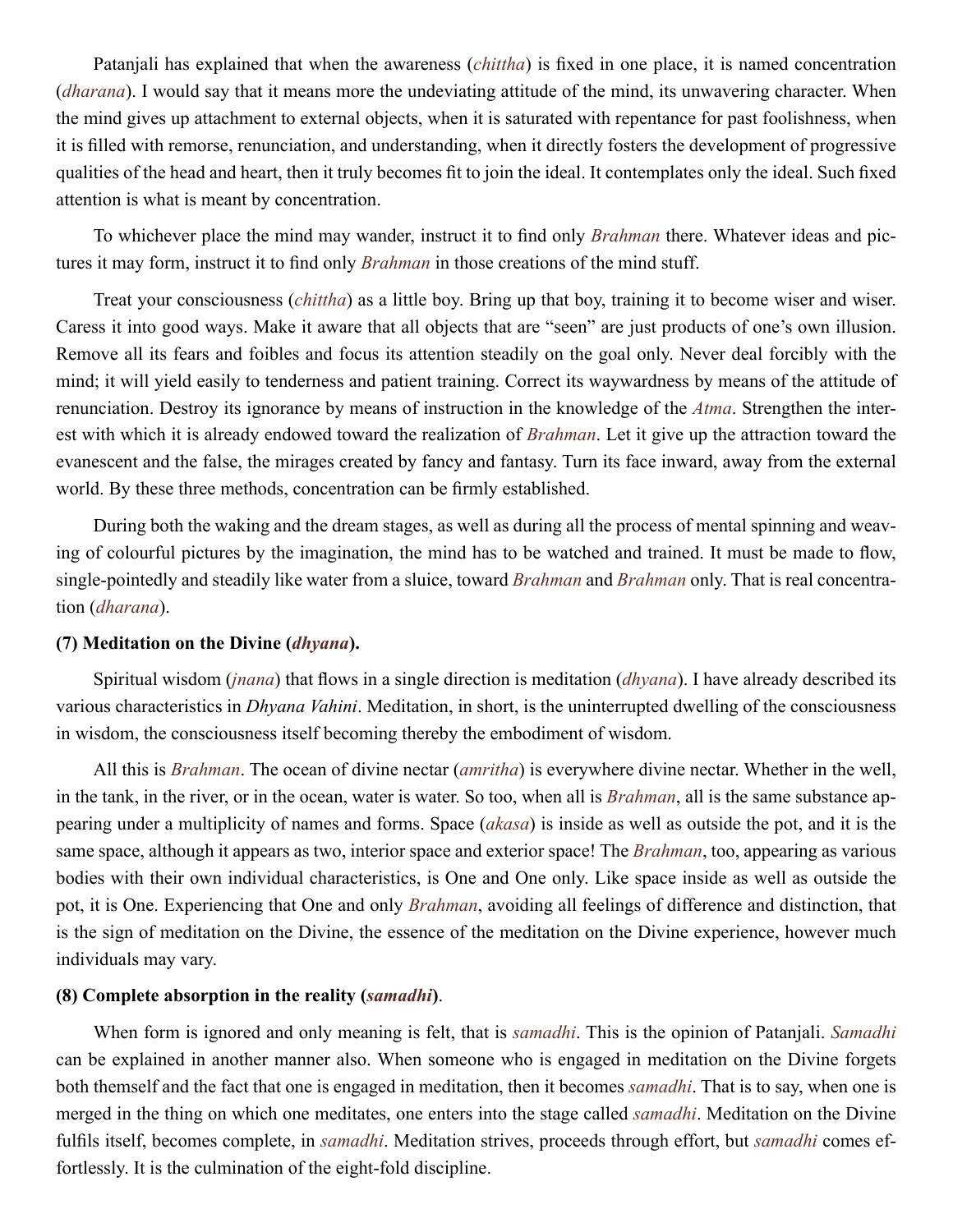[Patanjali](#page-48-21) has explained that when the awareness (*[chittha](#page-45-19)*) is fixed in one place, it is named concentration (*[dharana](#page-45-20)*). I would say that it means more the undeviating attitude of the mind, its unwavering character. When the mind gives up attachment to external objects, when it is saturated with repentance for past foolishness, when it is filled with remorse, renunciation, and understanding, when it directly fosters the development of progressive qualities of the head and heart, then it truly becomes fit to join the ideal. It contemplates only the ideal. Such fixed attention is what is meant by concentration.

To whichever place the mind may wander, instruct it to find only *[Brahman](#page-44-2)* there. Whatever ideas and pictures it may form, instruct it to find only *[Brahman](#page-44-2)* in those creations of the mind stuff.

Treat your consciousness (*[chittha](#page-45-19)*) as a little boy. Bring up that boy, training it to become wiser and wiser. Caress it into good ways. Make it aware that all objects that are "seen" are just products of one's own illusion. Remove all its fears and foibles and focus its attention steadily on the goal only. Never deal forcibly with the mind; it will yield easily to tenderness and patient training. Correct its waywardness by means of the attitude of renunciation. Destroy its ignorance by means of instruction in the knowledge of the *[Atma](#page-44-1)*. Strengthen the interest with which it is already endowed toward the realization of *[Brahman](#page-44-2)*. Let it give up the attraction toward the evanescent and the false, the mirages created by fancy and fantasy. Turn its face inward, away from the external world. By these three methods, concentration can be firmly established.

During both the waking and the dream stages, as well as during all the process of mental spinning and weaving of colourful pictures by the imagination, the mind has to be watched and trained. It must be made to flow, single-pointedly and steadily like water from a sluice, toward *[Brahman](#page-44-2)* and *[Brahman](#page-44-2)* only. That is real concentration (*[dharana](#page-45-20)*).

## **(7) Meditation on the Divine (***[dhyana](#page-45-17)***).**

Spiritual wisdom (*[jnana](#page-46-4)*) that flows in a single direction is meditation (*[dhyana](#page-45-17)*). I have already described its various characteristics in *Dhyana Vahini*. Meditation, in short, is the uninterrupted dwelling of the consciousness in wisdom, the consciousness itself becoming thereby the embodiment of wisdom.

All this is *[Brahman](#page-44-2)*. The ocean of divine nectar (*[amritha](#page-43-2)*) is everywhere divine nectar. Whether in the well, in the tank, in the river, or in the ocean, water is water. So too, when all is *[Brahman](#page-44-2)*, all is the same substance appearing under a multiplicity of names and forms. Space (*[akasa](#page-43-16)*) is inside as well as outside the pot, and it is the same space, although it appears as two, interior space and exterior space! The *[Brahman](#page-44-2)*, too, appearing as various bodies with their own individual characteristics, is One and One only. Like space inside as well as outside the pot, it is One. Experiencing that One and only *[Brahman](#page-44-2)*, avoiding all feelings of difference and distinction, that is the sign of meditation on the Divine, the essence of the meditation on the Divine experience, however much individuals may vary.

## **(8) Complete absorption in the reality (***[samadhi](#page-49-9)***)**.

When form is ignored and only meaning is felt, that is *[samadhi](#page-49-9)*. This is the opinion of [Patanjali](#page-48-21). *[Samadhi](#page-49-9)* can be explained in another manner also. When someone who is engaged in meditation on the Divine forgets both themself and the fact that one is engaged in meditation, then it becomes *[samadhi](#page-49-9)*. That is to say, when one is merged in the thing on which one meditates, one enters into the stage called *[samadhi](#page-49-9)*. Meditation on the Divine fulfils itself, becomes complete, in *[samadhi](#page-49-9)*. Meditation strives, proceeds through effort, but *[samadhi](#page-49-9)* comes effortlessly. It is the culmination of the eight-fold discipline.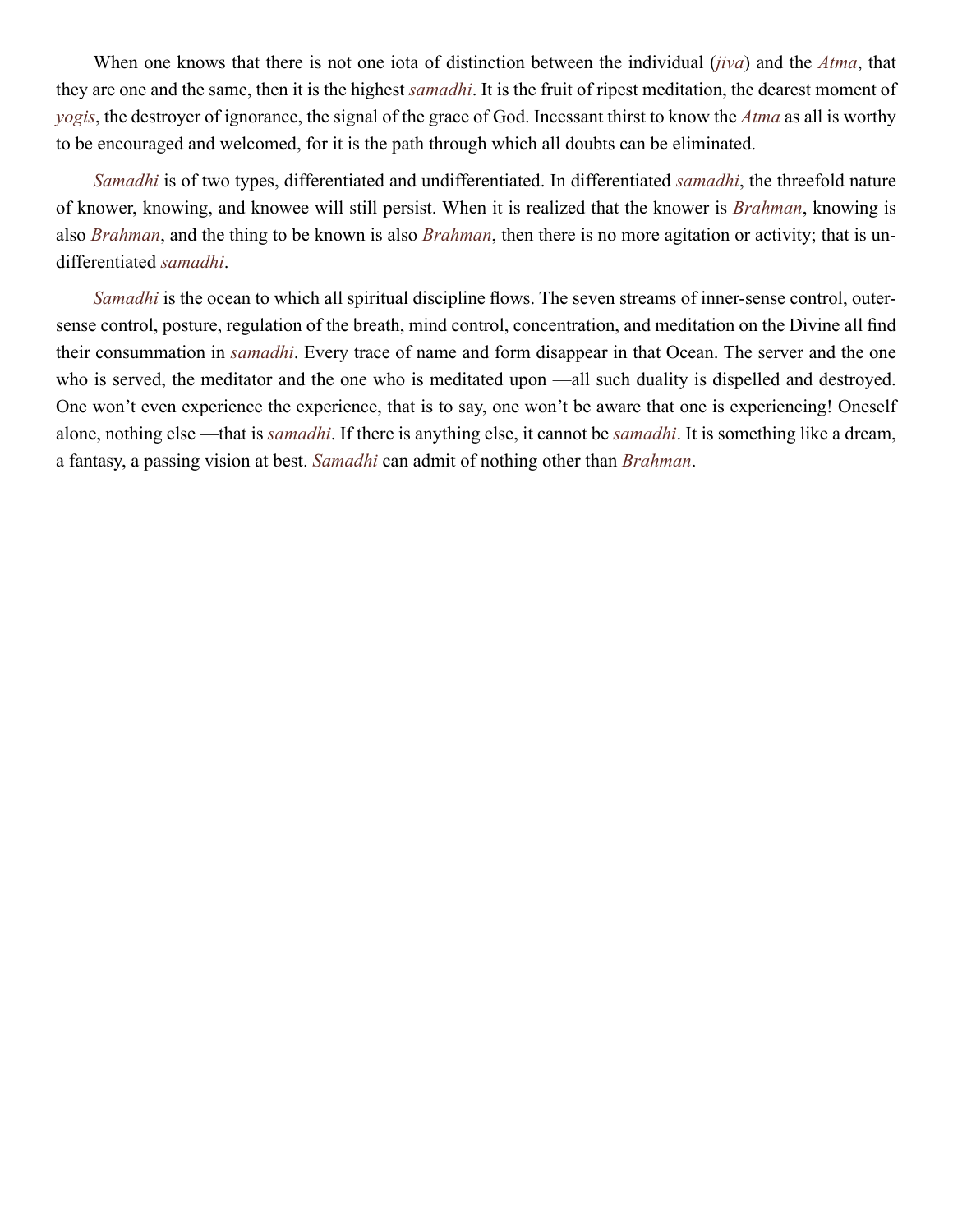When one knows that there is not one iota of distinction between the individual (*[jiva](#page-46-20)*) and the *[Atma](#page-44-1)*, that they are one and the same, then it is the highest *[samadhi](#page-49-9)*. It is the fruit of ripest meditation, the dearest moment of *yogis*, the destroyer of ignorance, the signal of the grace of God. Incessant thirst to know the *[Atma](#page-44-1)* as all is worthy to be encouraged and welcomed, for it is the path through which all doubts can be eliminated.

*[Samadhi](#page-49-9)* is of two types, differentiated and undifferentiated. In differentiated *[samadhi](#page-49-9)*, the threefold nature of knower, knowing, and knowee will still persist. When it is realized that the knower is *[Brahman](#page-44-2)*, knowing is also *[Brahman](#page-44-2)*, and the thing to be known is also *[Brahman](#page-44-2)*, then there is no more agitation or activity; that is undifferentiated *[samadhi](#page-49-9)*.

*[Samadhi](#page-49-9)* is the ocean to which all spiritual discipline flows. The seven streams of inner-sense control, outersense control, posture, regulation of the breath, mind control, concentration, and meditation on the Divine all find their consummation in *[samadhi](#page-49-9)*. Every trace of name and form disappear in that Ocean. The server and the one who is served, the meditator and the one who is meditated upon —all such duality is dispelled and destroyed. One won't even experience the experience, that is to say, one won't be aware that one is experiencing! Oneself alone, nothing else —that is *[samadhi](#page-49-9)*. If there is anything else, it cannot be *[samadhi](#page-49-9)*. It is something like a dream, a fantasy, a passing vision at best. *[Samadhi](#page-49-9)* can admit of nothing other than *[Brahman](#page-44-2)*.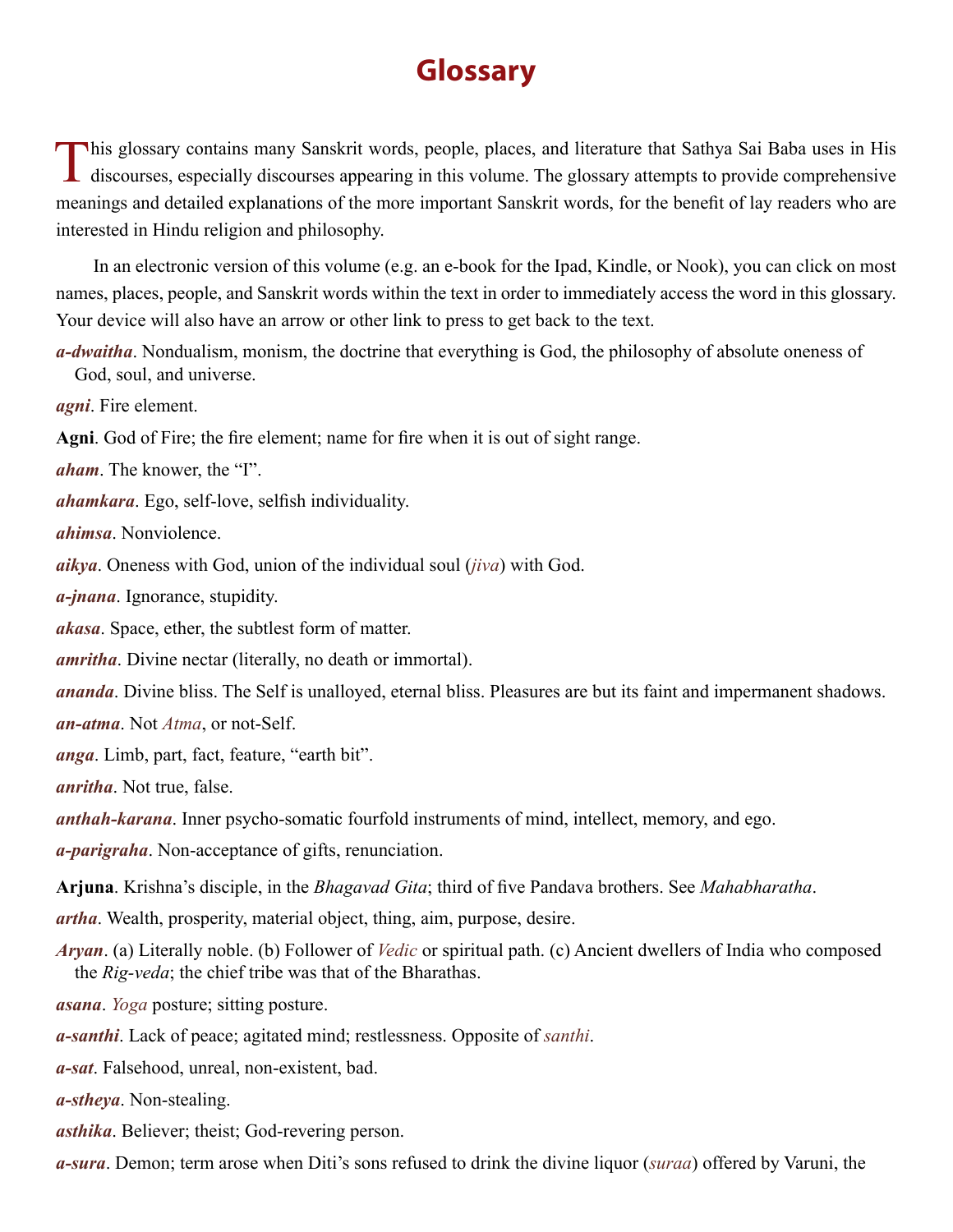# **Glossary**

<span id="page-43-0"></span>This glossary contains many Sanskrit words, people, places, and literature that Sathya Sai Baba uses in His **d** discourses, especially discourses appearing in this volume. The glossary attempts to provide comprehensive meanings and detailed explanations of the more important Sanskrit words, for the benefit of lay readers who are interested in Hindu religion and philosophy.

In an electronic version of this volume (e.g. an e-book for the Ipad, Kindle, or Nook), you can click on most names, places, people, and Sanskrit words within the text in order to immediately access the word in this glossary. Your device will also have an arrow or other link to press to get back to the text.

<span id="page-43-23"></span>*a-dwaitha*. Nondualism, monism, the doctrine that everything is God, the philosophy of absolute oneness of God, soul, and universe.

*agni*. Fire element.

**Agni**. God of Fire; the fire element; name for fire when it is out of sight range.

<span id="page-43-14"></span>*aham*. The knower, the "I".

<span id="page-43-5"></span>*ahamkara*. Ego, self-love, selfish individuality.

<span id="page-43-8"></span>*ahimsa*. Nonviolence.

<span id="page-43-6"></span>*aikya*. Oneness with God, union of the individual soul (*[jiva](#page-46-20)*) with God.

<span id="page-43-4"></span>*a-jnana*. Ignorance, stupidity.

<span id="page-43-16"></span>*akasa*. Space, ether, the subtlest form of matter.

<span id="page-43-2"></span>*amritha*. Divine nectar (literally, no death or immortal).

<span id="page-43-11"></span><span id="page-43-1"></span>*ananda*. Divine bliss. The Self is unalloyed, eternal bliss. Pleasures are but its faint and impermanent shadows. *an-atma*. Not *[Atma](#page-44-1)*, or not-Self.

<span id="page-43-21"></span>*anga*. Limb, part, fact, feature, "earth bit".

<span id="page-43-3"></span>*anritha*. Not true, false.

<span id="page-43-9"></span>*anthah-karana*. Inner psycho-somatic fourfold instruments of mind, intellect, memory, and ego.

<span id="page-43-20"></span>*a-parigraha*. Non-acceptance of gifts, renunciation.

<span id="page-43-13"></span>**Arjuna**. [Krishna](#page-46-8)'s disciple, in the *[Bhagavad Gita](#page-44-15)*; third of five [Pandava](#page-48-11) brothers. See *[Mahabharatha](#page-47-15)*.

<span id="page-43-22"></span>*artha*. Wealth, prosperity, material object, thing, aim, purpose, desire.

<span id="page-43-17"></span>*Aryan*. (a) Literally noble. (b) Follower of *[Vedic](#page-51-5)* or spiritual path. (c) Ancient dwellers of India who composed the *[Rig-veda](#page-49-19)*; the chief tribe was that of the Bharathas.

<span id="page-43-18"></span>*asana*. *Yoga* posture; sitting posture.

<span id="page-43-12"></span>*a-santhi*. Lack of peace; agitated mind; restlessness. Opposite of *santhi*.

<span id="page-43-15"></span>*a-sat*. Falsehood, unreal, non-existent, bad.

<span id="page-43-19"></span>*a-stheya*. Non-stealing.

<span id="page-43-7"></span>*asthika*. Believer; theist; God-revering person.

<span id="page-43-10"></span>*a-sura*. Demon; term arose when Diti's sons refused to drink the divine liquor (*suraa*) offered by Varuni, the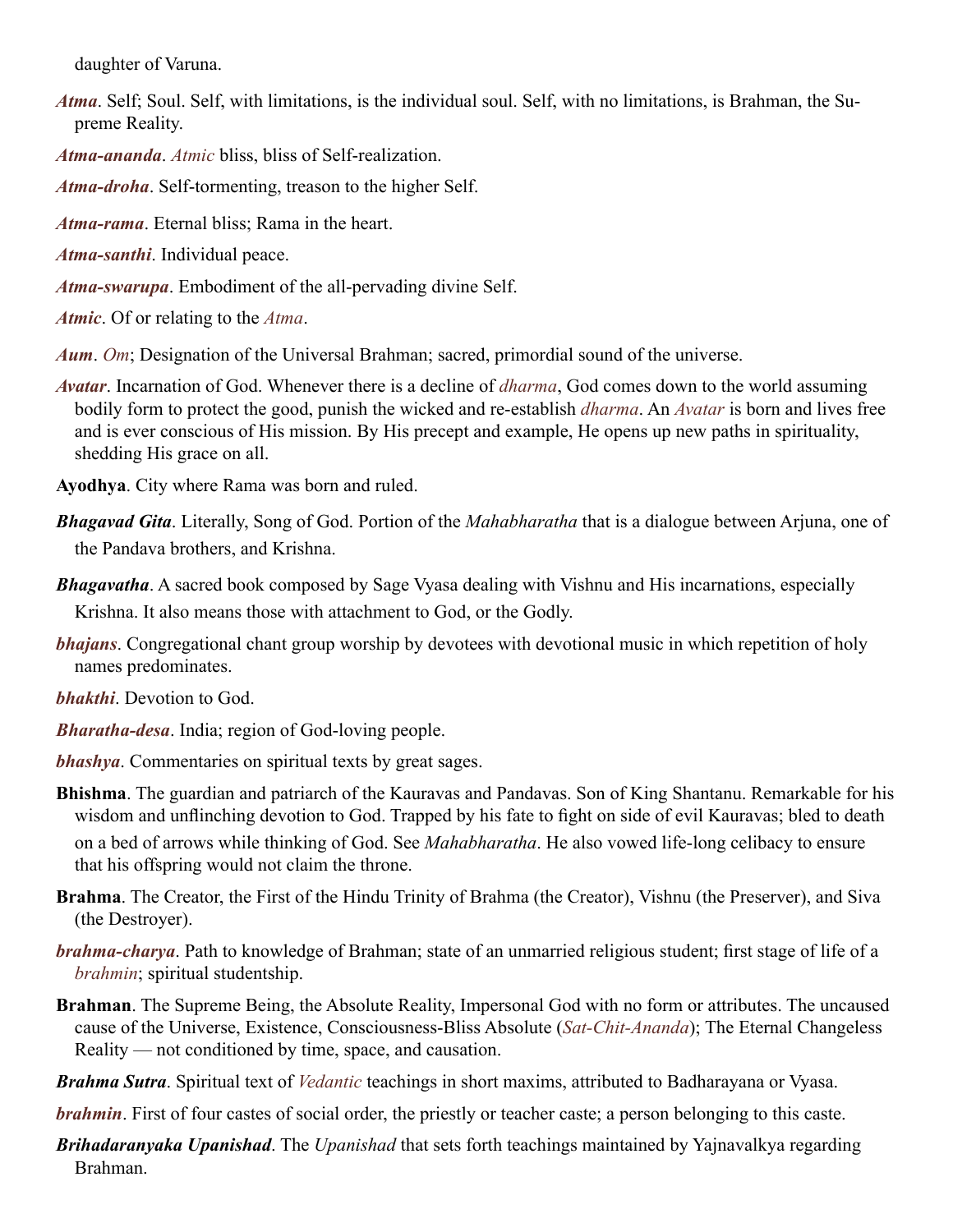daughter of [Varuna.](#page-51-7)

- <span id="page-44-1"></span>*Atma*. Self; Soul. Self, with limitations, is the individual soul. Self, with no limitations, is [Brahman,](#page-44-2) the Supreme Reality.
- <span id="page-44-9"></span>*Atma-ananda*. *[Atmic](#page-44-13)* bliss, bliss of Self-realization.

<span id="page-44-3"></span>*Atma-droha*. Self-tormenting, treason to the higher Self.

- <span id="page-44-8"></span>*Atma-rama*. Eternal bliss; [Rama](#page-49-20) in the heart.
- <span id="page-44-11"></span>*Atma-santhi*. Individual peace.
- <span id="page-44-10"></span>*Atma-swarupa*. Embodiment of the all-pervading divine Self.
- <span id="page-44-13"></span>*Atmic*. Of or relating to the *[Atma](#page-44-1)*.

<span id="page-44-18"></span>*Aum*. *[Om](#page-48-22)*; Designation of the Universal [Brahman;](#page-44-2) sacred, primordial sound of the universe.

<span id="page-44-0"></span>*Avatar*. Incarnation of God. Whenever there is a decline of *[dharma](#page-45-0)*, God comes down to the world assuming bodily form to protect the good, punish the wicked and re-establish *[dharma](#page-45-0)*. An *Avatar* is born and lives free and is ever conscious of His mission. By His precept and example, He opens up new paths in spirituality, shedding His grace on all.

**Ayodhya**. City where Rama was born and ruled.

- <span id="page-44-15"></span>*Bhagavad Gita*. Literally, Song of God. Portion of the *[Mahabharatha](#page-47-15)* that is a dialogue between [Arjuna](#page-43-13), one of the [Pandava](#page-48-11) brothers, and [Krishna.](#page-46-8)
- <span id="page-44-5"></span>*Bhagavatha*. A sacred book composed by Sage [Vyasa](#page-52-1) dealing with [Vishnu](#page-52-2) and His incarnations, especially [Krishna](#page-46-8). It also means those with attachment to God, or the Godly.
- *bhajans*. Congregational chant group worship by devotees with devotional music in which repetition of holy names predominates.
- <span id="page-44-12"></span>*bhakthi*. Devotion to God.
- <span id="page-44-6"></span>*Bharatha-desa*. India; region of God-loving people.
- <span id="page-44-7"></span>*bhashya*. Commentaries on spiritual texts by great sages.
- <span id="page-44-4"></span>**Bhishma**. The guardian and patriarch of the [Kauravas](#page-46-12) and [Pandavas](#page-48-11). Son of King Shantanu. Remarkable for his wisdom and unflinching devotion to God. Trapped by his fate to fight on side of evil [Kauravas](#page-46-12); bled to death

on a bed of arrows while thinking of God. See *[Mahabharatha](#page-47-15)*. He also vowed life-long celibacy to ensure that his offspring would not claim the throne.

- <span id="page-44-20"></span>**Brahma**. The Creator, the First of the Hindu Trinity of Brahma (the Creator), [Vishnu](#page-52-2) (the Preserver), and [Siva](#page-50-6)  (the Destroyer).
- <span id="page-44-14"></span>*brahma-charya*. Path to knowledge of [Brahman;](#page-44-2) state of an unmarried religious student; first stage of life of a *[brahmin](#page-44-16)*; spiritual studentship.
- <span id="page-44-2"></span>**Brahman**. The Supreme Being, the Absolute Reality, Impersonal God with no form or attributes. The uncaused cause of the Universe, Existence, Consciousness-Bliss Absolute (*Sat-Chit-Ananda*); The Eternal Changeless Reality — not conditioned by time, space, and causation.
- <span id="page-44-19"></span>*Brahma Sutra*. Spiritual text of *[Vedantic](#page-51-8)* teachings in short maxims, attributed to Badharayana or [Vyasa.](#page-52-1)

<span id="page-44-16"></span>*brahmin*. First of four [castes](#page-45-22) of social order, the priestly or teacher caste; a person belonging to this [caste.](#page-45-22)

<span id="page-44-17"></span>*Brihadaranyaka Upanishad*. The *[Upanishad](#page-51-2)* that sets forth teachings maintained by [Yajnavalkya](#page-52-3) regarding [Brahman](#page-44-2).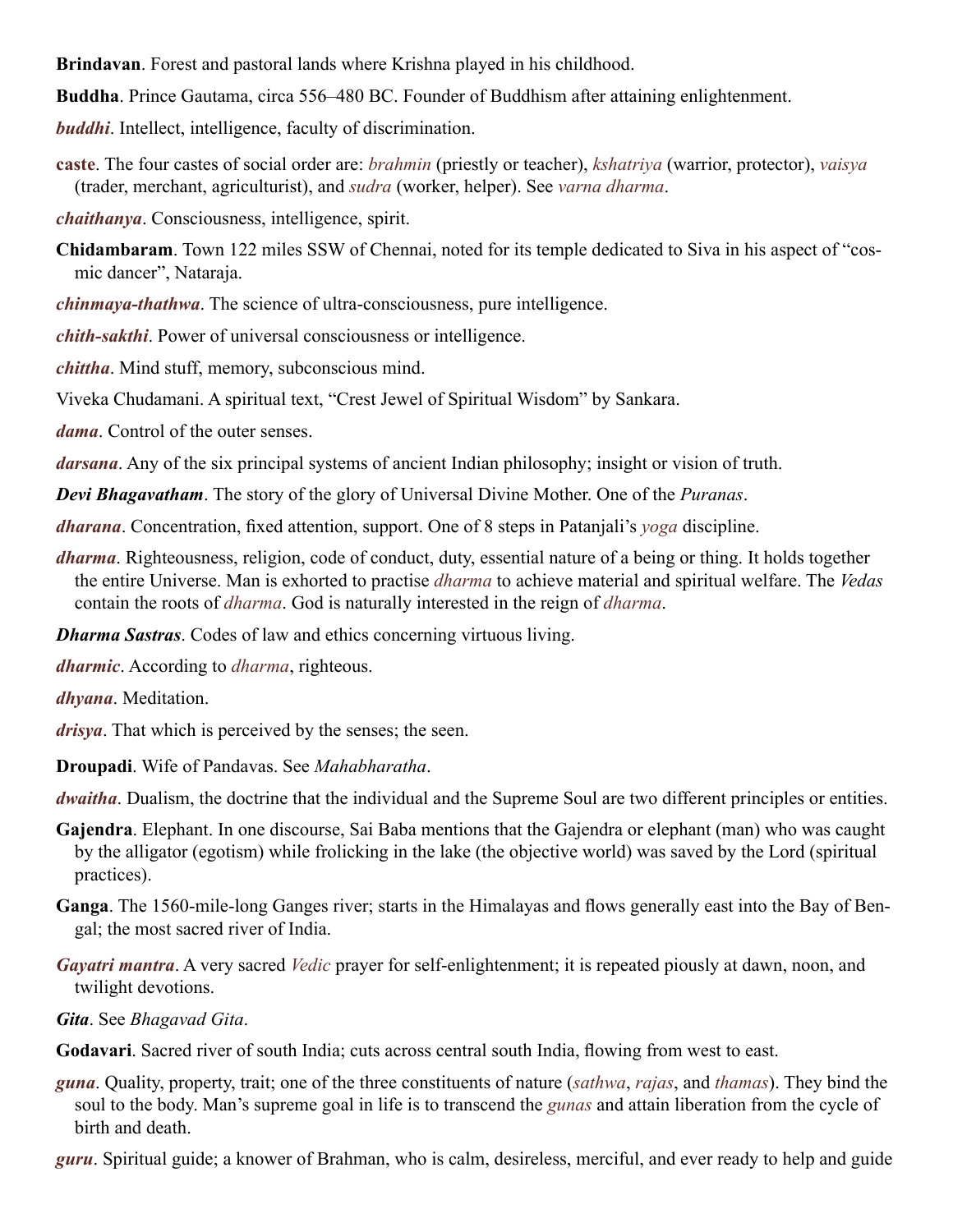<span id="page-45-16"></span>**Brindavan**. Forest and pastoral lands where Krishna played in his childhood.

<span id="page-45-11"></span>**Buddha**. Prince Gautama, circa 556–480 BC. Founder of Buddhism after attaining enlightenment.

<span id="page-45-2"></span>*buddhi*. Intellect, intelligence, faculty of discrimination.

<span id="page-45-22"></span>**caste**. The four castes of social order are: *brahmin* (priestly or teacher), *kshatriya* (warrior, protector), *vaisya* (trader, merchant, agriculturist), and *sudra* (worker, helper). See *[varna dharma](#page-45-22)*.

<span id="page-45-13"></span>*chaithanya*. Consciousness, intelligence, spirit.

<span id="page-45-25"></span>**Chidambaram**. Town 122 miles SSW of Chennai, noted for its temple dedicated to [Siva](#page-50-6) in his aspect of "cosmic dancer", Nataraja.

<span id="page-45-21"></span>*chinmaya-thathwa*. The science of ultra-consciousness, pure intelligence.

<span id="page-45-6"></span>*chith-sakthi*. Power of universal consciousness or intelligence.

<span id="page-45-19"></span>*chittha*. Mind stuff, memory, subconscious mind.

<span id="page-45-15"></span>Viveka Chudamani. A spiritual text, "Crest Jewel of Spiritual Wisdom" by [Sankara](#page-50-1).

<span id="page-45-18"></span>*dama*. Control of the outer senses.

<span id="page-45-10"></span>*darsana*. Any of the six principal systems of ancient Indian philosophy; insight or vision of truth.

<span id="page-45-9"></span>*Devi Bhagavatham*. The story of the glory of Universal Divine Mother. One of the *Puranas*.

<span id="page-45-20"></span>*dharana*. Concentration, fixed attention, support. One of 8 steps in Patanjali's *yoga* discipline.

<span id="page-45-0"></span>*dharma*. Righteousness, religion, code of conduct, duty, essential nature of a being or thing. It holds together the entire Universe. Man is exhorted to practise *dharma* to achieve material and spiritual welfare. The *[Vedas](#page-51-4)* contain the roots of *dharma*. God is naturally interested in the reign of *dharma*.

<span id="page-45-24"></span>*Dharma Sastras*. Codes of law and ethics concerning virtuous living.

<span id="page-45-23"></span>*dharmic*. According to *[dharma](#page-45-23)*, righteous.

<span id="page-45-17"></span>*dhyana*. Meditation.

<span id="page-45-14"></span>*drisya*. That which is perceived by the senses; the seen.

<span id="page-45-4"></span>**Droupadi**. Wife of [Pandavas.](#page-48-11) See *[Mahabharatha](#page-47-15)*.

*dwaitha*. Dualism, the doctrine that the individual and the Supreme Soul are two different principles or entities.

- <span id="page-45-3"></span>**Gajendra**. Elephant. In one discourse, Sai Baba mentions that the Gajendra or elephant (man) who was caught by the alligator (egotism) while frolicking in the lake (the objective world) was saved by the Lord (spiritual practices).
- <span id="page-45-7"></span>**Ganga**. The 1560-mile-long Ganges river; starts in the Himalayas and flows generally east into the Bay of Bengal; the most sacred river of India.
- *Gayatri mantra*. A very sacred *[Vedic](#page-51-5)* prayer for self-enlightenment; it is repeated piously at dawn, noon, and twilight devotions.

<span id="page-45-5"></span>*Gita*. See *Bhagavad Gita*.

<span id="page-45-8"></span>**Godavari**. Sacred river of south India; cuts across central south India, flowing from west to east.

<span id="page-45-12"></span>*guna*. Quality, property, trait; one of the three constituents of nature (*sathwa*, *[rajas](#page-49-10)*, and *thamas*). They bind the soul to the body. Man's supreme goal in life is to transcend the *gunas* and attain liberation from the cycle of birth and death.

<span id="page-45-1"></span>*guru*. Spiritual guide; a knower of [Brahman,](#page-44-2) who is calm, desireless, merciful, and ever ready to help and guide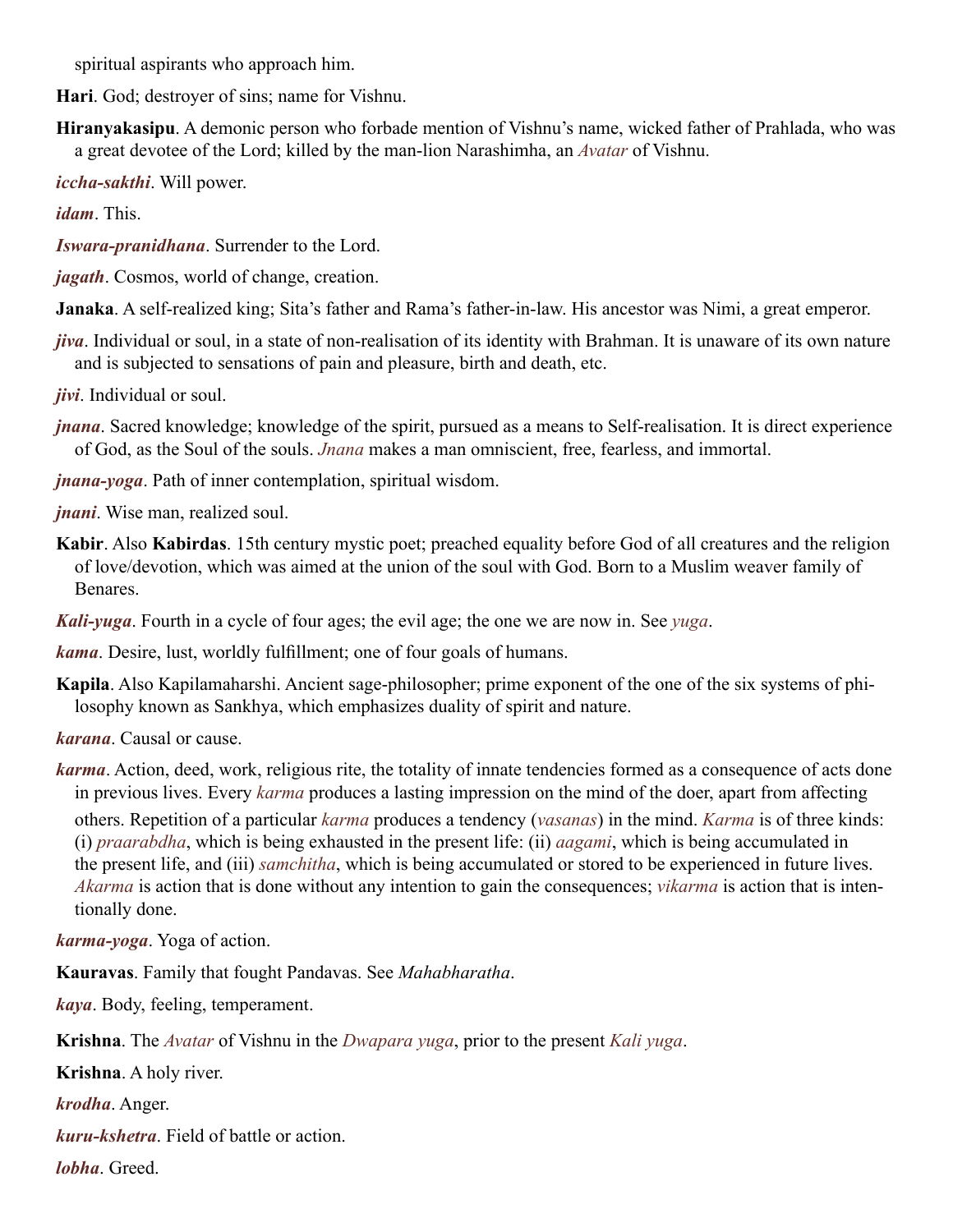spiritual aspirants who approach him.

<span id="page-46-15"></span>**Hari**. God; destroyer of sins; name for [Vishnu](#page-52-2).

<span id="page-46-21"></span>**Hiranyakasipu**. A demonic person who forbade mention of [Vishnu'](#page-52-2)s name, wicked father of [Prahlada](#page-48-4), who was a great devotee of the Lord; killed by the man-lion [Narashimha](#page-48-23), an *[Avatar](#page-44-0)* of [Vishnu](#page-52-2).

<span id="page-46-7"></span>*iccha-sakthi*. Will power.

*idam*. This.

<span id="page-46-19"></span>*Iswara-pranidhana*. Surrender to the Lord.

<span id="page-46-14"></span>*jagath*. Cosmos, world of change, creation.

<span id="page-46-22"></span>**Janaka**. A self-realized king; [Sita](#page-50-7)'s father and [Rama'](#page-49-20)s father-in-law. His ancestor was Nimi, a great emperor.

<span id="page-46-20"></span>*jiva*. Individual or soul, in a state of non-realisation of its identity with [Brahman](#page-44-2). It is unaware of its own nature and is subjected to sensations of pain and pleasure, birth and death, etc.

<span id="page-46-10"></span>*jivi*. Individual or soul.

<span id="page-46-4"></span>*jnana*. Sacred knowledge; knowledge of the spirit, pursued as a means to Self-realisation. It is direct experience of God, as the Soul of the souls. *Jnana* makes a man omniscient, free, fearless, and immortal.

<span id="page-46-17"></span>*jnana-yoga*. Path of inner contemplation, spiritual wisdom.

<span id="page-46-16"></span>*jnani*. Wise man, realized soul.

<span id="page-46-6"></span>**Kabir**. Also **Kabirdas**. 15th century mystic poet; preached equality before God of all creatures and the religion of love/devotion, which was aimed at the union of the soul with God. Born to a Muslim weaver family of **Benares** 

<span id="page-46-11"></span>*Kali-yuga*. Fourth in a cycle of four ages; the evil age; the one we are now in. See *yuga*.

<span id="page-46-0"></span>*kama*. Desire, lust, worldly fulfillment; one of four goals of humans.

<span id="page-46-9"></span>**Kapila**. Also Kapilamaharshi. Ancient sage-philosopher; prime exponent of the one of the six systems of philosophy known as [Sankhya,](#page-50-5) which emphasizes duality of spirit and nature.

<span id="page-46-18"></span>*karana*. Causal or cause.

<span id="page-46-3"></span>*karma*. Action, deed, work, religious rite, the totality of innate tendencies formed as a consequence of acts done in previous lives. Every *karma* produces a lasting impression on the mind of the doer, apart from affecting

others. Repetition of a particular *karma* produces a tendency (*vasanas*) in the mind. *Karma* is of three kinds: (i) *praarabdha*, which is being exhausted in the present life: (ii) *aagami*, which is being accumulated in the present life, and (iii) *samchitha*, which is being accumulated or stored to be experienced in future lives. *Akarma* is action that is done without any intention to gain the consequences; *vikarma* is action that is intentionally done.

<span id="page-46-13"></span>*karma-yoga*. Yoga of action.

<span id="page-46-12"></span>**Kauravas**. Family that fought [Pandavas.](#page-48-11) See *[Mahabharatha](#page-47-15)*.

<span id="page-46-2"></span>*kaya*. Body, feeling, temperament.

<span id="page-46-8"></span>**Krishna**. The *[Avatar](#page-44-0)* of [Vishnu](#page-52-2) in the *Dwapara yuga*, prior to the present *Kali yuga*.

**Krishna**. A holy river.

<span id="page-46-1"></span>*krodha*. Anger.

<span id="page-46-5"></span>*kuru-kshetra*. Field of battle or action.

*lobha*. Greed.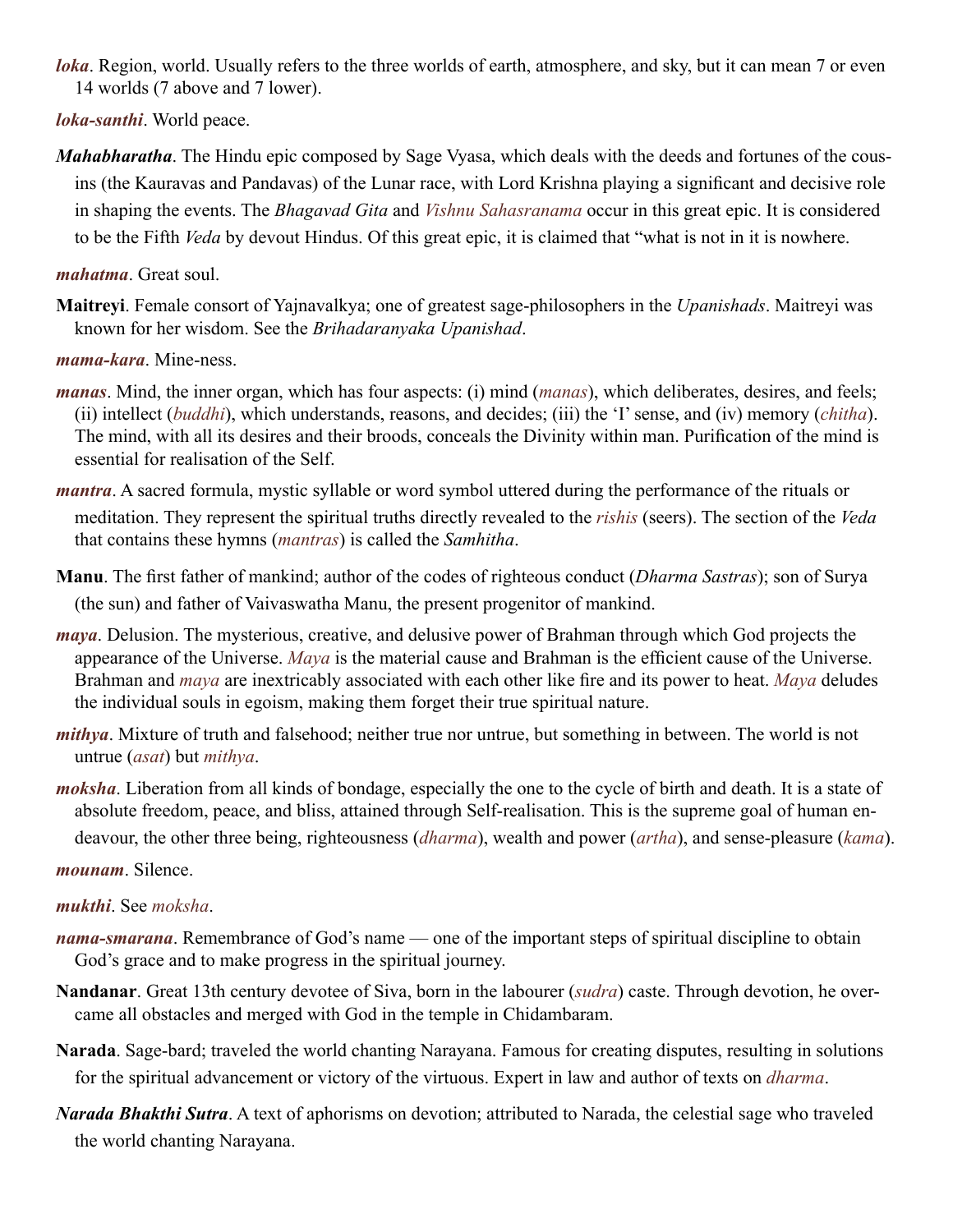- <span id="page-47-11"></span>*loka*. Region, world. Usually refers to the three worlds of earth, atmosphere, and sky, but it can mean 7 or even 14 worlds (7 above and 7 lower).
- <span id="page-47-10"></span>*loka-santhi*. World peace.
- <span id="page-47-15"></span>*Mahabharatha*. The Hindu epic composed by Sage [Vyasa,](#page-52-1) which deals with the deeds and fortunes of the cousins (the [Kauravas](#page-46-12) and [Pandavas\)](#page-48-11) of the Lunar race, with Lord [Krishna](#page-46-8) playing a significant and decisive role in shaping the events. The *[Bhagavad Gita](#page-44-15)* and *Vishnu Sahasranama* occur in this great epic. It is considered to be the Fifth *[Veda](#page-51-4)* by devout Hindus. Of this great epic, it is claimed that "what is not in it is nowhere.

<span id="page-47-8"></span>*mahatma*. Great soul.

<span id="page-47-7"></span>**Maitreyi**. Female consort of [Yajnavalkya](#page-52-3); one of greatest sage-philosophers in the *[Upanishads](#page-51-2)*. Maitreyi was known for her wisdom. See the *[Brihadaranyaka Upanishad](#page-44-17)*.

<span id="page-47-6"></span>*mama-kara*. Mine-ness.

- <span id="page-47-1"></span>*manas*. Mind, the inner organ, which has four aspects: (i) mind (*manas*), which deliberates, desires, and feels; (ii) intellect (*[buddhi](#page-45-2)*), which understands, reasons, and decides; (iii) the 'I' sense, and (iv) memory (*[chitha](#page-45-19)*). The mind, with all its desires and their broods, conceals the Divinity within man. Purification of the mind is essential for realisation of the Self.
- <span id="page-47-5"></span>*mantra*. A sacred formula, mystic syllable or word symbol uttered during the performance of the rituals or meditation. They represent the spiritual truths directly revealed to the *[rishis](#page-49-2)* (seers). The section of the *[Veda](#page-51-4)* that contains these hymns (*mantras*) is called the *Samhitha*.
- <span id="page-47-17"></span>**Manu**. The first father of mankind; author of the codes of righteous conduct (*[Dharma Sastras](#page-45-24)*); son of [Surya](#page-50-8)  (the sun) and father of Vaivaswatha Manu, the present progenitor of mankind.
- <span id="page-47-2"></span>*maya*. Delusion. The mysterious, creative, and delusive power of [Brahman](#page-44-2) through which God projects the appearance of the Universe. *Maya* is the material cause and [Brahman](#page-44-2) is the efficient cause of the Universe. [Brahman](#page-44-2) and *maya* are inextricably associated with each other like fire and its power to heat. *Maya* deludes the individual souls in egoism, making them forget their true spiritual nature.
- <span id="page-47-13"></span>*mithya*. Mixture of truth and falsehood; neither true nor untrue, but something in between. The world is not untrue (*asat*) but *mithya*.
- <span id="page-47-0"></span>*moksha*. Liberation from all kinds of bondage, especially the one to the cycle of birth and death. It is a state of absolute freedom, peace, and bliss, attained through Self-realisation. This is the supreme goal of human endeavour, the other three being, righteousness (*[dharma](#page-45-0)*), wealth and power (*[artha](#page-43-22)*), and sense-pleasure (*[kama](#page-46-0)*).

<span id="page-47-12"></span>*mounam*. Silence.

## <span id="page-47-9"></span>*mukthi*. See *[moksha](#page-47-0)*.

- <span id="page-47-4"></span>*nama-smarana*. Remembrance of God's name — one of the important steps of spiritual discipline to obtain God's grace and to make progress in the spiritual journey.
- <span id="page-47-3"></span>**Nandanar**. Great 13th century devotee of [Siva,](#page-50-6) born in the labourer (*sudra*) caste. Through devotion, he overcame all obstacles and merged with God in the temple in [Chidambaram](#page-45-25).
- <span id="page-47-16"></span>**Narada**. Sage-bard; traveled the world chanting [Narayana](#page-48-15). Famous for creating disputes, resulting in solutions for the spiritual advancement or victory of the virtuous. Expert in law and author of texts on *[dharma](#page-45-0)*.
- <span id="page-47-14"></span>*Narada Bhakthi Sutra*. A text of aphorisms on devotion; attributed to [Narada,](#page-47-16) the celestial sage who traveled the world chanting [Narayana.](#page-48-15)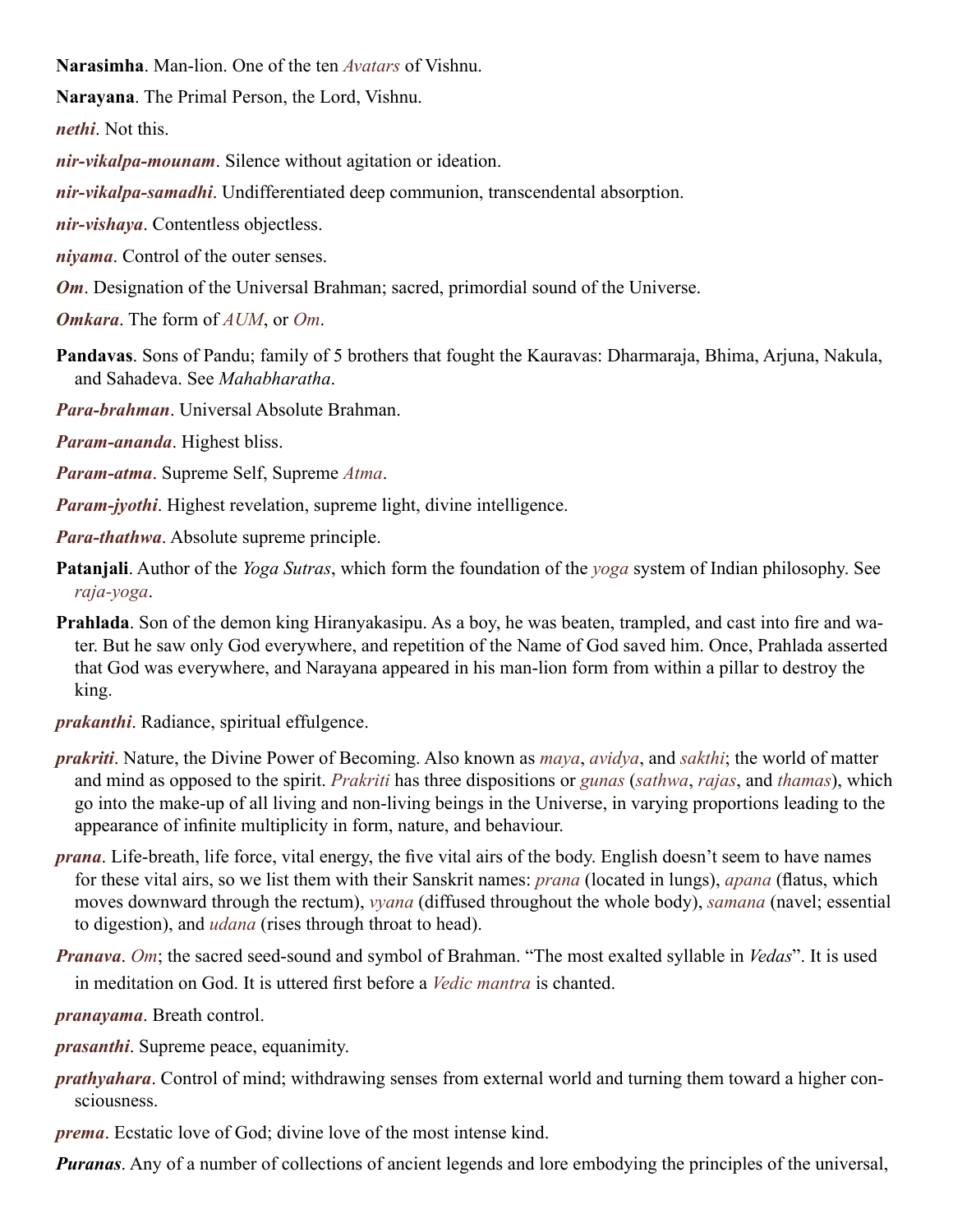<span id="page-48-23"></span>**Narasimha**. Man-lion. One of the ten *[Avatars](#page-44-0)* of [Vishnu](#page-52-2).

<span id="page-48-15"></span>**Narayana**. The Primal Person, the Lord, [Vishnu](#page-52-2).

<span id="page-48-5"></span>*nethi*. Not this.

<span id="page-48-14"></span>*nir-vikalpa-mounam*. Silence without agitation or ideation.

<span id="page-48-9"></span>*nir-vikalpa-samadhi*. Undifferentiated deep communion, transcendental absorption.

<span id="page-48-8"></span>*nir-vishaya*. Contentless objectless.

<span id="page-48-18"></span>*niyama*. Control of the outer senses.

<span id="page-48-22"></span>*Om*. Designation of the Universal [Brahman](#page-44-2); sacred, primordial sound of the Universe.

*Omkara*. The form of *[AUM](#page-44-18)*, or *Om*.

- <span id="page-48-11"></span>**Pandavas**. Sons of Pandu; family of 5 brothers that fought the [Kauravas:](#page-46-12) Dharmaraja, Bhima, [Arjuna,](#page-43-13) Nakula, and Sahadeva. See *[Mahabharatha](#page-47-15)*.
- <span id="page-48-13"></span>*Para-brahman*. Universal Absolute [Brahman.](#page-44-2)

<span id="page-48-2"></span>*Param-ananda*. Highest bliss.

<span id="page-48-10"></span>*Param-atma*. Supreme Self, Supreme *[Atma](#page-44-1)*.

<span id="page-48-17"></span>*Param-jyothi*. Highest revelation, supreme light, divine intelligence.

<span id="page-48-6"></span>*Para-thathwa*. Absolute supreme principle.

- <span id="page-48-21"></span>**Patanjali**. Author of the *[Yoga Sutras](#page-52-0)*, which form the foundation of the *yoga* system of Indian philosophy. See *[raja-yoga](#page-49-18)*.
- <span id="page-48-4"></span>**Prahlada**. Son of the demon king [Hiranyakasipu.](#page-46-21) As a boy, he was beaten, trampled, and cast into fire and water. But he saw only God everywhere, and repetition of the Name of God saved him. Once, [Prahlada](#page-48-4) asserted that God was everywhere, and [Narayana](#page-48-15) appeared in his man-lion form from within a pillar to destroy the king.

<span id="page-48-16"></span>*prakanthi*. Radiance, spiritual effulgence.

- <span id="page-48-12"></span>*prakriti*. Nature, the Divine Power of Becoming. Also known as *[maya](#page-47-2)*, *avidya*, and *[sakthi](#page-49-6)*; the world of matter and mind as opposed to the spirit. *Prakriti* has three dispositions or *[gunas](#page-45-12)* (*sathwa*, *[rajas](#page-49-10)*, and *thamas*), which go into the make-up of all living and non-living beings in the Universe, in varying proportions leading to the appearance of infinite multiplicity in form, nature, and behaviour.
- <span id="page-48-3"></span>*prana*. Life-breath, life force, vital energy, the five vital airs of the body. English doesn't seem to have names for these vital airs, so we list them with their Sanskrit names: *prana* (located in lungs), *apana* (flatus, which moves downward through the rectum), *vyana* (diffused throughout the whole body), *samana* (navel; essential to digestion), and *udana* (rises through throat to head).
- *Pranava*. *Om*; the sacred seed-sound and symbol of [Brahman.](#page-44-2) "The most exalted syllable in *[Vedas](#page-51-4)*". It is used in meditation on God. It is uttered first before a *[Vedic](#page-51-5) mantra* is chanted.

<span id="page-48-19"></span>*pranayama*. Breath control.

- <span id="page-48-0"></span>*prasanthi*. Supreme peace, equanimity.
- <span id="page-48-20"></span>*prathyahara*. Control of mind; withdrawing senses from external world and turning them toward a higher consciousness.
- <span id="page-48-1"></span>*prema*. Ecstatic love of God; divine love of the most intense kind.

<span id="page-48-7"></span>*Puranas*. Any of a number of collections of ancient legends and lore embodying the principles of the universal,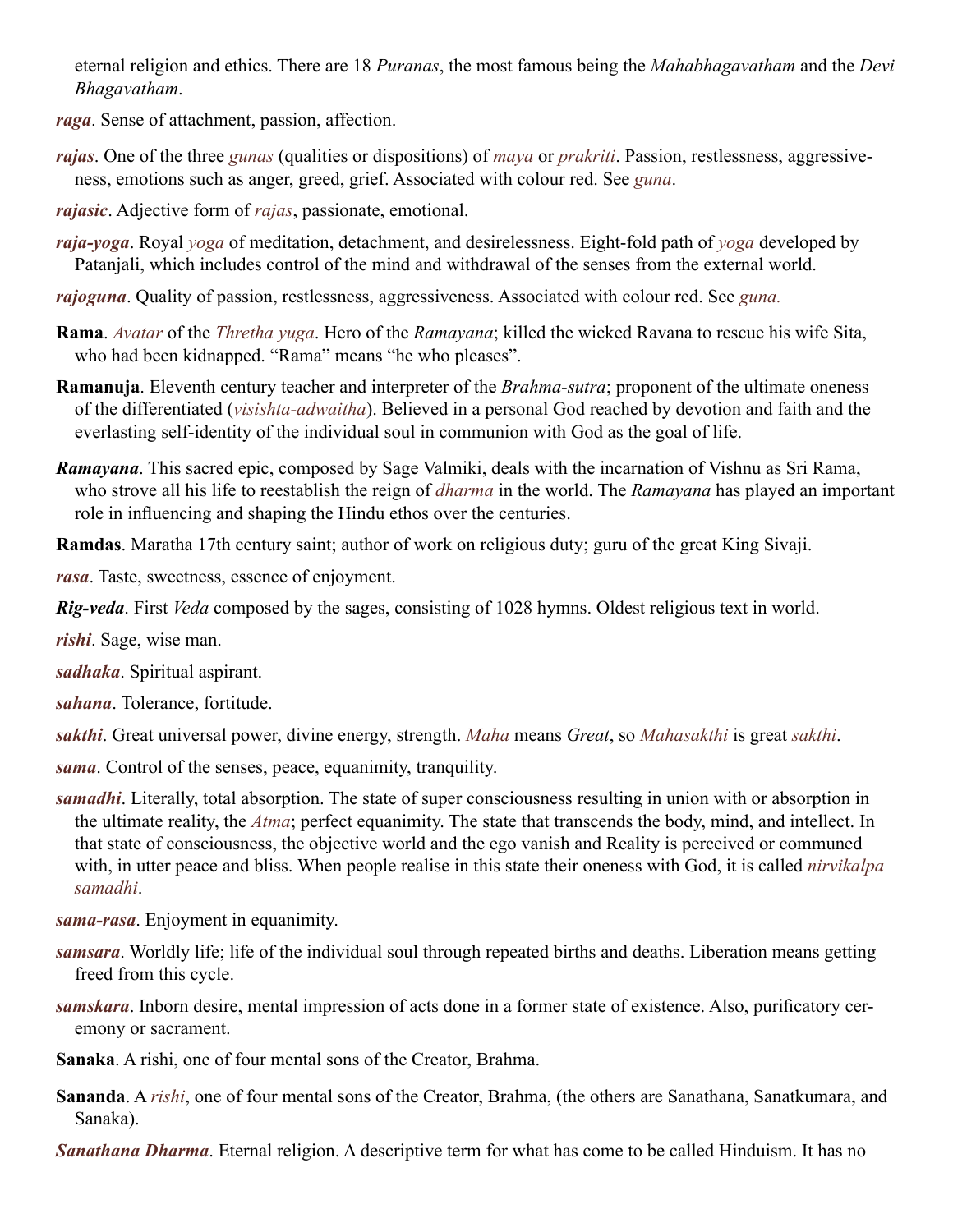eternal religion and ethics. There are 18 *Puranas*, the most famous being the *Mahabhagavatham* and the *Devi Bhagavatham*.

<span id="page-49-11"></span>*raga*. Sense of attachment, passion, affection.

- <span id="page-49-10"></span>*rajas*. One of the three *[gunas](#page-45-12)* (qualities or dispositions) of *[maya](#page-47-2)* or *[prakriti](#page-48-12)*. Passion, restlessness, aggressiveness, emotions such as anger, greed, grief. Associated with colour red. See *[guna](#page-45-12)*.
- <span id="page-49-14"></span>*rajasic*. Adjective form of *[rajas](#page-49-10)*, passionate, emotional.
- <span id="page-49-18"></span>*raja-yoga*. Royal *yoga* of meditation, detachment, and desirelessness. Eight-fold path of *yoga* developed by [Patanjali,](#page-48-21) which includes control of the mind and withdrawal of the senses from the external world.
- *rajoguna*. Quality of passion, restlessness, aggressiveness. Associated with colour red. See *[guna](#page-45-12).*
- <span id="page-49-20"></span>**Rama**. *[Avatar](#page-44-0)* of the *Thretha yuga*. Hero of the *[Ramayana](#page-49-21)*; killed the wicked Ravana to rescue his wife [Sita](#page-50-7), who had been kidnapped. "Rama" means "he who pleases".
- <span id="page-49-5"></span>**Ramanuja**. Eleventh century teacher and interpreter of the *[Brahma-sutra](#page-44-19)*; proponent of the ultimate oneness of the differentiated (*visishta-adwaitha*). Believed in a personal God reached by devotion and faith and the everlasting self-identity of the individual soul in communion with God as the goal of life.
- <span id="page-49-21"></span>*Ramayana*. This sacred epic, composed by Sage Valmiki, deals with the incarnation of [Vishnu](#page-52-2) as Sri [Rama](#page-49-20), who strove all his life to reestablish the reign of *[dharma](#page-45-0)* in the world. The *Ramayana* has played an important role in influencing and shaping the Hindu ethos over the centuries.
- <span id="page-49-3"></span>**Ramdas**. Maratha 17th century saint; author of work on religious duty; guru of the great King Sivaji.

<span id="page-49-17"></span>*rasa*. Taste, sweetness, essence of enjoyment.

<span id="page-49-19"></span>*Rig-veda*. First *[Veda](#page-51-4)* composed by the sages, consisting of 1028 hymns. Oldest religious text in world.

<span id="page-49-2"></span>*rishi*. Sage, wise man.

<span id="page-49-0"></span>*sadhaka*. Spiritual aspirant.

<span id="page-49-13"></span>*sahana*. Tolerance, fortitude.

<span id="page-49-6"></span>*sakthi*. Great universal power, divine energy, strength. *Maha* means *Great*, so *Mahasakthi* is great *sakthi*.

<span id="page-49-1"></span>*sama*. Control of the senses, peace, equanimity, tranquility.

<span id="page-49-9"></span>*samadhi*. Literally, total absorption. The state of super consciousness resulting in union with or absorption in the ultimate reality, the *[Atma](#page-44-1)*; perfect equanimity. The state that transcends the body, mind, and intellect. In that state of consciousness, the objective world and the ego vanish and Reality is perceived or communed with, in utter peace and bliss. When people realise in this state their oneness with God, it is called *nirvikalpa samadhi*.

<span id="page-49-4"></span>*sama-rasa*. Enjoyment in equanimity.

- <span id="page-49-8"></span>*samsara*. Worldly life; life of the individual soul through repeated births and deaths. Liberation means getting freed from this cycle.
- <span id="page-49-12"></span>*samskara*. Inborn desire, mental impression of acts done in a former state of existence. Also, purificatory ceremony or sacrament.
- <span id="page-49-15"></span>**Sanaka**. A rishi, one of four mental sons of the Creator, [Brahma](#page-44-20).
- <span id="page-49-16"></span>**Sananda**. A *[rishi](#page-49-2)*, one of four mental sons of the Creator, [Brahma](#page-44-20), (the others are Sanathana, Sanatkumara, and Sanaka).

<span id="page-49-7"></span>*Sanathana Dharma*. Eternal religion. A descriptive term for what has come to be called Hinduism. It has no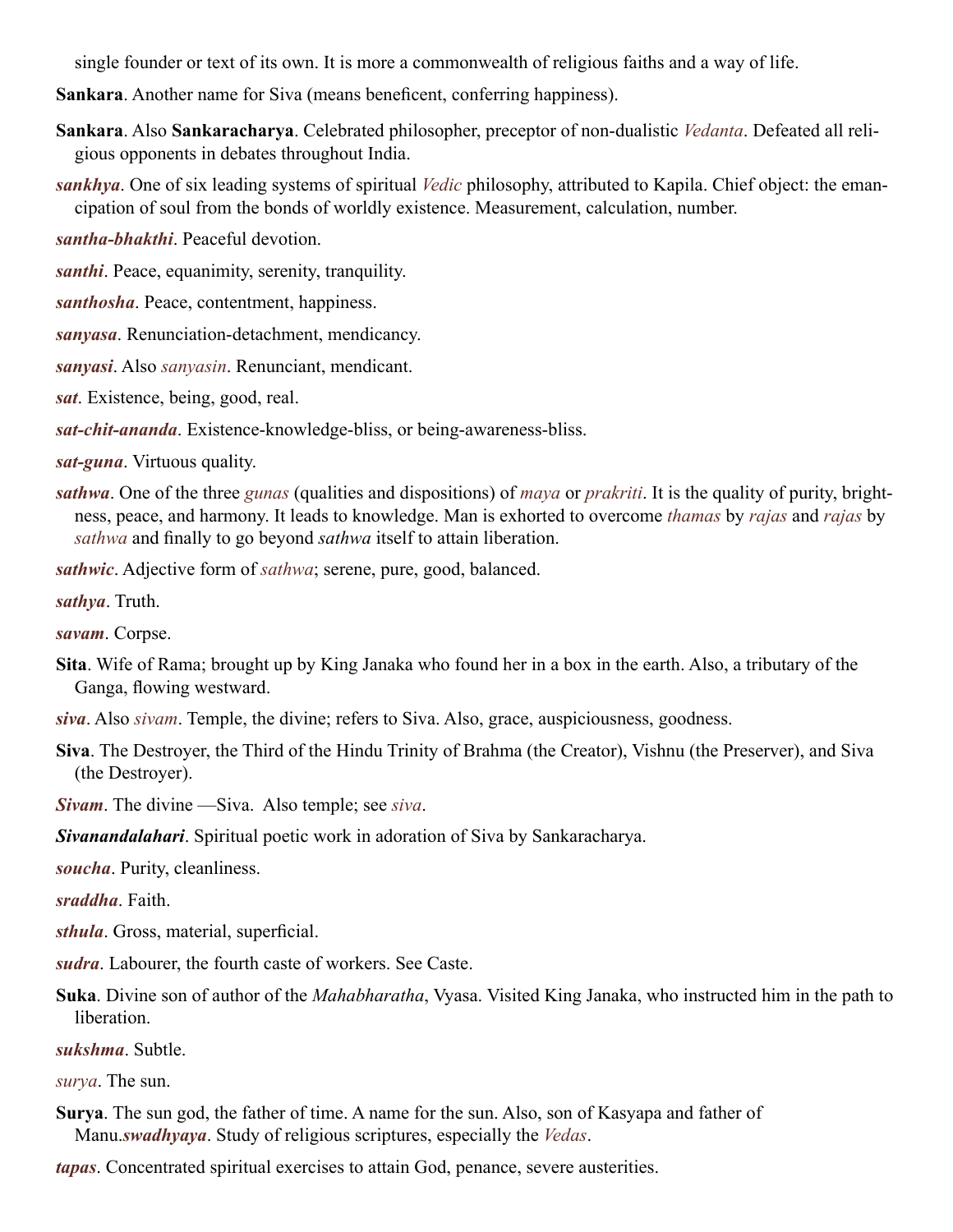single founder or text of its own. It is more a commonwealth of religious faiths and a way of life.

**Sankara**. Another name for [Siva](#page-50-6) (means beneficent, conferring happiness).

- <span id="page-50-1"></span>**Sankara**. Also **Sankaracharya**. Celebrated philosopher, preceptor of non-dualistic *[Vedanta](#page-51-1)*. Defeated all religious opponents in debates throughout India.
- <span id="page-50-5"></span>*sankhya*. One of six leading systems of spiritual *[Vedic](#page-51-5)* philosophy, attributed to [Kapila.](#page-46-9) Chief object: the emancipation of soul from the bonds of worldly existence. Measurement, calculation, number.

<span id="page-50-0"></span>*santha-bhakthi*. Peaceful devotion.

*santhi*. Peace, equanimity, serenity, tranquility.

*santhosha*. Peace, contentment, happiness.

*sanyasa*. Renunciation-detachment, mendicancy.

*sanyasi*. Also *sanyasin*. Renunciant, mendicant.

*sat*. Existence, being, good, real.

*sat-chit-ananda*. Existence-knowledge-bliss, or being-awareness-bliss.

*sat-guna*. Virtuous quality.

*sathwa*. One of the three *[gunas](#page-45-12)* (qualities and dispositions) of *[maya](#page-47-2)* or *prakriti*. It is the quality of purity, brightness, peace, and harmony. It leads to knowledge. Man is exhorted to overcome *thamas* by *[rajas](#page-49-10)* and *rajas* by *sathwa* and finally to go beyond *sathwa* itself to attain liberation.

*sathwic*. Adjective form of *sathwa*; serene, pure, good, balanced.

*sathya*. Truth.

*savam*. Corpse.

<span id="page-50-7"></span>**Sita**. Wife of [Rama](#page-49-20); brought up by King [Janaka](#page-46-22) who found her in a box in the earth. Also, a tributary of the Ganga, flowing westward.

*siva*. Also *sivam*. Temple, the divine; refers to [Siva.](#page-50-6) Also, grace, auspiciousness, goodness.

<span id="page-50-6"></span>**Siva**. The Destroyer, the Third of the Hindu Trinity of [Brahma](#page-44-20) (the Creator), [Vishnu](#page-52-2) (the Preserver), and Siva (the Destroyer).

<span id="page-50-3"></span>*Sivam*. The divine —Siva. Also temple; see *siva*.

<span id="page-50-2"></span>*Sivanandalahari*. Spiritual poetic work in adoration of [Siva](#page-50-6) by [Sankaracharya.](#page-50-1)

*soucha*. Purity, cleanliness.

*sraddha*. Faith.

*sthula*. Gross, material, superficial.

- *sudra*. Labourer, the fourth caste of workers. See [Caste](#page-45-22).
- <span id="page-50-4"></span>**Suka**. Divine son of author of the *[Mahabharatha](#page-47-15)*, [Vyasa](#page-52-1). Visited King [Janaka](#page-46-22), who instructed him in the path to liberation.

*sukshma*. Subtle.

*surya*. The sun.

<span id="page-50-8"></span>**Surya**. The sun god, the father of time. A name for the sun. Also, son of Kasyapa and father of [Manu.](#page-47-17)*swadhyaya*. Study of religious scriptures, especially the *Vedas*.

*tapas*. Concentrated spiritual exercises to attain God, penance, severe austerities.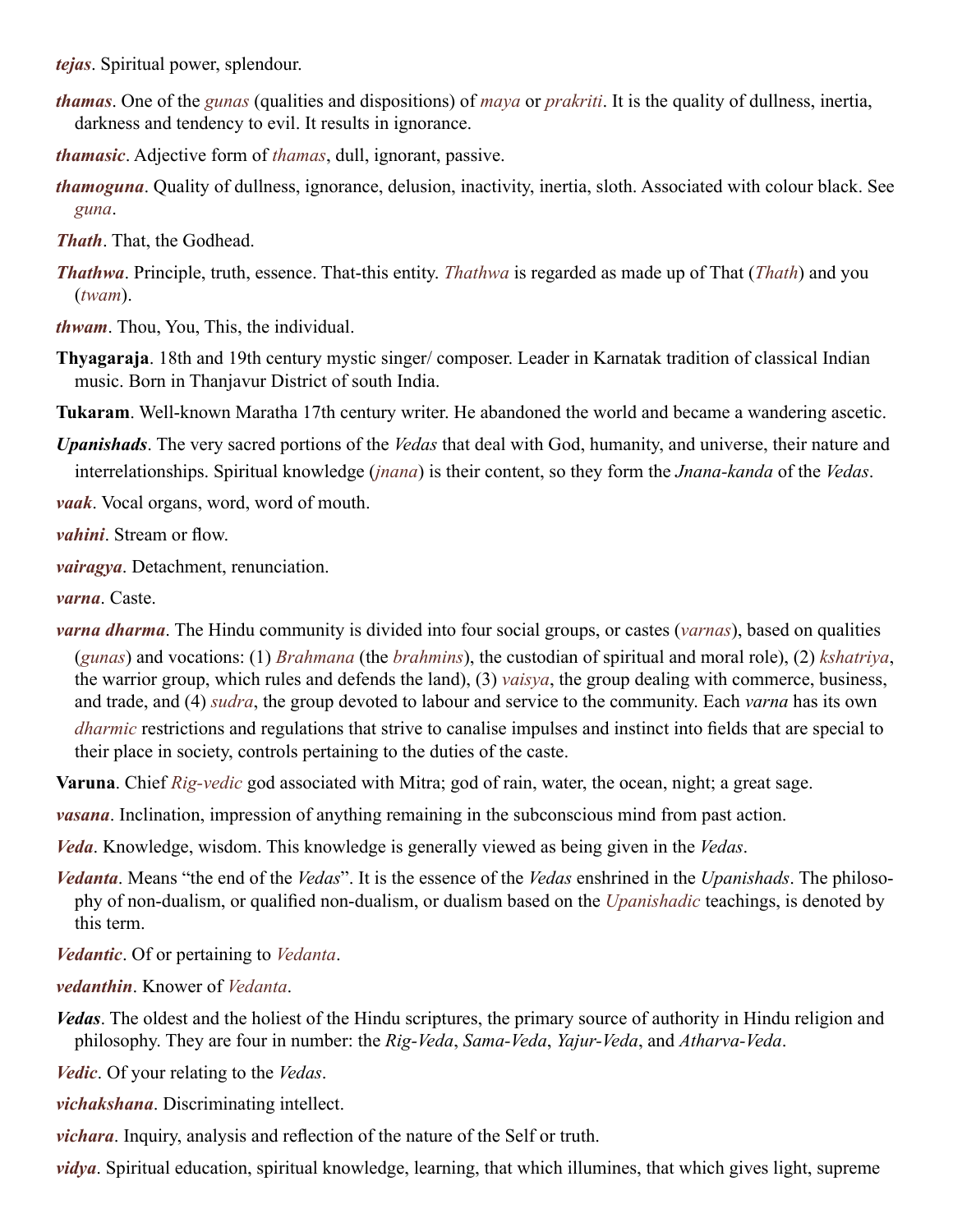*tejas*. Spiritual power, splendour.

- *thamas*. One of the *[gunas](#page-45-12)* (qualities and dispositions) of *[maya](#page-47-2)* or *[prakriti](#page-48-12)*. It is the quality of dullness, inertia, darkness and tendency to evil. It results in ignorance.
- *thamasic*. Adjective form of *thamas*, dull, ignorant, passive.
- *thamoguna*. Quality of dullness, ignorance, delusion, inactivity, inertia, sloth. Associated with colour black. See *[guna](#page-45-12)*.
- <span id="page-51-9"></span>*Thath*. That, the Godhead.
- <span id="page-51-6"></span>*Thathwa*. Principle, truth, essence. That-this entity. *Thathwa* is regarded as made up of That (*[Thath](#page-51-9)*) and you (*twam*).

*thwam*. Thou, You, This, the individual.

<span id="page-51-0"></span>**Thyagaraja**. 18th and 19th century mystic singer/ composer. Leader in Karnatak tradition of classical Indian music. Born in Thanjavur District of south India.

<span id="page-51-3"></span>**Tukaram**. Well-known Maratha 17th century writer. He abandoned the world and became a wandering ascetic.

<span id="page-51-2"></span>*Upanishads*. The very sacred portions of the *[Vedas](#page-51-4)* that deal with God, humanity, and universe, their nature and interrelationships. Spiritual knowledge (*[jnana](#page-46-4)*) is their content, so they form the *Jnana-kanda* of the *[Vedas](#page-51-4)*.

*vaak*. Vocal organs, word, word of mouth.

*vahini*. Stream or flow.

*vairagya*. Detachment, renunciation.

*varna*. [Caste](#page-45-22).

*varna dharma*. The Hindu community is divided into four social groups, or [castes](#page-45-22) (*varnas*), based on qualities (*[gunas](#page-45-12)*) and vocations: (1) *Brahmana* (the *brahmins*), the custodian of spiritual and moral role), (2) *kshatriya*, the warrior group, which rules and defends the land), (3) *vaisya*, the group dealing with commerce, business, and trade, and (4) *sudra*, the group devoted to labour and service to the community. Each *varna* has its own *[dharmic](#page-45-23)* restrictions and regulations that strive to canalise impulses and instinct into fields that are special to their place in society, controls pertaining to the duties of the caste.

<span id="page-51-7"></span>**Varuna**. Chief *Rig-vedic* god associated with Mitra; god of rain, water, the ocean, night; a great sage.

*vasana*. Inclination, impression of anything remaining in the subconscious mind from past action.

*Veda*. Knowledge, wisdom. This knowledge is generally viewed as being given in the *Vedas*.

<span id="page-51-1"></span>*Vedanta*. Means "the end of the *Vedas*". It is the essence of the *Vedas* enshrined in the *[Upanishads](#page-51-2)*. The philosophy of non-dualism, or qualified non-dualism, or dualism based on the *[Upanishadic](#page-51-2)* teachings, is denoted by this term.

<span id="page-51-8"></span>*Vedantic*. Of or pertaining to *[Vedanta](#page-51-1)*.

*vedanthin*. Knower of *Vedanta*.

<span id="page-51-4"></span>*Vedas*. The oldest and the holiest of the Hindu scriptures, the primary source of authority in Hindu religion and philosophy. They are four in number: the *[Rig-Veda](#page-49-19)*, *Sama-Veda*, *Yajur-Veda*, and *Atharva-Veda*.

<span id="page-51-5"></span>*Vedic*. Of your relating to the *Vedas*.

*vichakshana*. Discriminating intellect.

*vichara*. Inquiry, analysis and reflection of the nature of the Self or truth.

*vidya*. Spiritual education, spiritual knowledge, learning, that which illumines, that which gives light, supreme